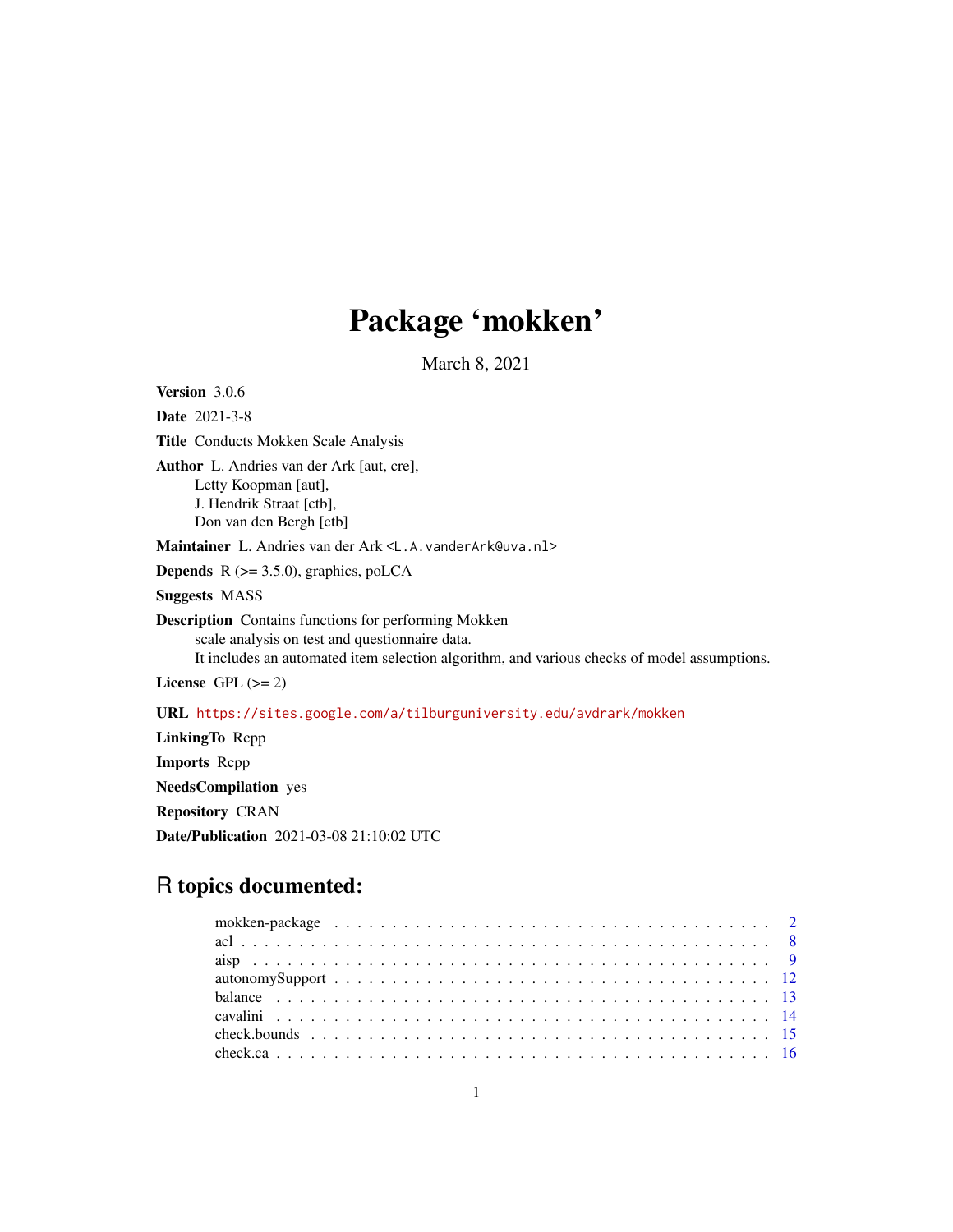# Package 'mokken'

March 8, 2021

<span id="page-0-0"></span>Version 3.0.6 Date 2021-3-8 Title Conducts Mokken Scale Analysis Author L. Andries van der Ark [aut, cre], Letty Koopman [aut], J. Hendrik Straat [ctb], Don van den Bergh [ctb] Maintainer L. Andries van der Ark <L.A.vanderArk@uva.nl> **Depends**  $R$  ( $>= 3.5.0$ ), graphics, poLCA Suggests MASS Description Contains functions for performing Mokken scale analysis on test and questionnaire data. It includes an automated item selection algorithm, and various checks of model assumptions. License GPL  $(>= 2)$ URL <https://sites.google.com/a/tilburguniversity.edu/avdrark/mokken> LinkingTo Rcpp Imports Rcpp

NeedsCompilation yes Repository CRAN Date/Publication 2021-03-08 21:10:02 UTC

# R topics documented: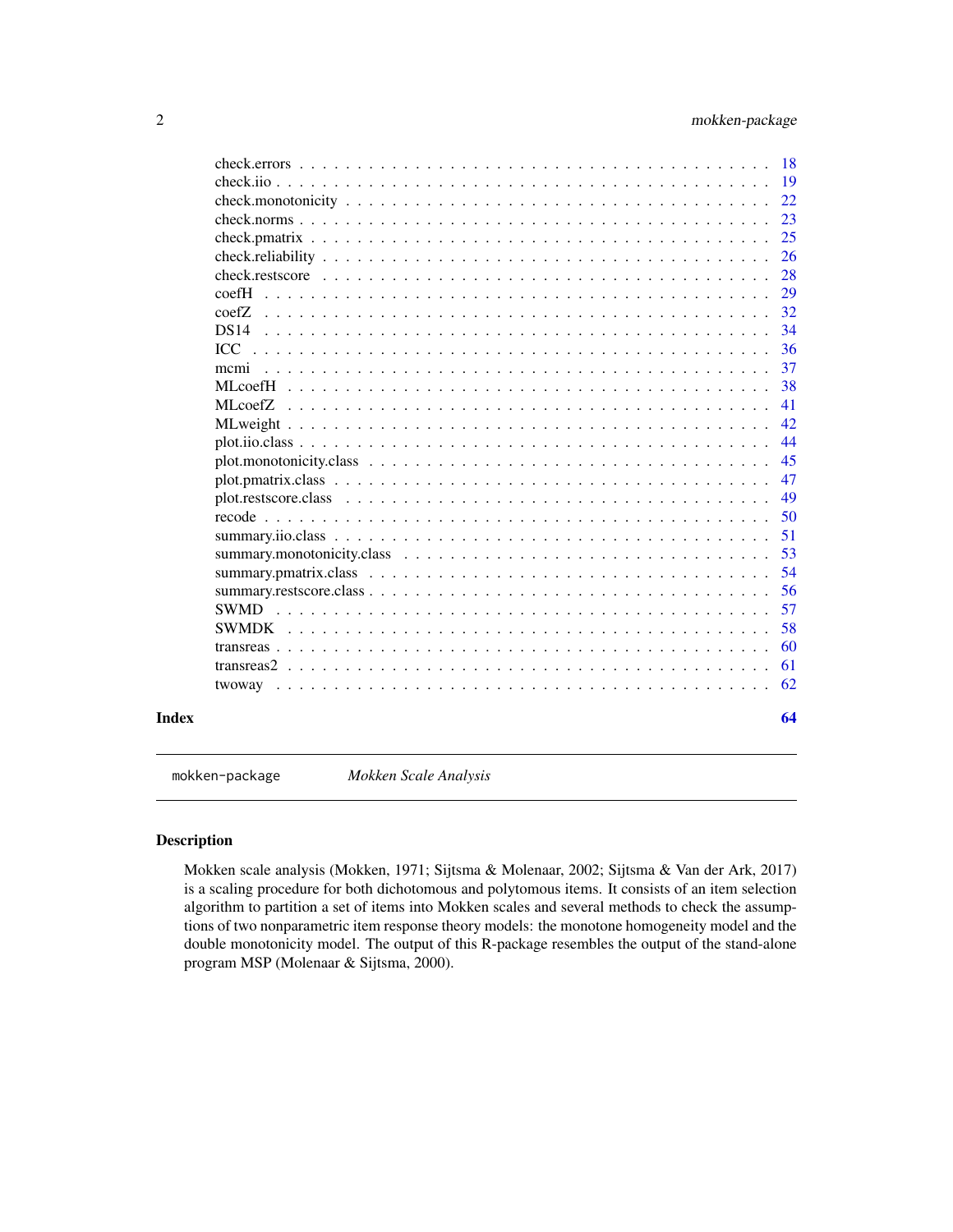<span id="page-1-0"></span>

|       | -18                    |
|-------|------------------------|
|       | -19                    |
|       | 22                     |
|       | 23                     |
|       | 25                     |
|       | 26                     |
|       | 28                     |
|       | 29<br>$\mathrm{coeff}$ |
|       | 32<br>$\text{coeff}$ . |
|       | 34<br>DS14             |
|       | 36<br>TCC              |
|       | 37<br>memi             |
|       | 38                     |
|       | 41                     |
|       | 42                     |
|       | 44                     |
|       | 45                     |
|       | 47                     |
|       | 49                     |
|       | 50                     |
|       | 51                     |
|       | 53                     |
|       | 54                     |
|       | 56                     |
|       | 57                     |
|       | 58<br><b>SWMDK</b>     |
|       | 60                     |
|       | 61                     |
|       | 62                     |
| Index | 64                     |

mokken-package *Mokken Scale Analysis*

# <span id="page-1-1"></span>Description

Mokken scale analysis (Mokken, 1971; Sijtsma & Molenaar, 2002; Sijtsma & Van der Ark, 2017) is a scaling procedure for both dichotomous and polytomous items. It consists of an item selection algorithm to partition a set of items into Mokken scales and several methods to check the assumptions of two nonparametric item response theory models: the monotone homogeneity model and the double monotonicity model. The output of this R-package resembles the output of the stand-alone program MSP (Molenaar & Sijtsma, 2000).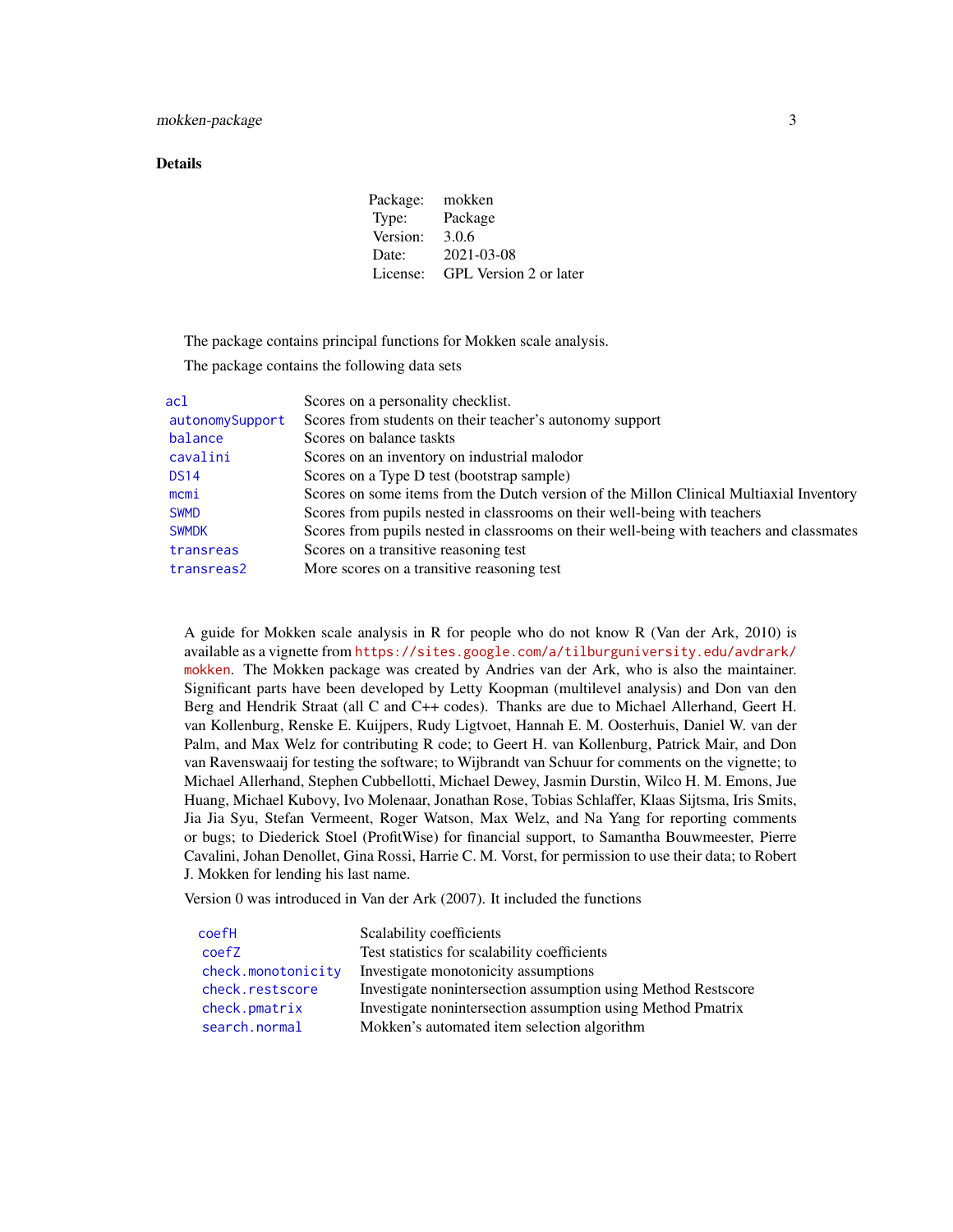#### <span id="page-2-0"></span>Details

Package: mokken Type: Package Version: 3.0.6 Date: 2021-03-08 License: GPL Version 2 or later

The package contains principal functions for Mokken scale analysis.

The package contains the following data sets

| acl                                                                                      | Scores on a personality checklist.                                                       |
|------------------------------------------------------------------------------------------|------------------------------------------------------------------------------------------|
| Scores from students on their teacher's autonomy support<br>autonomySupport              |                                                                                          |
| balance                                                                                  | Scores on balance taskts                                                                 |
| cavalini                                                                                 | Scores on an inventory on industrial malodor                                             |
| Scores on a Type D test (bootstrap sample)<br><b>DS14</b>                                |                                                                                          |
| mcmi                                                                                     | Scores on some items from the Dutch version of the Millon Clinical Multiaxial Inventory  |
| Scores from pupils nested in classrooms on their well-being with teachers<br><b>SWMD</b> |                                                                                          |
| <b>SWMDK</b>                                                                             | Scores from pupils nested in classrooms on their well-being with teachers and classmates |
| transreas                                                                                | Scores on a transitive reasoning test                                                    |
| transreas2                                                                               | More scores on a transitive reasoning test                                               |
|                                                                                          |                                                                                          |

A guide for Mokken scale analysis in R for people who do not know R (Van der Ark, 2010) is available as a vignette from [https://sites.google.com/a/tilburguniversity.edu/avdrark/](https://sites.google.com/a/tilburguniversity.edu/avdrark/mokken) [mokken](https://sites.google.com/a/tilburguniversity.edu/avdrark/mokken). The Mokken package was created by Andries van der Ark, who is also the maintainer. Significant parts have been developed by Letty Koopman (multilevel analysis) and Don van den Berg and Hendrik Straat (all C and C++ codes). Thanks are due to Michael Allerhand, Geert H. van Kollenburg, Renske E. Kuijpers, Rudy Ligtvoet, Hannah E. M. Oosterhuis, Daniel W. van der Palm, and Max Welz for contributing R code; to Geert H. van Kollenburg, Patrick Mair, and Don van Ravenswaaij for testing the software; to Wijbrandt van Schuur for comments on the vignette; to Michael Allerhand, Stephen Cubbellotti, Michael Dewey, Jasmin Durstin, Wilco H. M. Emons, Jue Huang, Michael Kubovy, Ivo Molenaar, Jonathan Rose, Tobias Schlaffer, Klaas Sijtsma, Iris Smits, Jia Jia Syu, Stefan Vermeent, Roger Watson, Max Welz, and Na Yang for reporting comments or bugs; to Diederick Stoel (ProfitWise) for financial support, to Samantha Bouwmeester, Pierre Cavalini, Johan Denollet, Gina Rossi, Harrie C. M. Vorst, for permission to use their data; to Robert J. Mokken for lending his last name.

Version 0 was introduced in Van der Ark (2007). It included the functions

| coefH              | Scalability coefficients                                      |  |
|--------------------|---------------------------------------------------------------|--|
| coefZ              | Test statistics for scalability coefficients                  |  |
| check.monotonicity | Investigate monotonicity assumptions                          |  |
| check.restscore    | Investigate nonintersection assumption using Method Restscore |  |
| check.pmatrix      | Investigate nonintersection assumption using Method Pmatrix   |  |
| search.normal      | Mokken's automated item selection algorithm                   |  |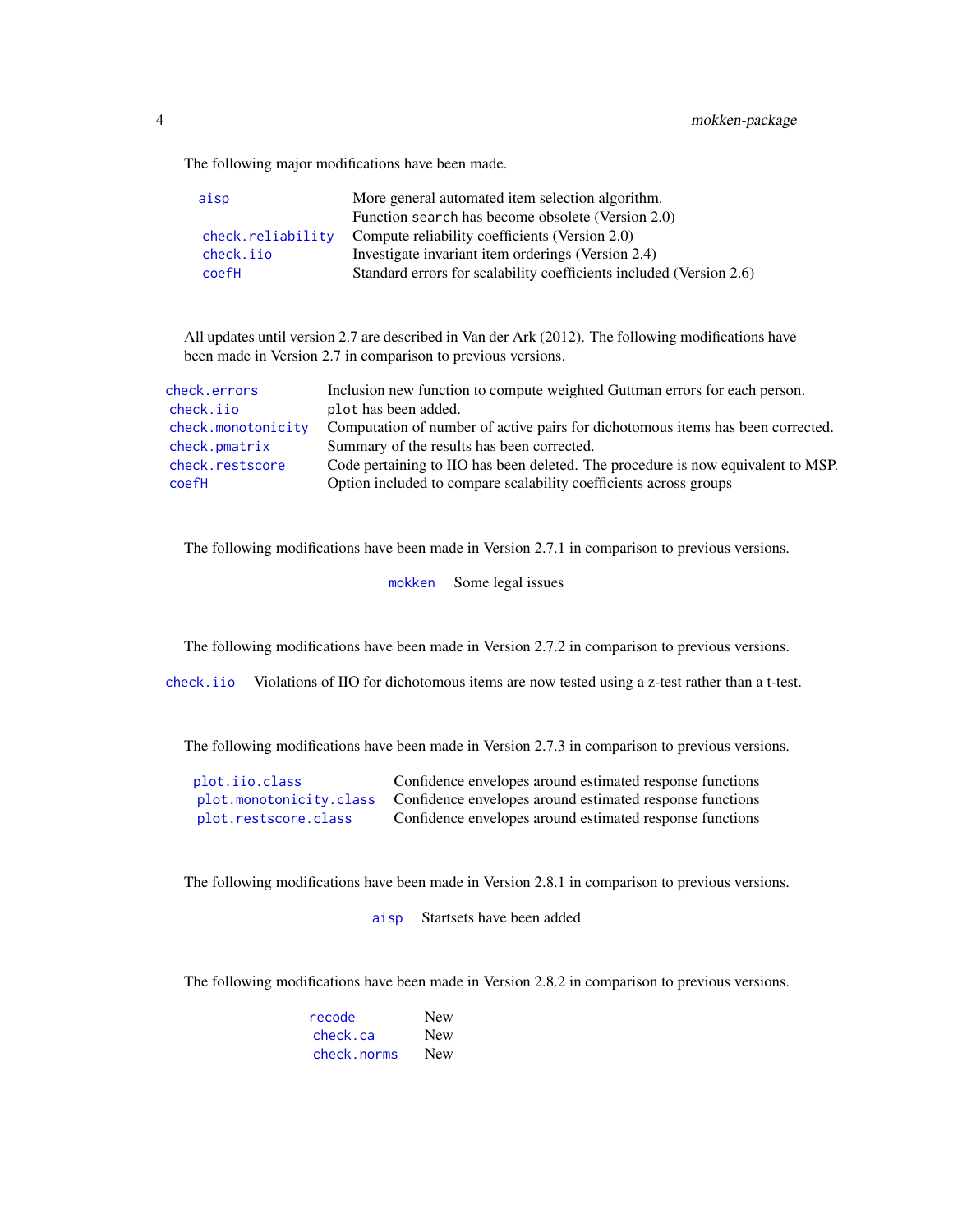<span id="page-3-0"></span>The following major modifications have been made.

| aisp              | More general automated item selection algorithm.                    |  |
|-------------------|---------------------------------------------------------------------|--|
|                   | Function search has become obsolete (Version 2.0)                   |  |
| check.reliability | Compute reliability coefficients (Version 2.0)                      |  |
| check.iio         | Investigate invariant item orderings (Version 2.4)                  |  |
| coefH             | Standard errors for scalability coefficients included (Version 2.6) |  |

All updates until version 2.7 are described in Van der Ark (2012). The following modifications have been made in Version 2.7 in comparison to previous versions.

| check.errors       | Inclusion new function to compute weighted Guttman errors for each person.       |
|--------------------|----------------------------------------------------------------------------------|
| check.iio          | plot has been added.                                                             |
| check.monotonicity | Computation of number of active pairs for dichotomous items has been corrected.  |
| check.pmatrix      | Summary of the results has been corrected.                                       |
| check.restscore    | Code pertaining to IIO has been deleted. The procedure is now equivalent to MSP. |
| coefH              | Option included to compare scalability coefficients across groups                |

The following modifications have been made in Version 2.7.1 in comparison to previous versions.

[mokken](#page-1-1) Some legal issues

The following modifications have been made in Version 2.7.2 in comparison to previous versions.

[check.iio](#page-18-1) Violations of IIO for dichotomous items are now tested using a z-test rather than a t-test.

The following modifications have been made in Version 2.7.3 in comparison to previous versions.

| plot.iio.class       | Confidence envelopes around estimated response functions                         |
|----------------------|----------------------------------------------------------------------------------|
|                      | plot monotonicity.class Confidence envelopes around estimated response functions |
| plot.restscore.class | Confidence envelopes around estimated response functions                         |

The following modifications have been made in Version 2.8.1 in comparison to previous versions.

[aisp](#page-8-2) Startsets have been added

The following modifications have been made in Version 2.8.2 in comparison to previous versions.

| recode      | <b>New</b> |
|-------------|------------|
| check.ca    | <b>New</b> |
| check.norms | <b>New</b> |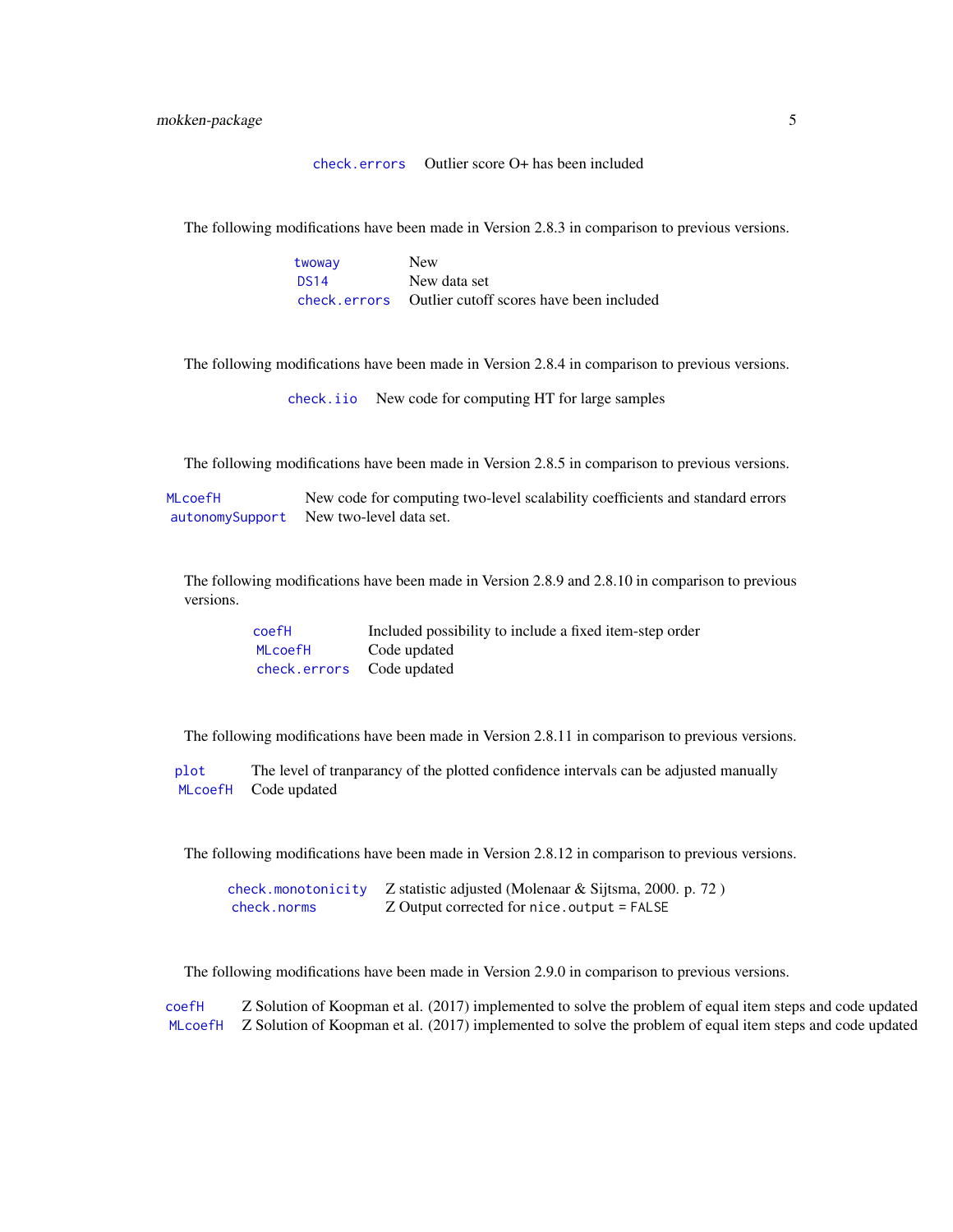[check.errors](#page-17-1) Outlier score O+ has been included

<span id="page-4-0"></span>The following modifications have been made in Version 2.8.3 in comparison to previous versions.

| twoway      | <b>New</b>                                            |
|-------------|-------------------------------------------------------|
| <b>DS14</b> | New data set                                          |
|             | check.errors Outlier cutoff scores have been included |

The following modifications have been made in Version 2.8.4 in comparison to previous versions.

[check.iio](#page-18-1) New code for computing HT for large samples

The following modifications have been made in Version 2.8.5 in comparison to previous versions.

[MLcoefH](#page-37-1) New code for computing two-level scalability coefficients and standard errors [autonomySupport](#page-11-1) New two-level data set.

The following modifications have been made in Version 2.8.9 and 2.8.10 in comparison to previous versions.

| coefH                     | Included possibility to include a fixed item-step order |
|---------------------------|---------------------------------------------------------|
| MLcoefH                   | Code updated                                            |
| check.errors Code updated |                                                         |

The following modifications have been made in Version 2.8.11 in comparison to previous versions.

[plot](#page-0-0) The level of tranparancy of the plotted confidence intervals can be adjusted manually [MLcoefH](#page-37-1) Code updated

The following modifications have been made in Version 2.8.12 in comparison to previous versions.

|             | check.monotonicity Z statistic adjusted (Molenaar & Sijtsma, 2000. p. 72) |
|-------------|---------------------------------------------------------------------------|
| check.norms | Z Output corrected for nice.output = FALSE                                |

The following modifications have been made in Version 2.9.0 in comparison to previous versions.

[coefH](#page-28-1) Z Solution of Koopman et al. (2017) implemented to solve the problem of equal item steps and code updated [MLcoefH](#page-37-1) Z Solution of Koopman et al. (2017) implemented to solve the problem of equal item steps and code updated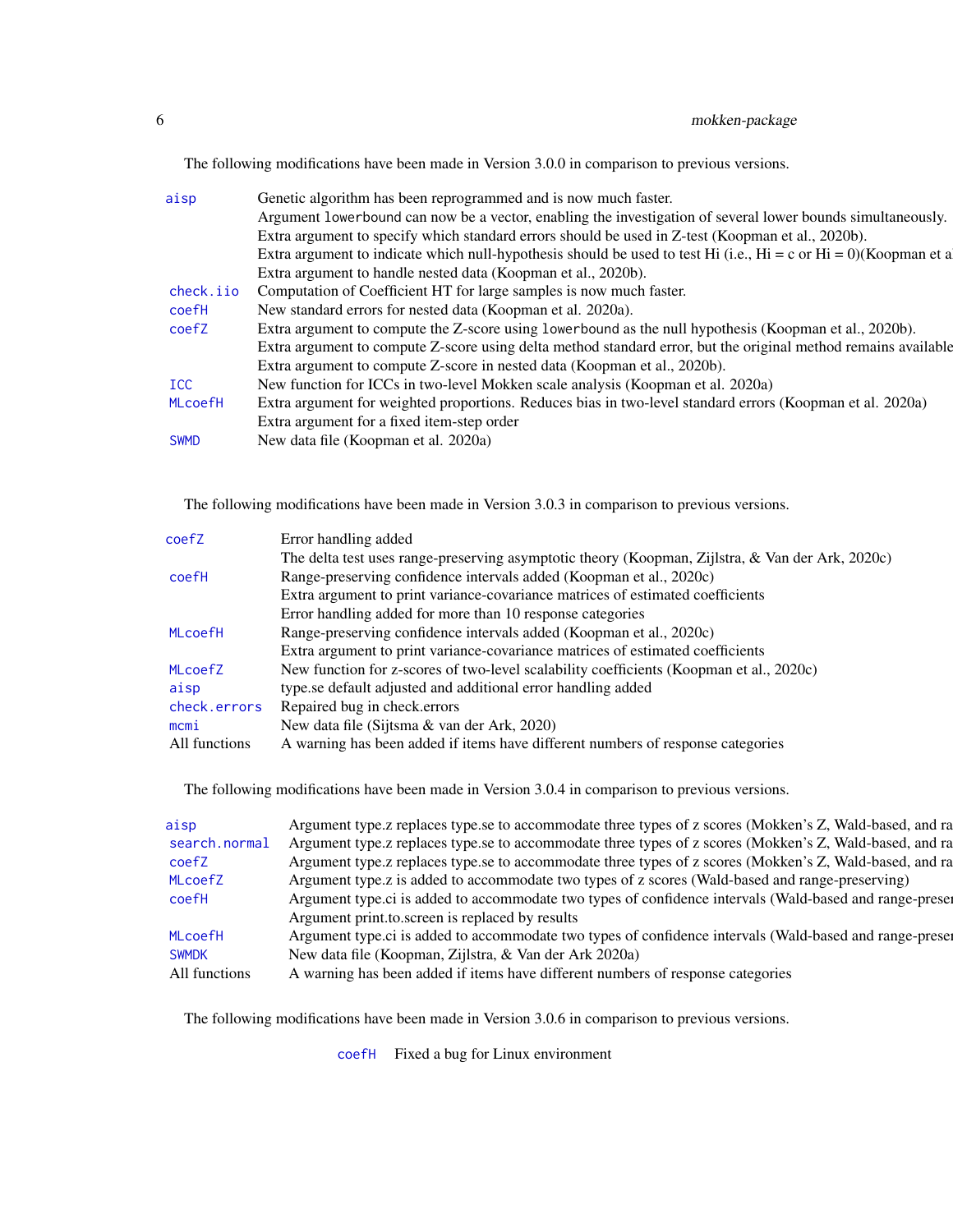<span id="page-5-0"></span>The following modifications have been made in Version 3.0.0 in comparison to previous versions.

| aisp           | Genetic algorithm has been reprogrammed and is now much faster.                                                  |
|----------------|------------------------------------------------------------------------------------------------------------------|
|                | Argument lowerbound can now be a vector, enabling the investigation of several lower bounds simultaneously.      |
|                | Extra argument to specify which standard errors should be used in Z-test (Koopman et al., 2020b).                |
|                | Extra argument to indicate which null-hypothesis should be used to test Hi (i.e., Hi = c or Hi = 0)(Koopman et a |
|                | Extra argument to handle nested data (Koopman et al., 2020b).                                                    |
| check.iio      | Computation of Coefficient HT for large samples is now much faster.                                              |
| coefH          | New standard errors for nested data (Koopman et al. 2020a).                                                      |
| coefZ          | Extra argument to compute the Z-score using lowerbound as the null hypothesis (Koopman et al., 2020b).           |
|                | Extra argument to compute Z-score using delta method standard error, but the original method remains available   |
|                | Extra argument to compute Z-score in nested data (Koopman et al., 2020b).                                        |
| <b>ICC</b>     | New function for ICCs in two-level Mokken scale analysis (Koopman et al. 2020a)                                  |
| <b>MLcoefH</b> | Extra argument for weighted proportions. Reduces bias in two-level standard errors (Koopman et al. 2020a)        |
|                | Extra argument for a fixed item-step order                                                                       |
| <b>SWMD</b>    | New data file (Koopman et al. 2020a)                                                                             |
|                |                                                                                                                  |

The following modifications have been made in Version 3.0.3 in comparison to previous versions.

| coefZ         | Error handling added                                                                             |
|---------------|--------------------------------------------------------------------------------------------------|
|               | The delta test uses range-preserving asymptotic theory (Koopman, Zijlstra, & Van der Ark, 2020c) |
| coefH         | Range-preserving confidence intervals added (Koopman et al., 2020c)                              |
|               | Extra argument to print variance-covariance matrices of estimated coefficients                   |
|               | Error handling added for more than 10 response categories                                        |
| MLcoefH       | Range-preserving confidence intervals added (Koopman et al., 2020c)                              |
|               | Extra argument to print variance-covariance matrices of estimated coefficients                   |
| MLcoefZ       | New function for z-scores of two-level scalability coefficients (Koopman et al., 2020c)          |
| aisp          | type.se default adjusted and additional error handling added                                     |
| check.errors  | Repaired bug in check.errors                                                                     |
| mcmi          | New data file (Sijtsma & van der Ark, 2020)                                                      |
| All functions | A warning has been added if items have different numbers of response categories                  |
|               |                                                                                                  |

The following modifications have been made in Version 3.0.4 in comparison to previous versions.

| aisp           | Argument type.z replaces type.se to accommodate three types of z scores (Mokken's Z, Wald-based, and ra |
|----------------|---------------------------------------------------------------------------------------------------------|
| search.normal  | Argument type.z replaces type.se to accommodate three types of z scores (Mokken's Z, Wald-based, and ra |
| coefZ          | Argument type.z replaces type.se to accommodate three types of z scores (Mokken's Z, Wald-based, and ra |
| <b>MLcoefZ</b> | Argument type.z is added to accommodate two types of z scores (Wald-based and range-preserving)         |
| coefH          | Argument type.ci is added to accommodate two types of confidence intervals (Wald-based and range-preser |
|                | Argument print.to.screen is replaced by results                                                         |
| <b>MLcoefH</b> | Argument type.ci is added to accommodate two types of confidence intervals (Wald-based and range-preser |
| <b>SWMDK</b>   | New data file (Koopman, Zijlstra, & Van der Ark 2020a)                                                  |
| All functions  | A warning has been added if items have different numbers of response categories                         |
|                |                                                                                                         |

The following modifications have been made in Version 3.0.6 in comparison to previous versions.

[coefH](#page-28-1) Fixed a bug for Linux environment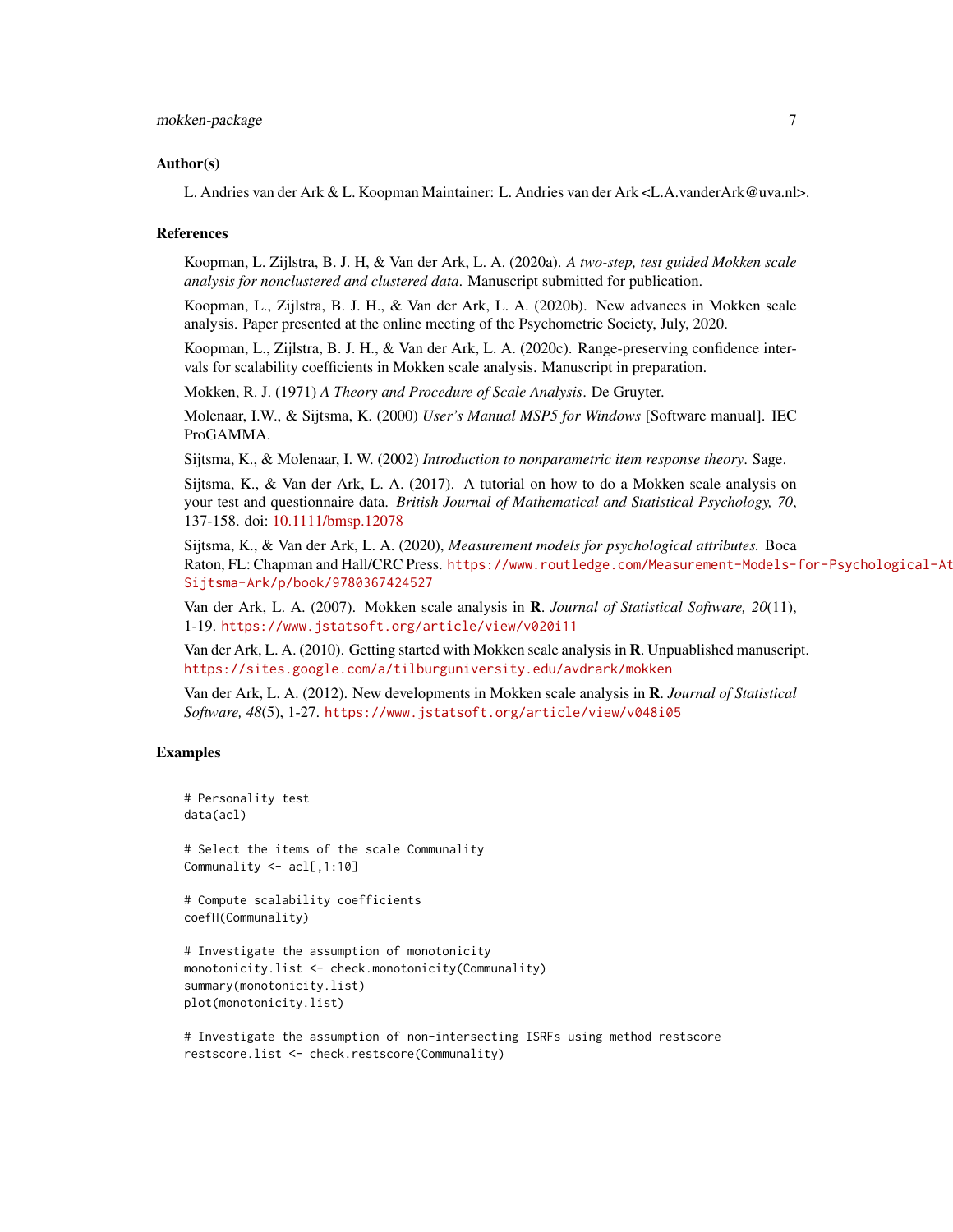#### Author(s)

L. Andries van der Ark & L. Koopman Maintainer: L. Andries van der Ark <L.A.vanderArk@uva.nl>.

#### References

Koopman, L. Zijlstra, B. J. H, & Van der Ark, L. A. (2020a). *A two-step, test guided Mokken scale analysis for nonclustered and clustered data*. Manuscript submitted for publication.

Koopman, L., Zijlstra, B. J. H., & Van der Ark, L. A. (2020b). New advances in Mokken scale analysis. Paper presented at the online meeting of the Psychometric Society, July, 2020.

Koopman, L., Zijlstra, B. J. H., & Van der Ark, L. A. (2020c). Range-preserving confidence intervals for scalability coefficients in Mokken scale analysis. Manuscript in preparation.

Mokken, R. J. (1971) *A Theory and Procedure of Scale Analysis*. De Gruyter.

Molenaar, I.W., & Sijtsma, K. (2000) *User's Manual MSP5 for Windows* [Software manual]. IEC ProGAMMA.

Sijtsma, K., & Molenaar, I. W. (2002) *Introduction to nonparametric item response theory*. Sage.

Sijtsma, K., & Van der Ark, L. A. (2017). A tutorial on how to do a Mokken scale analysis on your test and questionnaire data. *British Journal of Mathematical and Statistical Psychology, 70*, 137-158. doi: [10.1111/bmsp.12078](https://doi.org/10.1111/bmsp.12078)

Sijtsma, K., & Van der Ark, L. A. (2020), *Measurement models for psychological attributes.* Boca Raton, FL: Chapman and Hall/CRC Press. [https://www.routledge.com/Measurement-Models-f](https://www.routledge.com/Measurement-Models-for-Psychological-Attributes/Sijtsma-Ark/p/book/9780367424527)or-Psychological-At [Sijtsma-Ark/p/book/9780367424527](https://www.routledge.com/Measurement-Models-for-Psychological-Attributes/Sijtsma-Ark/p/book/9780367424527)

Van der Ark, L. A. (2007). Mokken scale analysis in R. *Journal of Statistical Software, 20*(11), 1-19. <https://www.jstatsoft.org/article/view/v020i11>

Van der Ark, L. A. (2010). Getting started with Mokken scale analysis in R. Unpuablished manuscript. <https://sites.google.com/a/tilburguniversity.edu/avdrark/mokken>

Van der Ark, L. A. (2012). New developments in Mokken scale analysis in R. *Journal of Statistical Software, 48*(5), 1-27. <https://www.jstatsoft.org/article/view/v048i05>

# Examples

```
# Personality test
data(acl)
# Select the items of the scale Communality
Communality <- acl[,1:10]
# Compute scalability coefficients
coefH(Communality)
# Investigate the assumption of monotonicity
monotonicity.list <- check.monotonicity(Communality)
summary(monotonicity.list)
plot(monotonicity.list)
```
# Investigate the assumption of non-intersecting ISRFs using method restscore restscore.list <- check.restscore(Communality)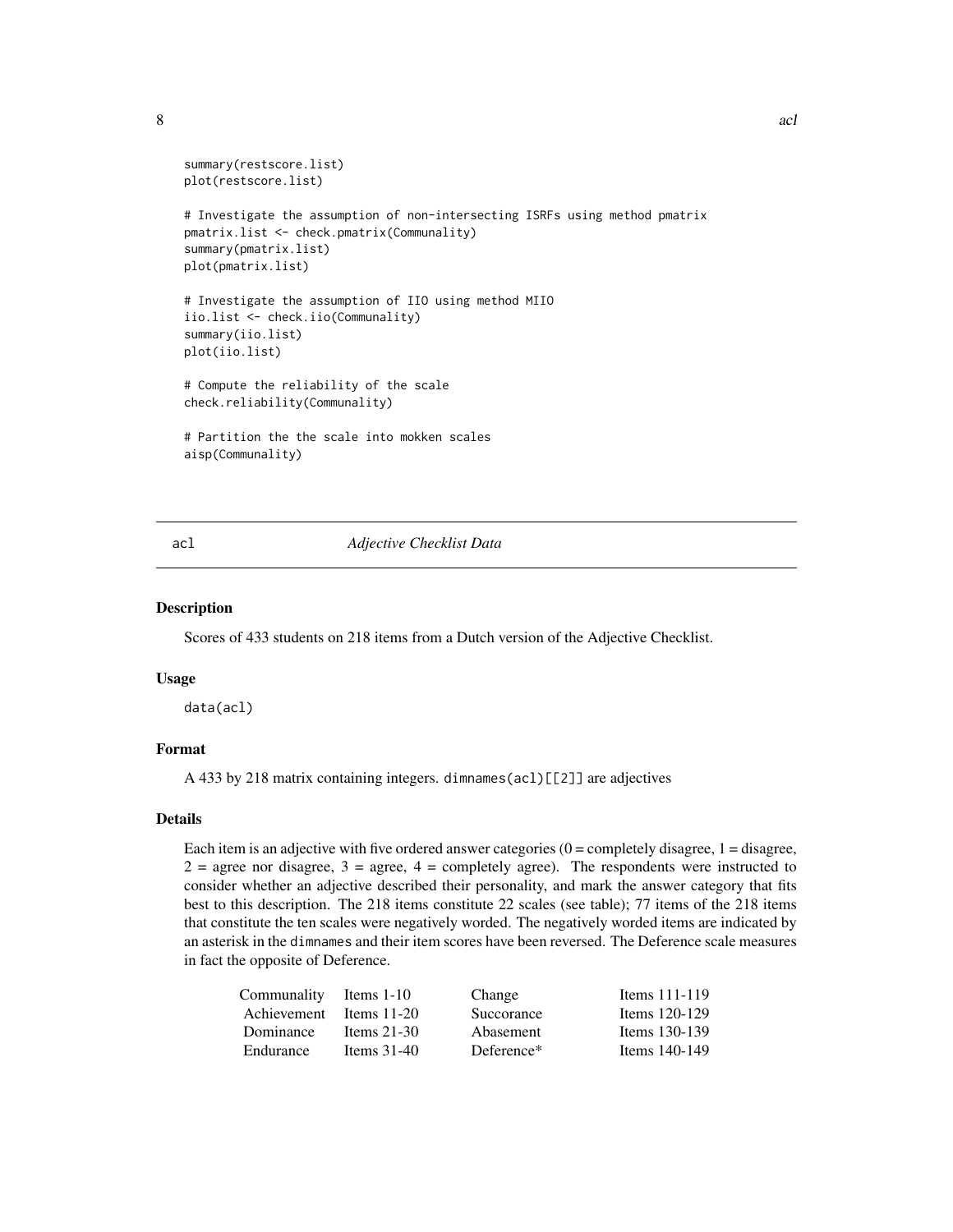<span id="page-7-0"></span>

```
summary(restscore.list)
plot(restscore.list)
# Investigate the assumption of non-intersecting ISRFs using method pmatrix
pmatrix.list <- check.pmatrix(Communality)
summary(pmatrix.list)
plot(pmatrix.list)
# Investigate the assumption of IIO using method MIIO
iio.list <- check.iio(Communality)
summary(iio.list)
plot(iio.list)
# Compute the reliability of the scale
check.reliability(Communality)
# Partition the the scale into mokken scales
aisp(Communality)
```
#### <span id="page-7-1"></span>acl *Adjective Checklist Data*

# Description

Scores of 433 students on 218 items from a Dutch version of the Adjective Checklist.

#### Usage

data(acl)

# Format

A 433 by 218 matrix containing integers. dimnames(acl)[[2]] are adjectives

# Details

Each item is an adjective with five ordered answer categories  $(0 =$  completely disagree,  $1 =$  disagree,  $2 =$  agree nor disagree,  $3 =$  agree,  $4 =$  completely agree). The respondents were instructed to consider whether an adjective described their personality, and mark the answer category that fits best to this description. The 218 items constitute 22 scales (see table); 77 items of the 218 items that constitute the ten scales were negatively worded. The negatively worded items are indicated by an asterisk in the dimnames and their item scores have been reversed. The Deference scale measures in fact the opposite of Deference.

| Communality Items 1-10  |               | Change     | Items $111-119$ |
|-------------------------|---------------|------------|-----------------|
| Achievement Items 11-20 |               | Succorance | Items 120-129   |
| Dominance               | Items $21-30$ | Abasement  | Items 130-139   |
| Endurance               | Items $31-40$ | Deference* | Items 140-149   |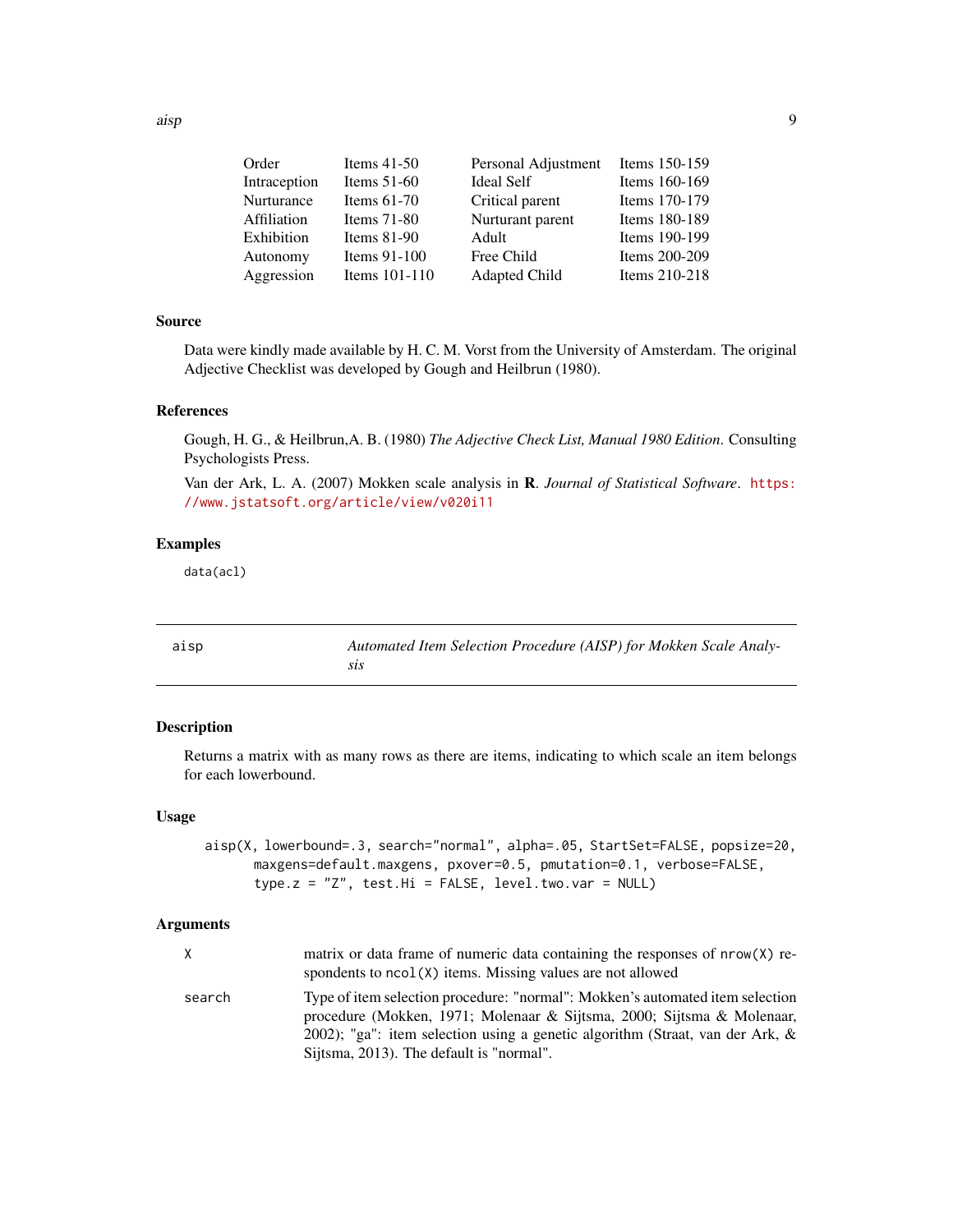<span id="page-8-0"></span>

| Order        | Items $41-50$   | Personal Adjustment  | Items 150-159 |
|--------------|-----------------|----------------------|---------------|
| Intraception | Items $51-60$   | <b>Ideal Self</b>    | Items 160-169 |
| Nurturance   | Items $61-70$   | Critical parent      | Items 170-179 |
| Affiliation  | Items $71-80$   | Nurturant parent     | Items 180-189 |
| Exhibition   | Items $81-90$   | Adult                | Items 190-199 |
| Autonomy     | Items $91-100$  | Free Child           | Items 200-209 |
| Aggression   | Items $101-110$ | <b>Adapted Child</b> | Items 210-218 |
|              |                 |                      |               |

# Source

Data were kindly made available by H. C. M. Vorst from the University of Amsterdam. The original Adjective Checklist was developed by Gough and Heilbrun (1980).

# References

Gough, H. G., & Heilbrun,A. B. (1980) *The Adjective Check List, Manual 1980 Edition*. Consulting Psychologists Press.

Van der Ark, L. A. (2007) Mokken scale analysis in R. *Journal of Statistical Software*. [https:](https://www.jstatsoft.org/article/view/v020i11) [//www.jstatsoft.org/article/view/v020i11](https://www.jstatsoft.org/article/view/v020i11)

# Examples

data(acl)

<span id="page-8-2"></span>

| aisp | Automated Item Selection Procedure (AISP) for Mokken Scale Analy- |
|------|-------------------------------------------------------------------|
|      |                                                                   |

# <span id="page-8-1"></span>Description

Returns a matrix with as many rows as there are items, indicating to which scale an item belongs for each lowerbound.

#### Usage

aisp(X, lowerbound=.3, search="normal", alpha=.05, StartSet=FALSE, popsize=20, maxgens=default.maxgens, pxover=0.5, pmutation=0.1, verbose=FALSE, type.z =  $"Z"$ , test.Hi = FALSE, level.two.var = NULL)

# Arguments

| X      | matrix or data frame of numeric data containing the responses of nrow(X) re-<br>spondents to $ncol(X)$ items. Missing values are not allowed                                                                                                                                            |
|--------|-----------------------------------------------------------------------------------------------------------------------------------------------------------------------------------------------------------------------------------------------------------------------------------------|
| search | Type of item selection procedure: "normal": Mokken's automated item selection<br>procedure (Mokken, 1971; Molenaar & Sijtsma, 2000; Sijtsma & Molenaar,<br>2002); "ga": item selection using a genetic algorithm (Straat, van der Ark, $\&$<br>Sijtsma, 2013). The default is "normal". |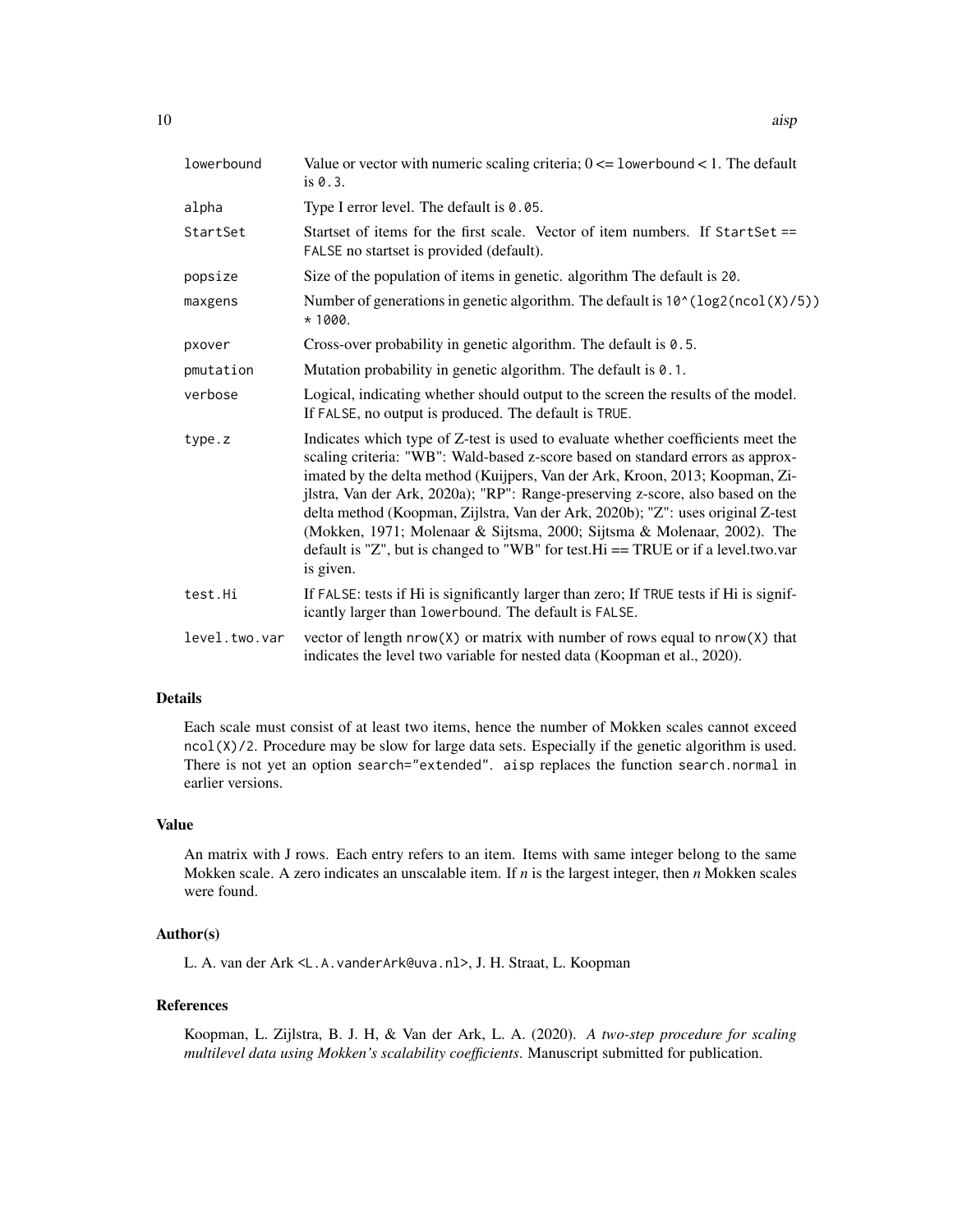| lowerbound    | Value or vector with numeric scaling criteria; $0 \le$ 1 owerbound < 1. The default<br>is $0.3$ .                                                                                                                                                                                                                                                                                                                                                                                                                                                                                                      |
|---------------|--------------------------------------------------------------------------------------------------------------------------------------------------------------------------------------------------------------------------------------------------------------------------------------------------------------------------------------------------------------------------------------------------------------------------------------------------------------------------------------------------------------------------------------------------------------------------------------------------------|
| alpha         | Type I error level. The default is 0.05.                                                                                                                                                                                                                                                                                                                                                                                                                                                                                                                                                               |
| StartSet      | Startset of items for the first scale. Vector of item numbers. If StartSet ==<br>FALSE no startset is provided (default).                                                                                                                                                                                                                                                                                                                                                                                                                                                                              |
| popsize       | Size of the population of items in genetic. algorithm The default is 20.                                                                                                                                                                                                                                                                                                                                                                                                                                                                                                                               |
| maxgens       | Number of generations in genetic algorithm. The default is $10^{\circ}$ (log2(ncol(X)/5))<br>$*1000.$                                                                                                                                                                                                                                                                                                                                                                                                                                                                                                  |
| pxover        | Cross-over probability in genetic algorithm. The default is 0.5.                                                                                                                                                                                                                                                                                                                                                                                                                                                                                                                                       |
| pmutation     | Mutation probability in genetic algorithm. The default is 0.1.                                                                                                                                                                                                                                                                                                                                                                                                                                                                                                                                         |
| verbose       | Logical, indicating whether should output to the screen the results of the model.<br>If FALSE, no output is produced. The default is TRUE.                                                                                                                                                                                                                                                                                                                                                                                                                                                             |
| type.z        | Indicates which type of Z-test is used to evaluate whether coefficients meet the<br>scaling criteria: "WB": Wald-based z-score based on standard errors as approx-<br>imated by the delta method (Kuijpers, Van der Ark, Kroon, 2013; Koopman, Zi-<br>jlstra, Van der Ark, 2020a); "RP": Range-preserving z-score, also based on the<br>delta method (Koopman, Zijlstra, Van der Ark, 2020b); "Z": uses original Z-test<br>(Mokken, 1971; Molenaar & Sijtsma, 2000; Sijtsma & Molenaar, 2002). The<br>default is "Z", but is changed to "WB" for test. Hi $==$ TRUE or if a level.two.var<br>is given. |
| test.Hi       | If FALSE: tests if Hi is significantly larger than zero; If TRUE tests if Hi is signif-<br>icantly larger than lowerbound. The default is FALSE.                                                                                                                                                                                                                                                                                                                                                                                                                                                       |
| level.two.var | vector of length $nrow(X)$ or matrix with number of rows equal to $nrow(X)$ that<br>indicates the level two variable for nested data (Koopman et al., 2020).                                                                                                                                                                                                                                                                                                                                                                                                                                           |

# Details

Each scale must consist of at least two items, hence the number of Mokken scales cannot exceed  $ncol(X)/2$ . Procedure may be slow for large data sets. Especially if the genetic algorithm is used. There is not yet an option search="extended". aisp replaces the function search.normal in earlier versions.

# Value

An matrix with J rows. Each entry refers to an item. Items with same integer belong to the same Mokken scale. A zero indicates an unscalable item. If *n* is the largest integer, then *n* Mokken scales were found.

# Author(s)

L. A. van der Ark <L.A.vanderArk@uva.nl>, J. H. Straat, L. Koopman

# References

Koopman, L. Zijlstra, B. J. H, & Van der Ark, L. A. (2020). *A two-step procedure for scaling multilevel data using Mokken's scalability coefficients*. Manuscript submitted for publication.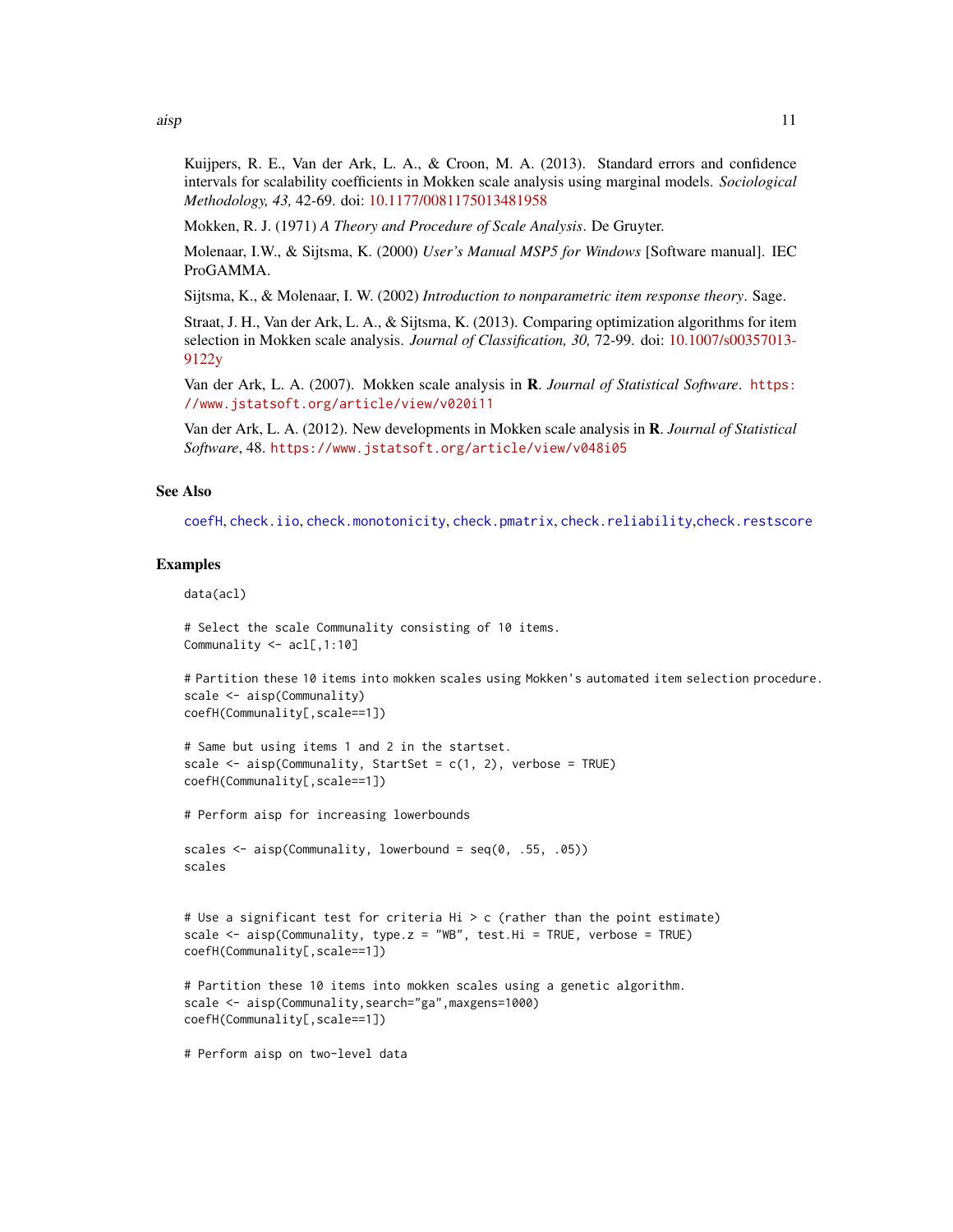<span id="page-10-0"></span>Kuijpers, R. E., Van der Ark, L. A., & Croon, M. A. (2013). Standard errors and confidence intervals for scalability coefficients in Mokken scale analysis using marginal models. *Sociological Methodology, 43,* 42-69. doi: [10.1177/0081175013481958](https://doi.org/10.1177/0081175013481958)

Mokken, R. J. (1971) *A Theory and Procedure of Scale Analysis*. De Gruyter.

Molenaar, I.W., & Sijtsma, K. (2000) *User's Manual MSP5 for Windows* [Software manual]. IEC ProGAMMA.

Sijtsma, K., & Molenaar, I. W. (2002) *Introduction to nonparametric item response theory*. Sage.

Straat, J. H., Van der Ark, L. A., & Sijtsma, K. (2013). Comparing optimization algorithms for item selection in Mokken scale analysis. *Journal of Classification, 30,* 72-99. doi: [10.1007/s00357013-](https://doi.org/10.1007/s00357-013-9122-y) [9122y](https://doi.org/10.1007/s00357-013-9122-y)

Van der Ark, L. A. (2007). Mokken scale analysis in R. *Journal of Statistical Software*. [https:](https://www.jstatsoft.org/article/view/v020i11) [//www.jstatsoft.org/article/view/v020i11](https://www.jstatsoft.org/article/view/v020i11)

Van der Ark, L. A. (2012). New developments in Mokken scale analysis in R. *Journal of Statistical Software*, 48. <https://www.jstatsoft.org/article/view/v048i05>

#### See Also

[coefH](#page-28-1), [check.iio](#page-18-1), [check.monotonicity](#page-21-1), [check.pmatrix](#page-24-1), [check.reliability](#page-25-1), [check.restscore](#page-27-1)

# Examples

data(acl)

```
# Select the scale Communality consisting of 10 items.
Communality <- acl[,1:10]
```

```
# Partition these 10 items into mokken scales using Mokken's automated item selection procedure.
scale <- aisp(Communality)
coefH(Communality[,scale==1])
```

```
# Same but using items 1 and 2 in the startset.
scale \leq aisp(Communality, StartSet = c(1, 2), verbose = TRUE)
coefH(Communality[,scale==1])
```
# Perform aisp for increasing lowerbounds

```
scales \leq aisp(Communality, lowerbound = seq(0, .55, .05))
scales
```

```
# Use a significant test for criteria Hi > c (rather than the point estimate)
scale \leq aisp(Communality, type.z = "WB", test.Hi = TRUE, verbose = TRUE)
coefH(Communality[,scale==1])
```

```
# Partition these 10 items into mokken scales using a genetic algorithm.
scale <- aisp(Communality,search="ga",maxgens=1000)
coefH(Communality[,scale==1])
```
# Perform aisp on two-level data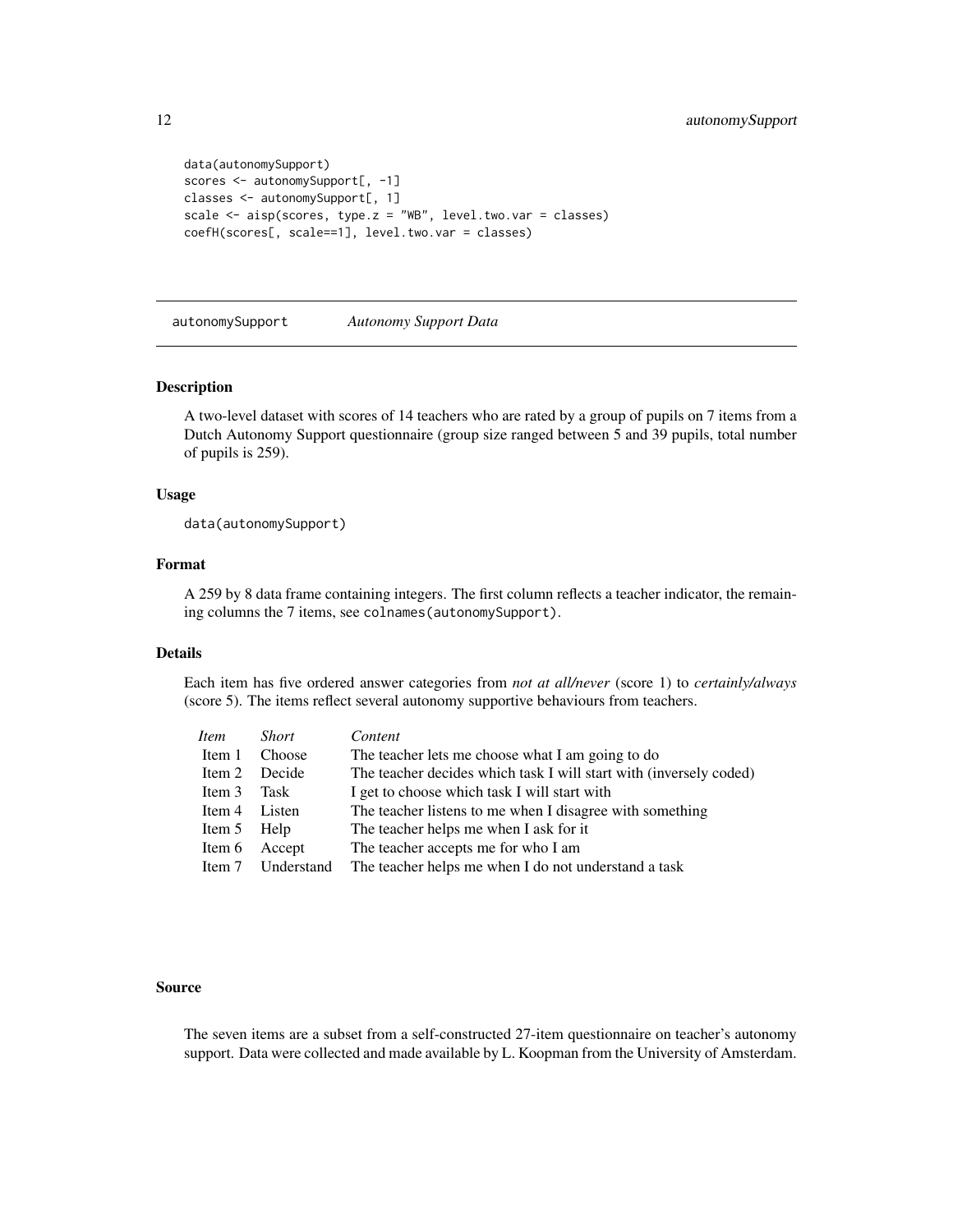```
data(autonomySupport)
scores <- autonomySupport[, -1]
classes <- autonomySupport[, 1]
scale <- aisp(scores, type.z = "WB", level.two.var = classes)
coefH(scores[, scale==1], level.two.var = classes)
```
<span id="page-11-1"></span>autonomySupport *Autonomy Support Data*

# Description

A two-level dataset with scores of 14 teachers who are rated by a group of pupils on 7 items from a Dutch Autonomy Support questionnaire (group size ranged between 5 and 39 pupils, total number of pupils is 259).

#### Usage

data(autonomySupport)

# Format

A 259 by 8 data frame containing integers. The first column reflects a teacher indicator, the remaining columns the 7 items, see colnames(autonomySupport).

# Details

Each item has five ordered answer categories from *not at all/never* (score 1) to *certainly/always* (score 5). The items reflect several autonomy supportive behaviours from teachers.

| Item        | <i>Short</i>      | Content                                                            |
|-------------|-------------------|--------------------------------------------------------------------|
| Item 1      | Choose            | The teacher lets me choose what I am going to do                   |
|             | Item 2 Decide     | The teacher decides which task I will start with (inversely coded) |
| Item 3      | Task              | I get to choose which task I will start with                       |
| Item 4      | Listen            | The teacher listens to me when I disagree with something           |
| Item 5 Help |                   | The teacher helps me when I ask for it                             |
| Item 6      | Accept            | The teacher accepts me for who I am                                |
|             | Item 7 Understand | The teacher helps me when I do not understand a task               |
|             |                   |                                                                    |

#### Source

The seven items are a subset from a self-constructed 27-item questionnaire on teacher's autonomy support. Data were collected and made available by L. Koopman from the University of Amsterdam.

<span id="page-11-0"></span>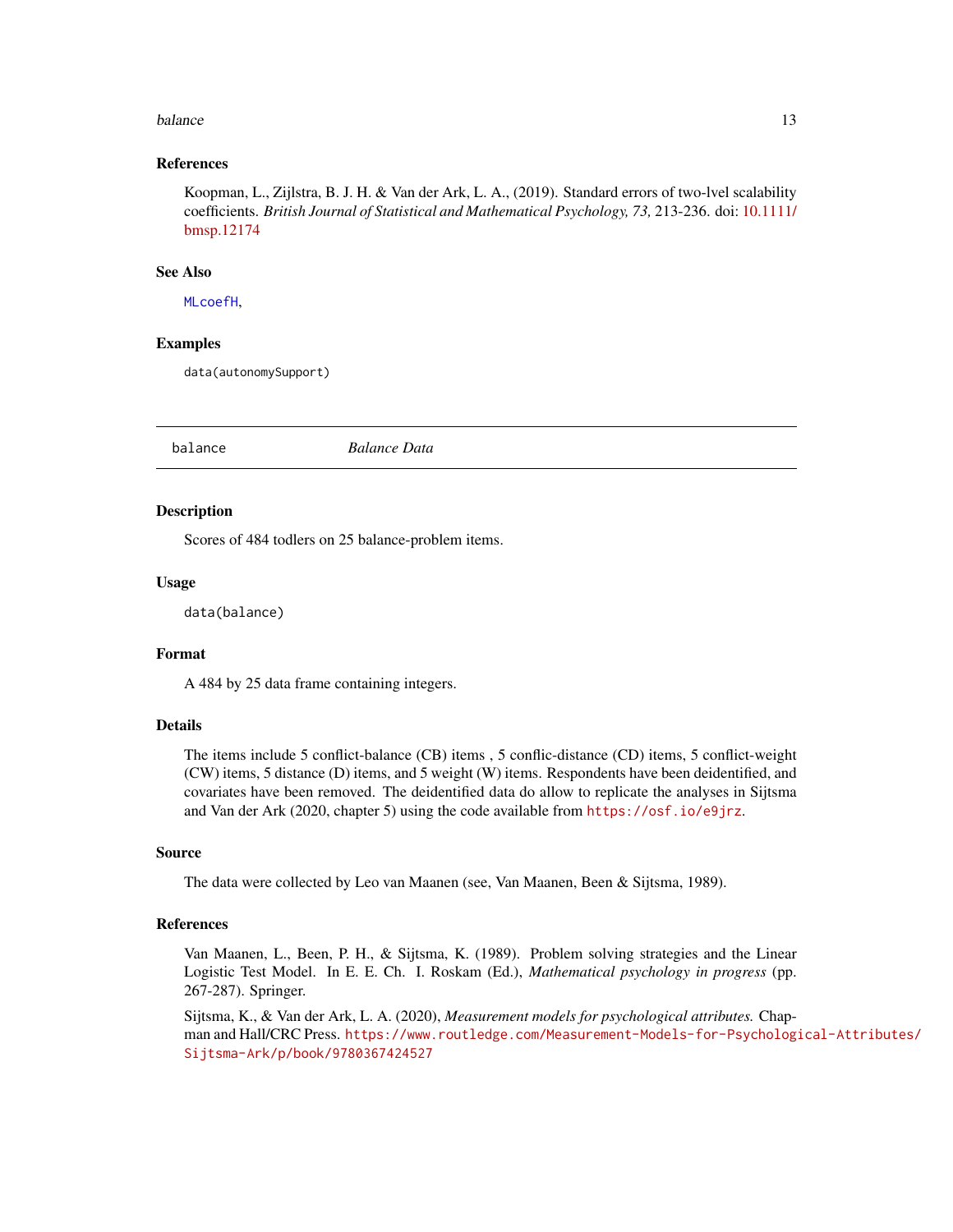#### <span id="page-12-0"></span>balance 13

# References

Koopman, L., Zijlstra, B. J. H. & Van der Ark, L. A., (2019). Standard errors of two-lvel scalability coefficients. *British Journal of Statistical and Mathematical Psychology, 73,* 213-236. doi: [10.1111/](https://doi.org/10.1111/bmsp.12174) [bmsp.12174](https://doi.org/10.1111/bmsp.12174)

# See Also

[MLcoefH](#page-37-1),

#### Examples

data(autonomySupport)

<span id="page-12-1"></span>balance *Balance Data*

#### **Description**

Scores of 484 todlers on 25 balance-problem items.

# Usage

data(balance)

# Format

A 484 by 25 data frame containing integers.

# Details

The items include 5 conflict-balance (CB) items , 5 conflic-distance (CD) items, 5 conflict-weight (CW) items, 5 distance (D) items, and 5 weight (W) items. Respondents have been deidentified, and covariates have been removed. The deidentified data do allow to replicate the analyses in Sijtsma and Van der Ark (2020, chapter 5) using the code available from <https://osf.io/e9jrz>.

#### Source

The data were collected by Leo van Maanen (see, Van Maanen, Been & Sijtsma, 1989).

# References

Van Maanen, L., Been, P. H., & Sijtsma, K. (1989). Problem solving strategies and the Linear Logistic Test Model. In E. E. Ch. I. Roskam (Ed.), *Mathematical psychology in progress* (pp. 267-287). Springer.

Sijtsma, K., & Van der Ark, L. A. (2020), *Measurement models for psychological attributes.* Chapman and Hall/CRC Press. [https://www.routledge.com/Measurement-Models-for-Psychologi](https://www.routledge.com/Measurement-Models-for-Psychological-Attributes/Sijtsma-Ark/p/book/9780367424527)cal-Attributes/ [Sijtsma-Ark/p/book/9780367424527](https://www.routledge.com/Measurement-Models-for-Psychological-Attributes/Sijtsma-Ark/p/book/9780367424527)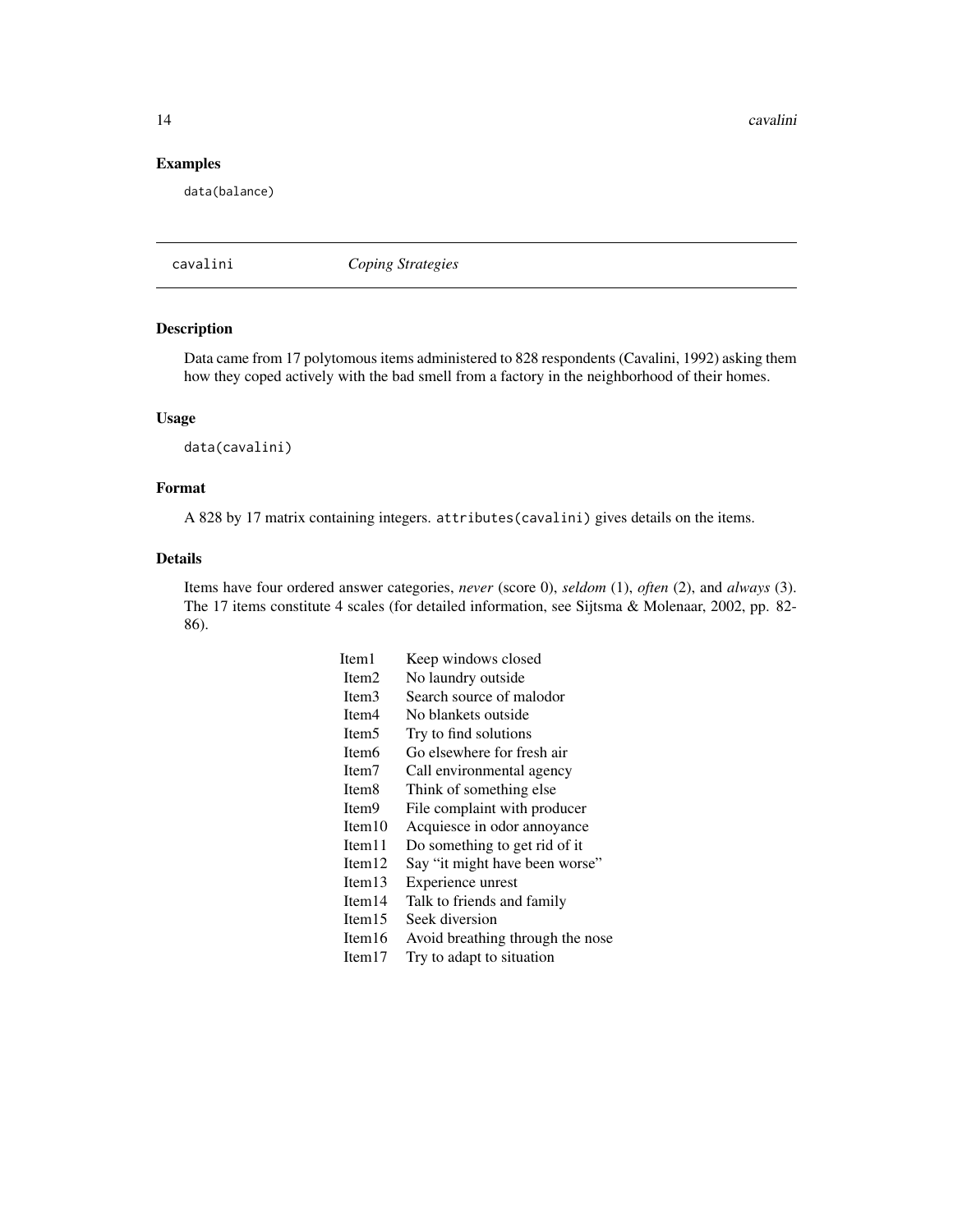<span id="page-13-0"></span>14 cavalini

# Examples

data(balance)

<span id="page-13-1"></span>cavalini *Coping Strategies*

# Description

Data came from 17 polytomous items administered to 828 respondents (Cavalini, 1992) asking them how they coped actively with the bad smell from a factory in the neighborhood of their homes.

# Usage

data(cavalini)

# Format

A 828 by 17 matrix containing integers. attributes(cavalini) gives details on the items.

# Details

Items have four ordered answer categories, *never* (score 0), *seldom* (1), *often* (2), and *always* (3). The 17 items constitute 4 scales (for detailed information, see Sijtsma & Molenaar, 2002, pp. 82- 86).

| Item 1            | Keep windows closed              |
|-------------------|----------------------------------|
| Item <sub>2</sub> | No laundry outside               |
| Item3             | Search source of malodor         |
| Item <sub>4</sub> | No blankets outside              |
| Item <sub>5</sub> | Try to find solutions            |
| Item <sub>6</sub> | Go elsewhere for fresh air       |
| Item <sub>7</sub> | Call environmental agency        |
| Item <sub>8</sub> | Think of something else.         |
| Item <sub>9</sub> | File complaint with producer     |
| Item $10$         | Acquiesce in odor annoyance      |
| Item $11$         | Do something to get rid of it    |
| Item12            | Say "it might have been worse"   |
| Item13            | Experience unrest                |
| Item $14$         | Talk to friends and family       |
| Item $15$         | Seek diversion                   |
| Item $16$         | Avoid breathing through the nose |
| Item $17$         | Try to adapt to situation        |
|                   |                                  |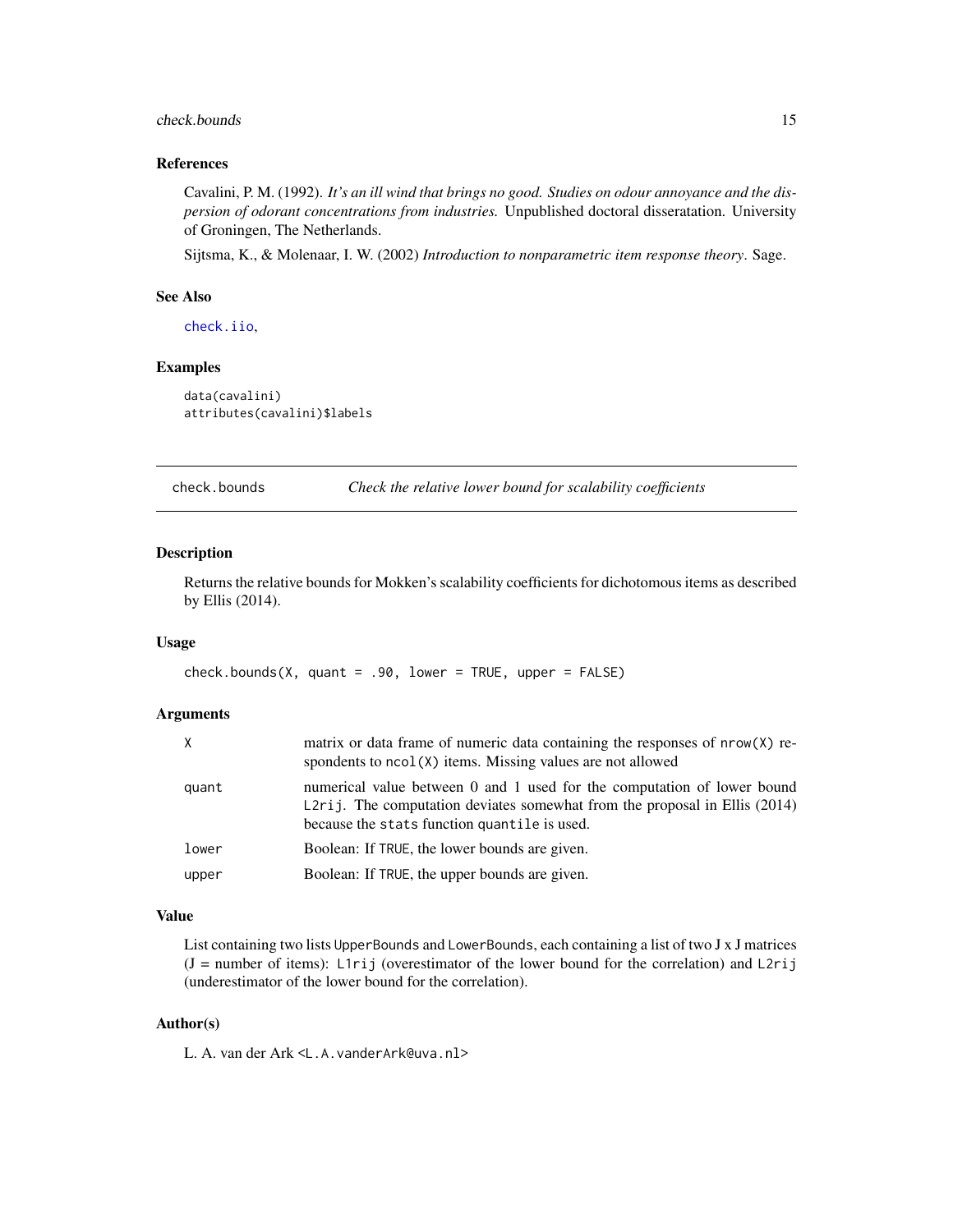# <span id="page-14-0"></span>check.bounds 15

# References

Cavalini, P. M. (1992). *It's an ill wind that brings no good. Studies on odour annoyance and the dispersion of odorant concentrations from industries.* Unpublished doctoral disseratation. University of Groningen, The Netherlands.

Sijtsma, K., & Molenaar, I. W. (2002) *Introduction to nonparametric item response theory*. Sage.

# See Also

[check.iio](#page-18-1),

# Examples

```
data(cavalini)
attributes(cavalini)$labels
```
check.bounds *Check the relative lower bound for scalability coefficients*

#### Description

Returns the relative bounds for Mokken's scalability coefficients for dichotomous items as described by Ellis (2014).

#### Usage

```
check.bounds(X, quant = .90, lower = TRUE, upper = FALSE)
```
# Arguments

| X.    | matrix or data frame of numeric data containing the responses of nrow(X) re-<br>spondents to $ncol(X)$ items. Missing values are not allowed                                                            |
|-------|---------------------------------------------------------------------------------------------------------------------------------------------------------------------------------------------------------|
| quant | numerical value between 0 and 1 used for the computation of lower bound<br>L2rij. The computation deviates somewhat from the proposal in Ellis $(2014)$<br>because the stats function quantile is used. |
| lower | Boolean: If TRUE, the lower bounds are given.                                                                                                                                                           |
| upper | Boolean: If TRUE, the upper bounds are given.                                                                                                                                                           |

#### Value

List containing two lists UpperBounds and LowerBounds, each containing a list of two J x J matrices  $(J =$  number of items): L1rij (overestimator of the lower bound for the correlation) and L2rij (underestimator of the lower bound for the correlation).

# Author(s)

L. A. van der Ark <L.A.vanderArk@uva.nl>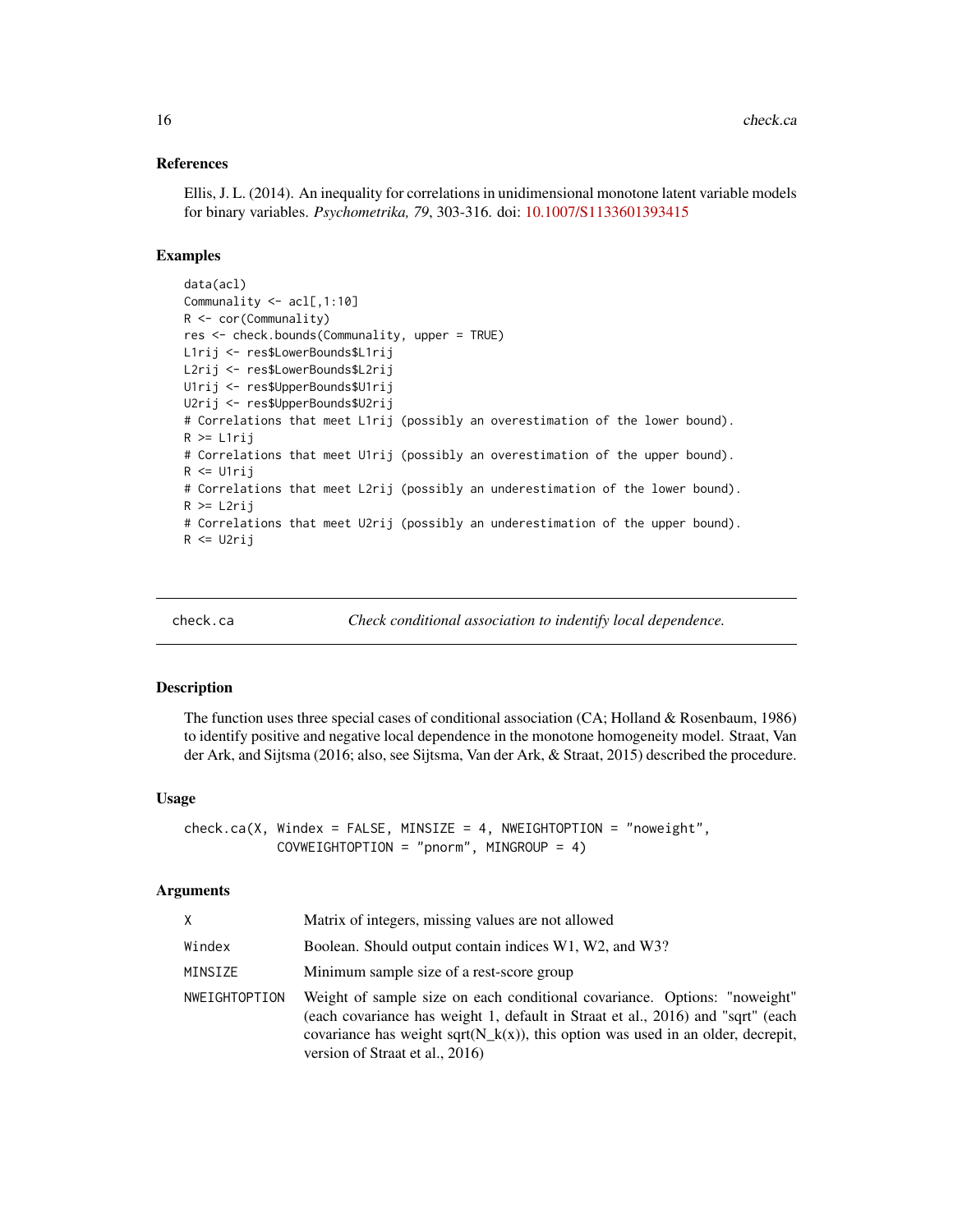# References

Ellis, J. L. (2014). An inequality for correlations in unidimensional monotone latent variable models for binary variables. *Psychometrika, 79*, 303-316. doi: [10.1007/S1133601393415](https://doi.org/10.1007/S11336-013-9341-5)

# Examples

```
data(acl)
Communality <- acl[,1:10]
R <- cor(Communality)
res <- check.bounds(Communality, upper = TRUE)
L1rij <- res$LowerBounds$L1rij
L2rij <- res$LowerBounds$L2rij
U1rij <- res$UpperBounds$U1rij
U2rij <- res$UpperBounds$U2rij
# Correlations that meet L1rij (possibly an overestimation of the lower bound).
R >= L1rij
# Correlations that meet U1rij (possibly an overestimation of the upper bound).
R <= U1rij
# Correlations that meet L2rij (possibly an underestimation of the lower bound).
R >= L2rij
# Correlations that meet U2rij (possibly an underestimation of the upper bound).
R <= U2rij
```
<span id="page-15-1"></span>check.ca *Check conditional association to indentify local dependence.*

#### Description

The function uses three special cases of conditional association (CA; Holland & Rosenbaum, 1986) to identify positive and negative local dependence in the monotone homogeneity model. Straat, Van der Ark, and Sijtsma (2016; also, see Sijtsma, Van der Ark, & Straat, 2015) described the procedure.

#### Usage

check.ca(X, Windex = FALSE, MINSIZE = 4, NWEIGHTOPTION = "noweight", COVWEIGHTOPTION = "pnorm", MINGROUP = 4)

# Arguments

| X             | Matrix of integers, missing values are not allowed                                                                                                                                                                                                                                     |
|---------------|----------------------------------------------------------------------------------------------------------------------------------------------------------------------------------------------------------------------------------------------------------------------------------------|
| Windex        | Boolean. Should output contain indices W1, W2, and W3?                                                                                                                                                                                                                                 |
| MINSIZE       | Minimum sample size of a rest-score group                                                                                                                                                                                                                                              |
| NWEIGHTOPTION | Weight of sample size on each conditional covariance. Options: "noweight"<br>(each covariance has weight 1, default in Straat et al., 2016) and "sqrt" (each<br>covariance has weight sqrt( $N_k(x)$ ), this option was used in an older, decrepit,<br>version of Straat et al., 2016) |

<span id="page-15-0"></span>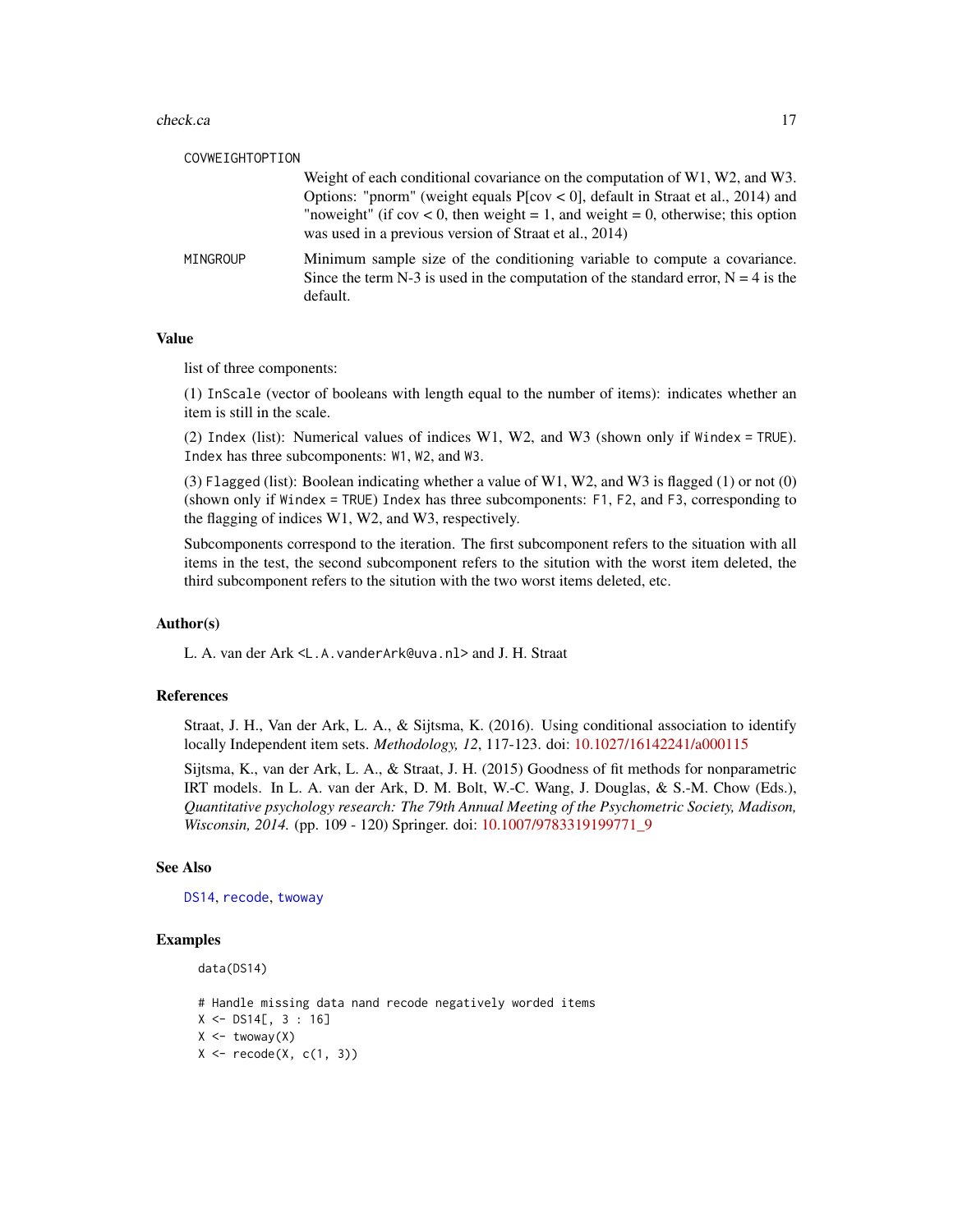<span id="page-16-0"></span>

| COVWEIGHTOPTION |                                                                                                                                                                                                                                                                                                                            |
|-----------------|----------------------------------------------------------------------------------------------------------------------------------------------------------------------------------------------------------------------------------------------------------------------------------------------------------------------------|
|                 | Weight of each conditional covariance on the computation of $W1$ , $W2$ , and $W3$ .<br>Options: "pnorm" (weight equals $P[cov < 0]$ , default in Straat et al., 2014) and<br>"noweight" (if $cov < 0$ , then weight = 1, and weight = 0, otherwise; this option<br>was used in a previous version of Straat et al., 2014) |
| MINGROUP        | Minimum sample size of the conditioning variable to compute a covariance.<br>Since the term N-3 is used in the computation of the standard error, $N = 4$ is the<br>default.                                                                                                                                               |

# Value

list of three components:

(1) InScale (vector of booleans with length equal to the number of items): indicates whether an item is still in the scale.

(2) Index (list): Numerical values of indices W1, W2, and W3 (shown only if Windex = TRUE). Index has three subcomponents: W1, W2, and W3.

(3) Flagged (list): Boolean indicating whether a value of W1, W2, and W3 is flagged (1) or not (0) (shown only if Windex = TRUE) Index has three subcomponents: F1, F2, and F3, corresponding to the flagging of indices W1, W2, and W3, respectively.

Subcomponents correspond to the iteration. The first subcomponent refers to the situation with all items in the test, the second subcomponent refers to the sitution with the worst item deleted, the third subcomponent refers to the sitution with the two worst items deleted, etc.

# Author(s)

L. A. van der Ark <L.A.vanderArk@uva.nl> and J. H. Straat

# References

Straat, J. H., Van der Ark, L. A., & Sijtsma, K. (2016). Using conditional association to identify locally Independent item sets. *Methodology, 12*, 117-123. doi: [10.1027/16142241/a000115](https://doi.org/10.1027/1614-2241/a000115)

Sijtsma, K., van der Ark, L. A., & Straat, J. H. (2015) Goodness of fit methods for nonparametric IRT models. In L. A. van der Ark, D. M. Bolt, W.-C. Wang, J. Douglas, & S.-M. Chow (Eds.), *Quantitative psychology research: The 79th Annual Meeting of the Psychometric Society, Madison, Wisconsin, 2014.* (pp. 109 - 120) Springer. doi: [10.1007/9783319199771\\_9](https://doi.org/10.1007/978-3-319-19977-1_9)

# See Also

[DS14](#page-33-1), [recode](#page-49-1), [twoway](#page-61-1)

#### Examples

data(DS14)

# Handle missing data nand recode negatively worded items  $X \le -$  DS14[, 3 : 16]  $X \leftarrow$  twoway $(X)$  $X \leftarrow \text{recode}(X, c(1, 3))$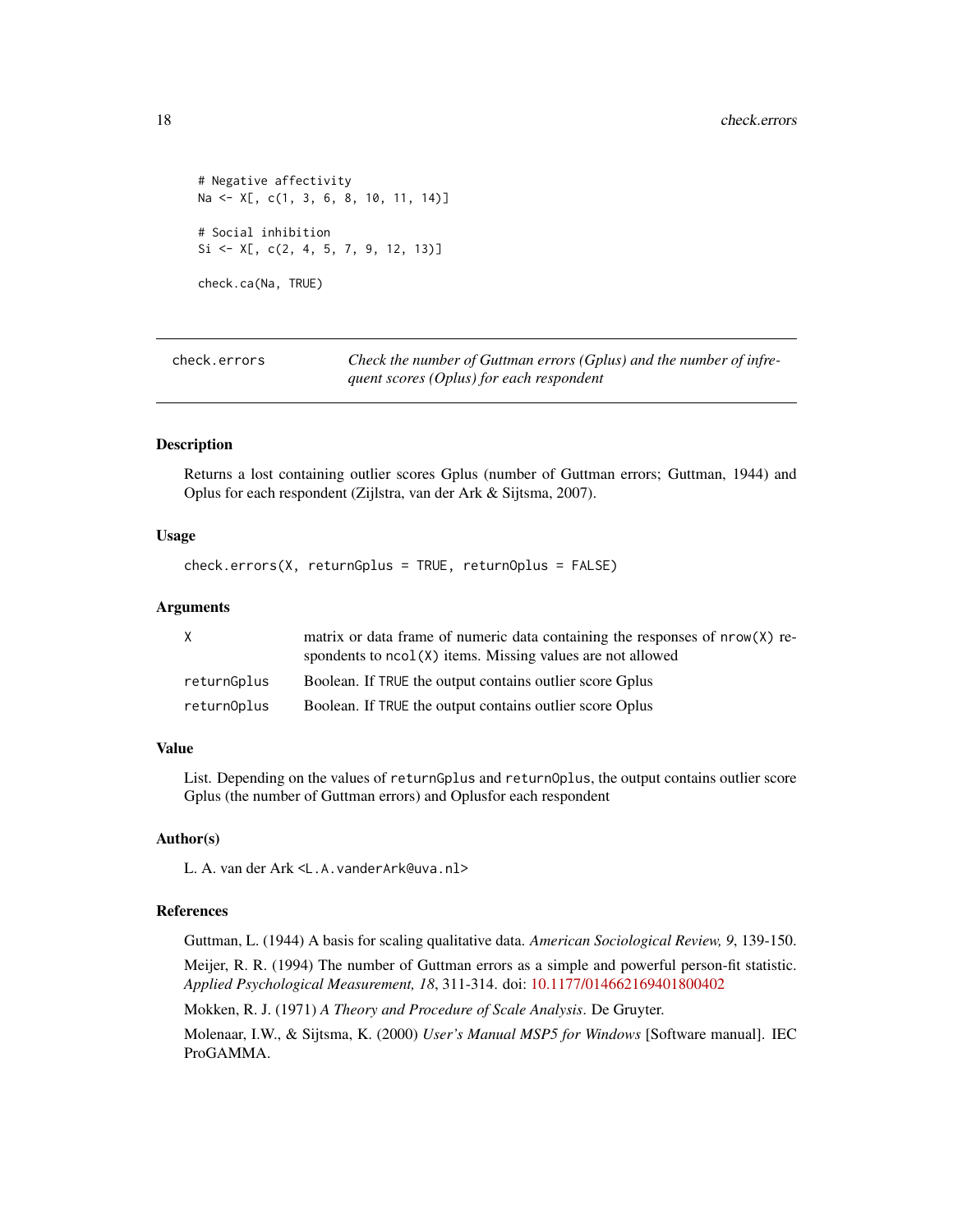```
# Negative affectivity
Na <- X[, c(1, 3, 6, 8, 10, 11, 14)]
# Social inhibition
Si \leftarrow X[, C(2, 4, 5, 7, 9, 12, 13)]check.ca(Na, TRUE)
```
<span id="page-17-1"></span>check.errors *Check the number of Guttman errors (Gplus) and the number of infrequent scores (Oplus) for each respondent*

# **Description**

Returns a lost containing outlier scores Gplus (number of Guttman errors; Guttman, 1944) and Oplus for each respondent (Zijlstra, van der Ark & Sijtsma, 2007).

# Usage

check.errors(X, returnGplus = TRUE, returnOplus = FALSE)

#### Arguments

| X           | matrix or data frame of numeric data containing the responses of nrow(X) re-<br>spondents to $ncol(X)$ items. Missing values are not allowed |
|-------------|----------------------------------------------------------------------------------------------------------------------------------------------|
| returnGplus | Boolean. If TRUE the output contains outlier score Gplus                                                                                     |
| returnOplus | Boolean. If TRUE the output contains outlier score Oplus                                                                                     |

# Value

List. Depending on the values of returnGplus and returnOplus, the output contains outlier score Gplus (the number of Guttman errors) and Oplusfor each respondent

# Author(s)

L. A. van der Ark <L.A.vanderArk@uva.nl>

#### References

Guttman, L. (1944) A basis for scaling qualitative data. *American Sociological Review, 9*, 139-150.

Meijer, R. R. (1994) The number of Guttman errors as a simple and powerful person-fit statistic. *Applied Psychological Measurement, 18*, 311-314. doi: [10.1177/014662169401800402](https://doi.org/10.1177/014662169401800402)

Mokken, R. J. (1971) *A Theory and Procedure of Scale Analysis*. De Gruyter.

Molenaar, I.W., & Sijtsma, K. (2000) *User's Manual MSP5 for Windows* [Software manual]. IEC ProGAMMA.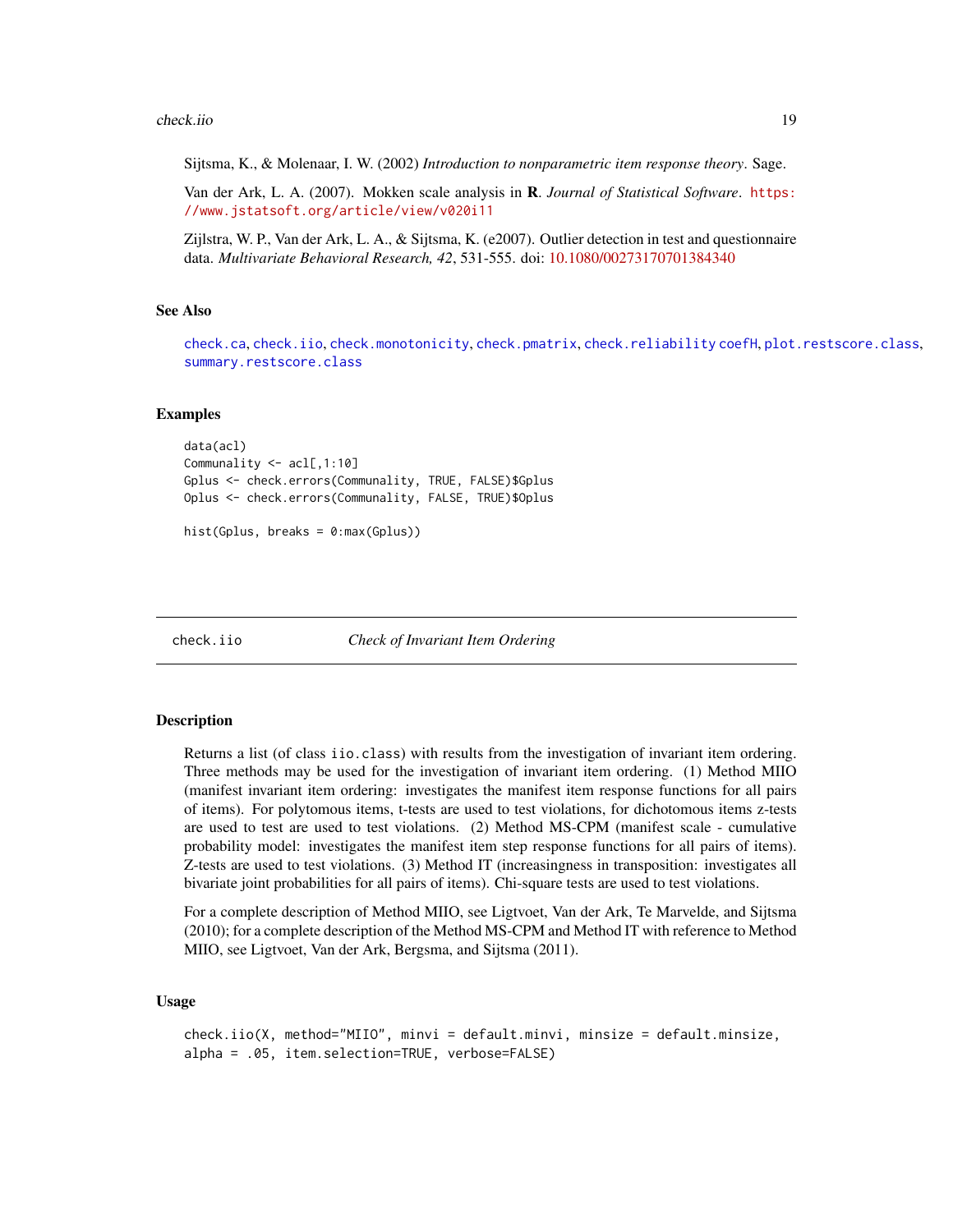#### <span id="page-18-0"></span>check.iio 19

Sijtsma, K., & Molenaar, I. W. (2002) *Introduction to nonparametric item response theory*. Sage.

Van der Ark, L. A. (2007). Mokken scale analysis in R. *Journal of Statistical Software*. [https:](https://www.jstatsoft.org/article/view/v020i11) [//www.jstatsoft.org/article/view/v020i11](https://www.jstatsoft.org/article/view/v020i11)

Zijlstra, W. P., Van der Ark, L. A., & Sijtsma, K. (e2007). Outlier detection in test and questionnaire data. *Multivariate Behavioral Research, 42*, 531-555. doi: [10.1080/00273170701384340](https://doi.org/10.1080/00273170701384340)

#### See Also

[check.ca](#page-15-1), [check.iio](#page-18-1), [check.monotonicity](#page-21-1), [check.pmatrix](#page-24-1), [check.reliability](#page-25-1) [coefH](#page-28-1), [plot.restscore.class](#page-48-1), [summary.restscore.class](#page-55-1)

# Examples

```
data(acl)
Communality <- acl[,1:10]
Gplus <- check.errors(Communality, TRUE, FALSE)$Gplus
Oplus <- check.errors(Communality, FALSE, TRUE)$Oplus
hist(Gplus, breaks = 0:max(Gplus))
```
<span id="page-18-1"></span>check.iio *Check of Invariant Item Ordering*

#### **Description**

Returns a list (of class iio.class) with results from the investigation of invariant item ordering. Three methods may be used for the investigation of invariant item ordering. (1) Method MIIO (manifest invariant item ordering: investigates the manifest item response functions for all pairs of items). For polytomous items, t-tests are used to test violations, for dichotomous items z-tests are used to test are used to test violations. (2) Method MS-CPM (manifest scale - cumulative probability model: investigates the manifest item step response functions for all pairs of items). Z-tests are used to test violations. (3) Method IT (increasingness in transposition: investigates all bivariate joint probabilities for all pairs of items). Chi-square tests are used to test violations.

For a complete description of Method MIIO, see Ligtvoet, Van der Ark, Te Marvelde, and Sijtsma (2010); for a complete description of the Method MS-CPM and Method IT with reference to Method MIIO, see Ligtvoet, Van der Ark, Bergsma, and Sijtsma (2011).

# Usage

```
check.iio(X, method="MIIO", minvi = default.minvi, minsize = default.minsize,
alpha = .05, item.selection=TRUE, verbose=FALSE)
```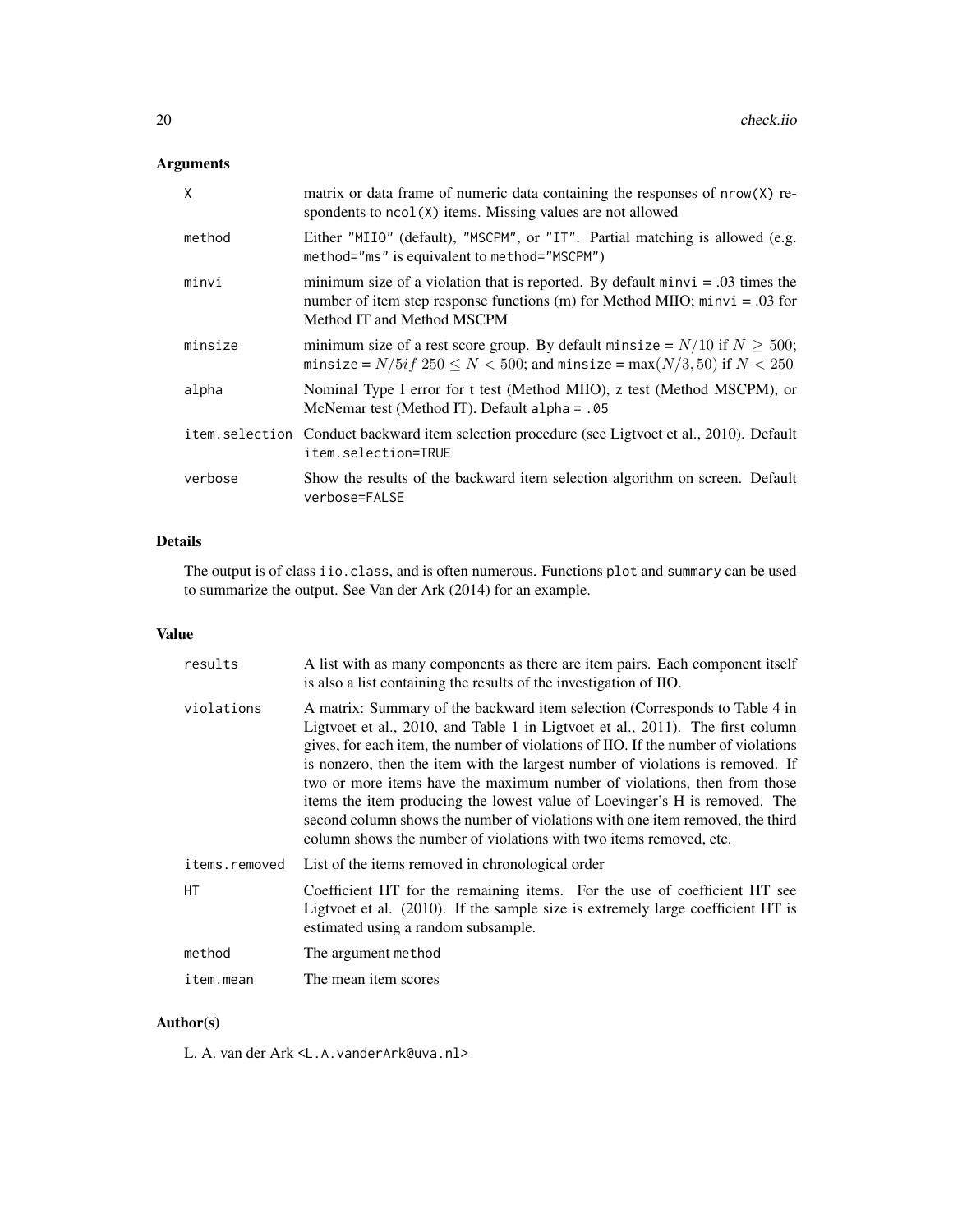# Arguments

| X       | matrix or data frame of numeric data containing the responses of nrow(X) re-<br>spondents to ncol(X) items. Missing values are not allowed                                                      |
|---------|-------------------------------------------------------------------------------------------------------------------------------------------------------------------------------------------------|
| method  | Either "MIIO" (default), "MSCPM", or "IT". Partial matching is allowed (e.g.<br>method="ms" is equivalent to method="MSCPM")                                                                    |
| minvi   | minimum size of a violation that is reported. By default $minvi = .03$ times the<br>number of item step response functions (m) for Method MIIO; $minvi = .03$ for<br>Method IT and Method MSCPM |
| minsize | minimum size of a rest score group. By default minsize = $N/10$ if $N \ge 500$ ;<br>minsize = $N/5$ if $250 \le N < 500$ ; and minsize = max $(N/3, 50)$ if $N < 250$                           |
| alpha   | Nominal Type I error for t test (Method MIIO), z test (Method MSCPM), or<br>McNemar test (Method IT). Default alpha = $.05$                                                                     |
|         | item. selection Conduct backward item selection procedure (see Ligtvoet et al., 2010). Default<br>item.selection=TRUE                                                                           |
| verbose | Show the results of the backward item selection algorithm on screen. Default<br>verbose=FALSE                                                                                                   |

# Details

The output is of class iio.class, and is often numerous. Functions plot and summary can be used to summarize the output. See Van der Ark (2014) for an example.

# Value

| results       | A list with as many components as there are item pairs. Each component itself<br>is also a list containing the results of the investigation of IIO.                                                                                                                                                                                                                                                                                                                                                                                                                                                                                                    |
|---------------|--------------------------------------------------------------------------------------------------------------------------------------------------------------------------------------------------------------------------------------------------------------------------------------------------------------------------------------------------------------------------------------------------------------------------------------------------------------------------------------------------------------------------------------------------------------------------------------------------------------------------------------------------------|
| violations    | A matrix: Summary of the backward item selection (Corresponds to Table 4 in<br>Ligtvoet et al., 2010, and Table 1 in Ligtvoet et al., 2011). The first column<br>gives, for each item, the number of violations of IIO. If the number of violations<br>is nonzero, then the item with the largest number of violations is removed. If<br>two or more items have the maximum number of violations, then from those<br>items the item producing the lowest value of Loevinger's H is removed. The<br>second column shows the number of violations with one item removed, the third<br>column shows the number of violations with two items removed, etc. |
| items.removed | List of the items removed in chronological order                                                                                                                                                                                                                                                                                                                                                                                                                                                                                                                                                                                                       |
| НT            | Coefficient HT for the remaining items. For the use of coefficient HT see<br>Ligtvoet et al. (2010). If the sample size is extremely large coefficient HT is<br>estimated using a random subsample.                                                                                                                                                                                                                                                                                                                                                                                                                                                    |
| method        | The argument method                                                                                                                                                                                                                                                                                                                                                                                                                                                                                                                                                                                                                                    |
| item.mean     | The mean item scores                                                                                                                                                                                                                                                                                                                                                                                                                                                                                                                                                                                                                                   |

# Author(s)

L. A. van der Ark <L.A.vanderArk@uva.nl>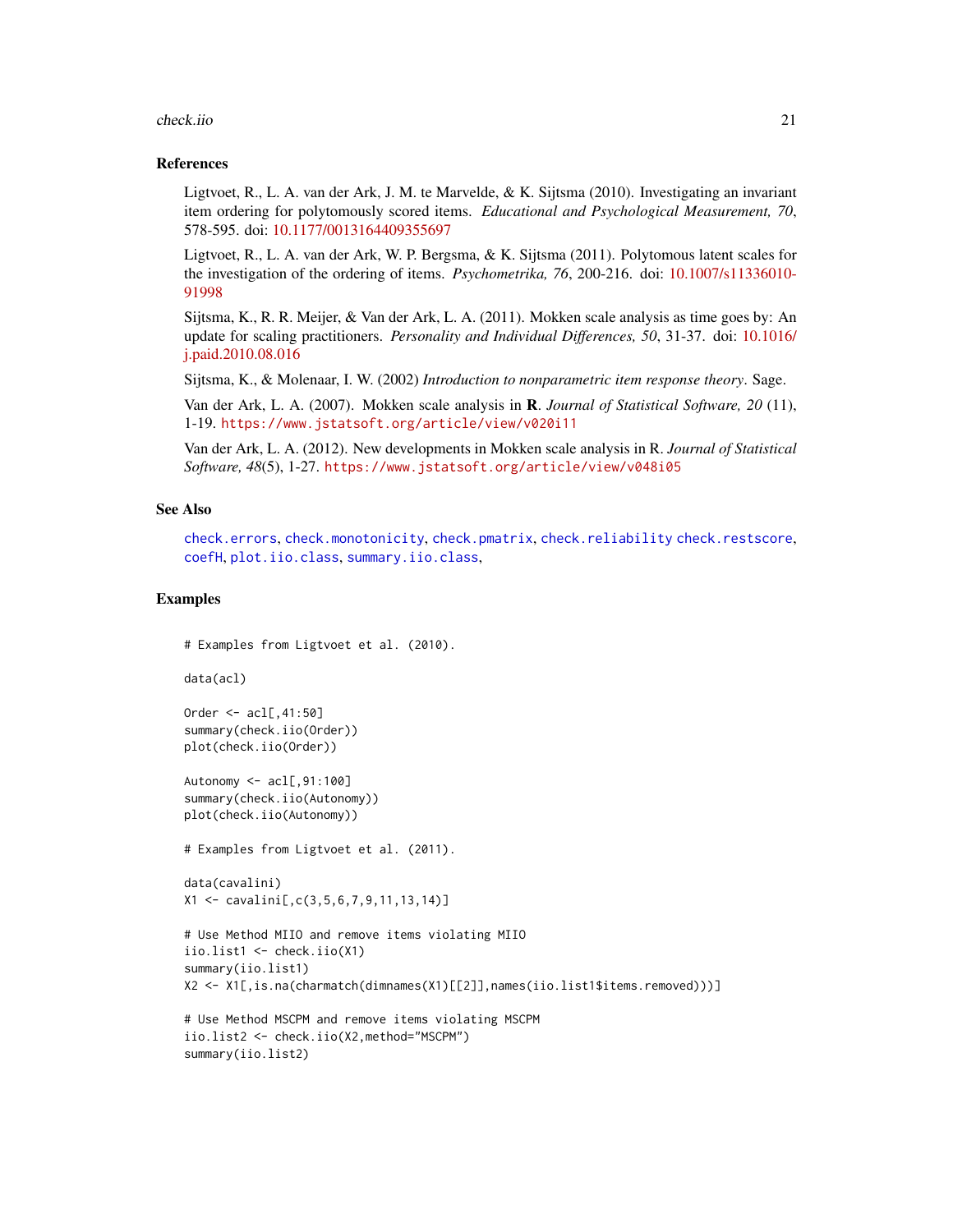#### <span id="page-20-0"></span>check.iio 21

#### References

Ligtvoet, R., L. A. van der Ark, J. M. te Marvelde, & K. Sijtsma (2010). Investigating an invariant item ordering for polytomously scored items. *Educational and Psychological Measurement, 70*, 578-595. doi: [10.1177/0013164409355697](https://doi.org/10.1177/0013164409355697)

Ligtvoet, R., L. A. van der Ark, W. P. Bergsma, & K. Sijtsma (2011). Polytomous latent scales for the investigation of the ordering of items. *Psychometrika, 76*, 200-216. doi: [10.1007/s11336010-](https://doi.org/10.1007/s11336-010-9199-8) [91998](https://doi.org/10.1007/s11336-010-9199-8)

Sijtsma, K., R. R. Meijer, & Van der Ark, L. A. (2011). Mokken scale analysis as time goes by: An update for scaling practitioners. *Personality and Individual Differences, 50*, 31-37. doi: [10.1016/](https://doi.org/10.1016/j.paid.2010.08.016) [j.paid.2010.08.016](https://doi.org/10.1016/j.paid.2010.08.016)

Sijtsma, K., & Molenaar, I. W. (2002) *Introduction to nonparametric item response theory*. Sage.

Van der Ark, L. A. (2007). Mokken scale analysis in R. *Journal of Statistical Software, 20* (11), 1-19. <https://www.jstatsoft.org/article/view/v020i11>

Van der Ark, L. A. (2012). New developments in Mokken scale analysis in R. *Journal of Statistical Software, 48*(5), 1-27. <https://www.jstatsoft.org/article/view/v048i05>

# See Also

[check.errors](#page-17-1), [check.monotonicity](#page-21-1), [check.pmatrix](#page-24-1), [check.reliability](#page-25-1) [check.restscore](#page-27-1), [coefH](#page-28-1), [plot.iio.class](#page-43-1), [summary.iio.class](#page-50-1),

# Examples

```
# Examples from Ligtvoet et al. (2010).
```
data(acl)

```
Order <- acl[,41:50]
summary(check.iio(Order))
plot(check.iio(Order))
```
Autonomy  $\leq -acl[, 91:100]$ summary(check.iio(Autonomy)) plot(check.iio(Autonomy))

```
# Examples from Ligtvoet et al. (2011).
```

```
data(cavalini)
X1 <- cavalini[,c(3,5,6,7,9,11,13,14)]
```

```
# Use Method MIIO and remove items violating MIIO
iio.list1 <- check.iio(X1)
summary(iio.list1)
X2 <- X1[,is.na(charmatch(dimnames(X1)[[2]],names(iio.list1$items.removed)))]
```

```
# Use Method MSCPM and remove items violating MSCPM
iio.list2 <- check.iio(X2,method="MSCPM")
summary(iio.list2)
```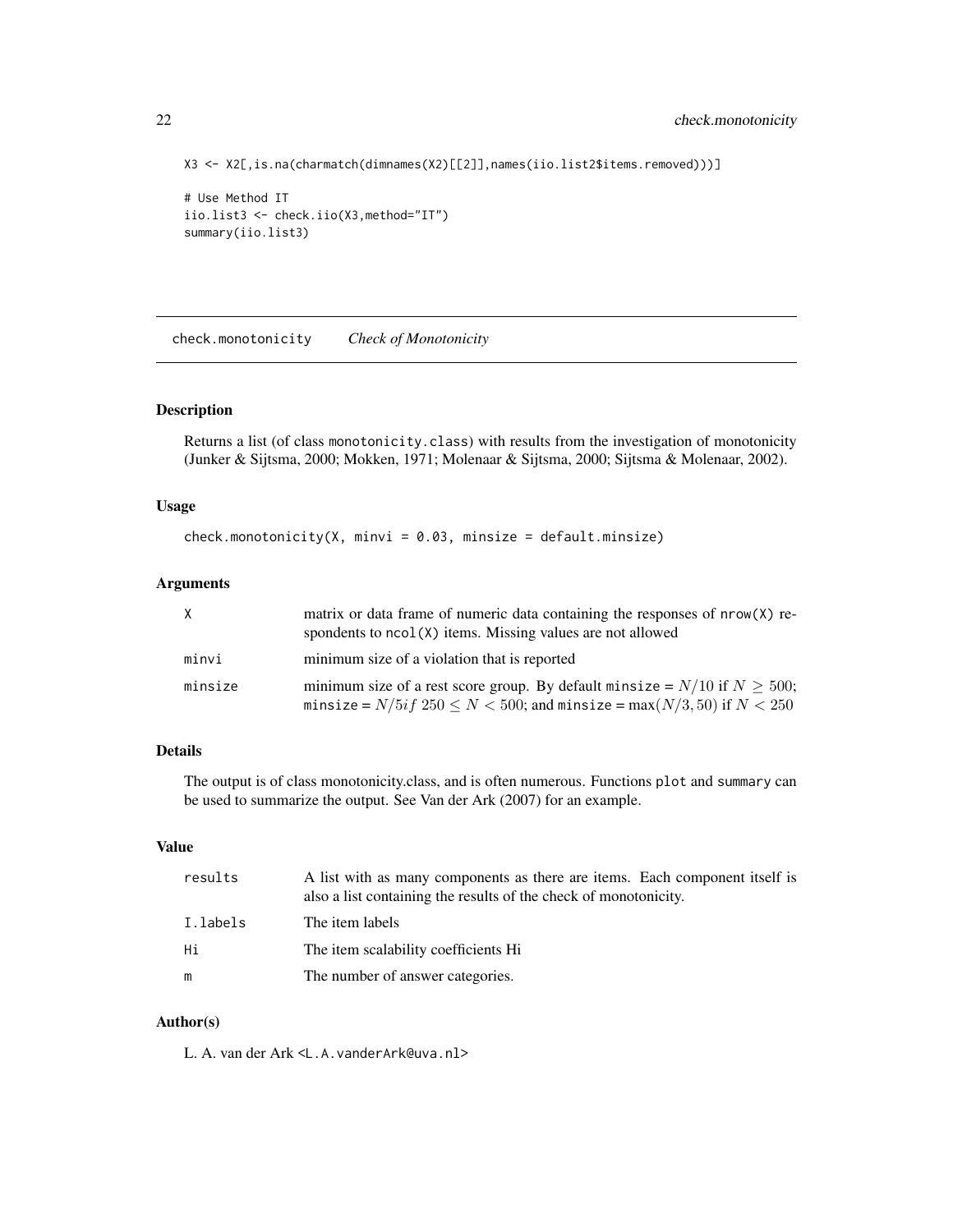```
X3 <- X2[,is.na(charmatch(dimnames(X2)[[2]],names(iio.list2$items.removed)))]
```

```
# Use Method IT
iio.list3 <- check.iio(X3,method="IT")
summary(iio.list3)
```
<span id="page-21-1"></span>check.monotonicity *Check of Monotonicity*

# Description

Returns a list (of class monotonicity.class) with results from the investigation of monotonicity (Junker & Sijtsma, 2000; Mokken, 1971; Molenaar & Sijtsma, 2000; Sijtsma & Molenaar, 2002).

# Usage

 $check.monotonicity(X, minvi = 0.03, minsize = default.minsize)$ 

# Arguments

| X.      | matrix or data frame of numeric data containing the responses of nrow(X) re-<br>spondents to $ncol(X)$ items. Missing values are not allowed                                 |
|---------|------------------------------------------------------------------------------------------------------------------------------------------------------------------------------|
| minvi   | minimum size of a violation that is reported                                                                                                                                 |
| minsize | minimum size of a rest score group. By default minsize = $N/10$ if $N \ge 500$ ;<br>minsize = $N/5$ <i>if</i> $250 \le N < 500$ ; and minsize = max $(N/3, 50)$ if $N < 250$ |

# Details

The output is of class monotonicity.class, and is often numerous. Functions plot and summary can be used to summarize the output. See Van der Ark (2007) for an example.

# Value

| results  | A list with as many components as there are items. Each component itself is<br>also a list containing the results of the check of monotonicity. |
|----------|-------------------------------------------------------------------------------------------------------------------------------------------------|
| I.labels | The item labels                                                                                                                                 |
| Hi       | The item scalability coefficients Hi                                                                                                            |
| m        | The number of answer categories.                                                                                                                |

# Author(s)

L. A. van der Ark <L.A.vanderArk@uva.nl>

<span id="page-21-0"></span>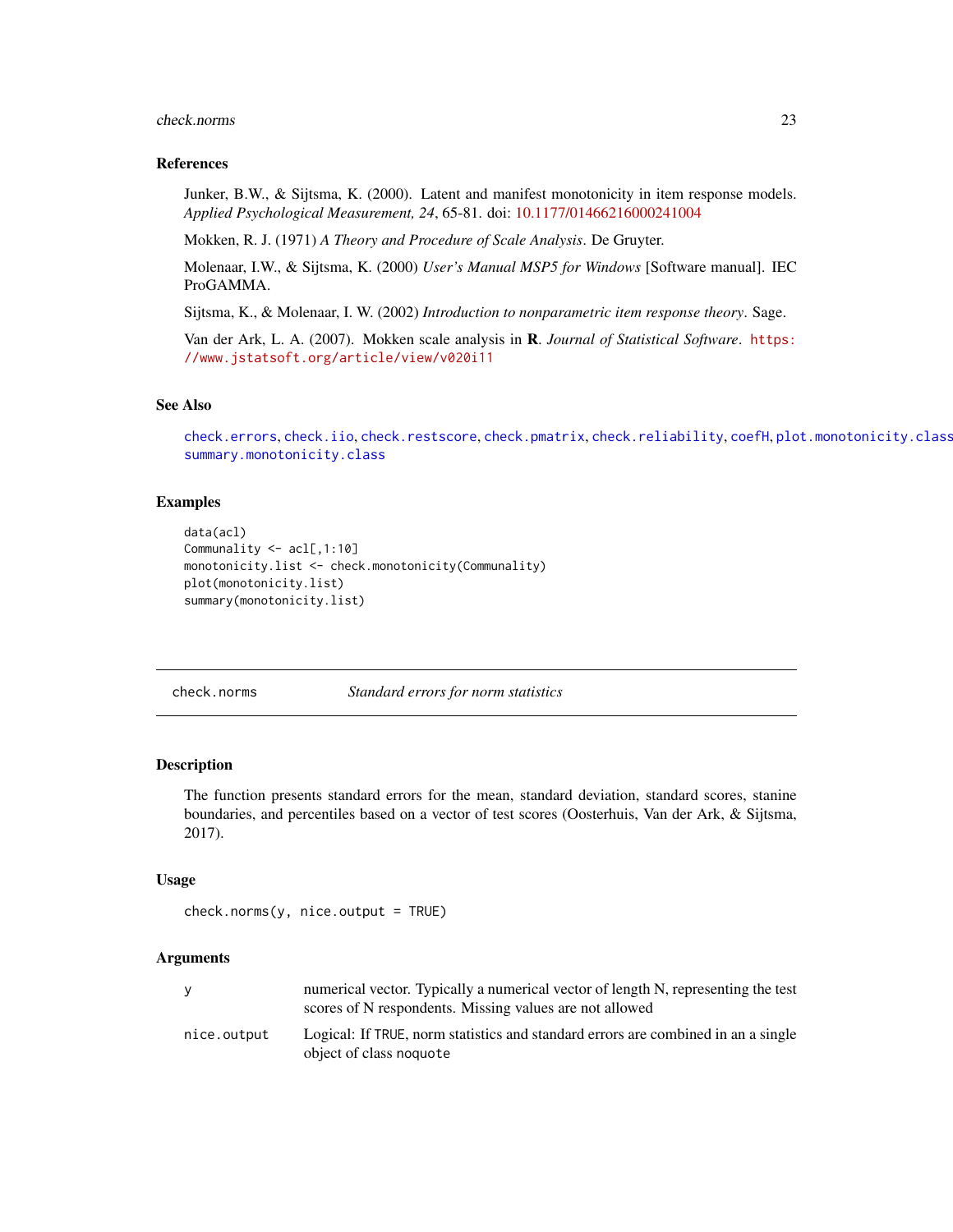#### <span id="page-22-0"></span>check.norms 23

#### References

Junker, B.W., & Sijtsma, K. (2000). Latent and manifest monotonicity in item response models. *Applied Psychological Measurement, 24*, 65-81. doi: [10.1177/01466216000241004](https://doi.org/10.1177/01466216000241004)

Mokken, R. J. (1971) *A Theory and Procedure of Scale Analysis*. De Gruyter.

Molenaar, I.W., & Sijtsma, K. (2000) *User's Manual MSP5 for Windows* [Software manual]. IEC ProGAMMA.

Sijtsma, K., & Molenaar, I. W. (2002) *Introduction to nonparametric item response theory*. Sage.

Van der Ark, L. A. (2007). Mokken scale analysis in R. *Journal of Statistical Software*. [https:](https://www.jstatsoft.org/article/view/v020i11) [//www.jstatsoft.org/article/view/v020i11](https://www.jstatsoft.org/article/view/v020i11)

# See Also

[check.errors](#page-17-1), [check.iio](#page-18-1), [check.restscore](#page-27-1), [check.pmatrix](#page-24-1), [check.reliability](#page-25-1), [coefH](#page-28-1), [plot.monotonicity.class](#page-44-1), [summary.monotonicity.class](#page-52-1)

# Examples

```
data(acl)
Communality <- acl[,1:10]
monotonicity.list <- check.monotonicity(Communality)
plot(monotonicity.list)
summary(monotonicity.list)
```
<span id="page-22-1"></span>check.norms *Standard errors for norm statistics*

# Description

The function presents standard errors for the mean, standard deviation, standard scores, stanine boundaries, and percentiles based on a vector of test scores (Oosterhuis, Van der Ark, & Sijtsma, 2017).

#### Usage

```
check.norms(y, nice.output = TRUE)
```
#### Arguments

|             | numerical vector. Typically a numerical vector of length N, representing the test<br>scores of N respondents. Missing values are not allowed |
|-------------|----------------------------------------------------------------------------------------------------------------------------------------------|
| nice.output | Logical: If TRUE, norm statistics and standard errors are combined in an a single<br>object of class noquote                                 |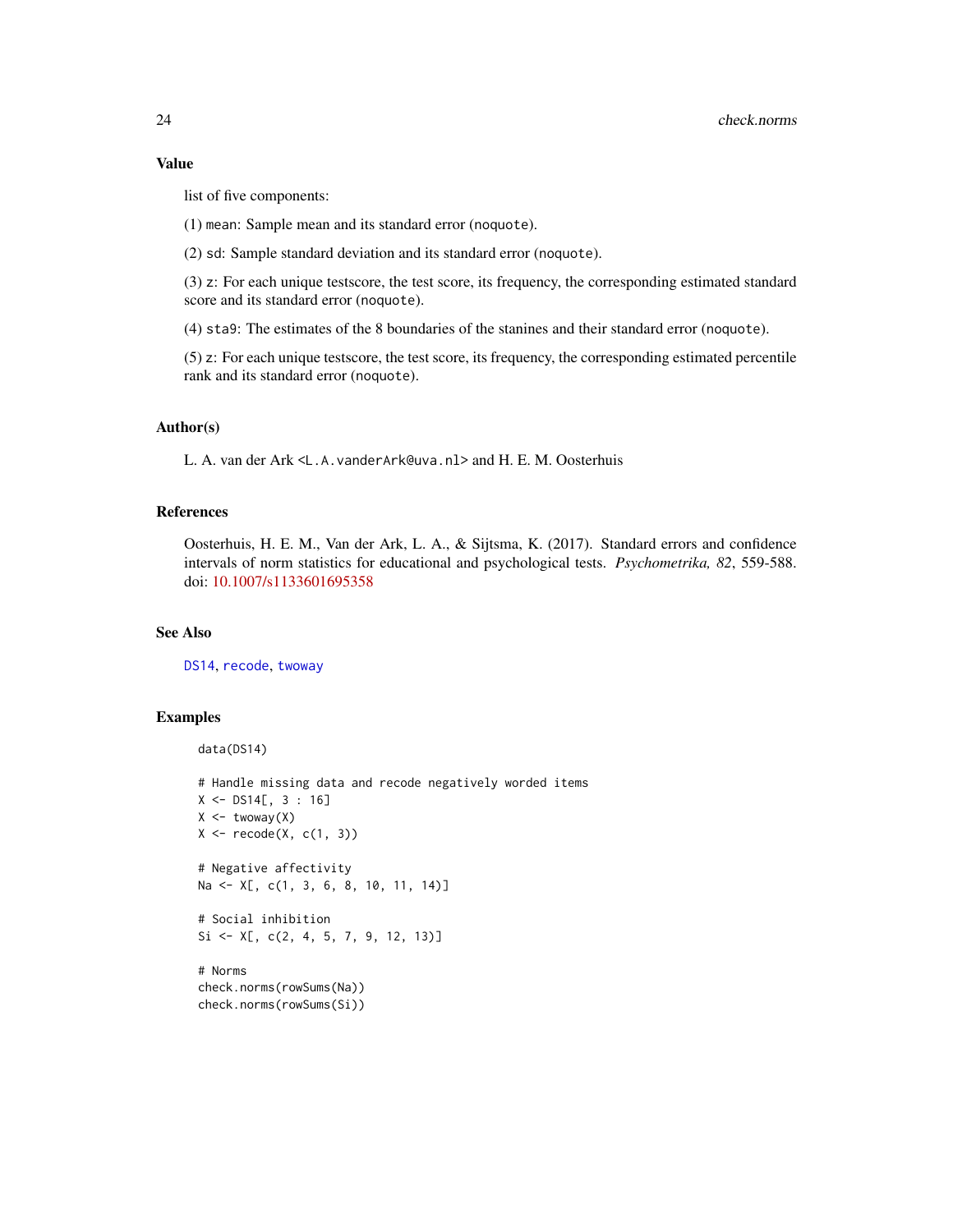# <span id="page-23-0"></span>Value

list of five components:

(1) mean: Sample mean and its standard error (noquote).

(2) sd: Sample standard deviation and its standard error (noquote).

(3) z: For each unique testscore, the test score, its frequency, the corresponding estimated standard score and its standard error (noquote).

(4) sta9: The estimates of the 8 boundaries of the stanines and their standard error (noquote).

(5) z: For each unique testscore, the test score, its frequency, the corresponding estimated percentile rank and its standard error (noquote).

# Author(s)

L. A. van der Ark <L.A.vanderArk@uva.nl> and H. E. M. Oosterhuis

# References

Oosterhuis, H. E. M., Van der Ark, L. A., & Sijtsma, K. (2017). Standard errors and confidence intervals of norm statistics for educational and psychological tests. *Psychometrika, 82*, 559-588. doi: [10.1007/s1133601695358](https://doi.org/10.1007/s11336-016-9535-8)

# See Also

[DS14](#page-33-1), [recode](#page-49-1), [twoway](#page-61-1)

# Examples

```
data(DS14)
# Handle missing data and recode negatively worded items
X \le - DS14[, 3 : 16]
X \leftarrow twoway(X)X \leftarrow \text{recode}(X, c(1, 3))# Negative affectivity
Na <- X[, c(1, 3, 6, 8, 10, 11, 14)]
# Social inhibition
Si \leftarrow X[, c(2, 4, 5, 7, 9, 12, 13)]
# Norms
check.norms(rowSums(Na))
check.norms(rowSums(Si))
```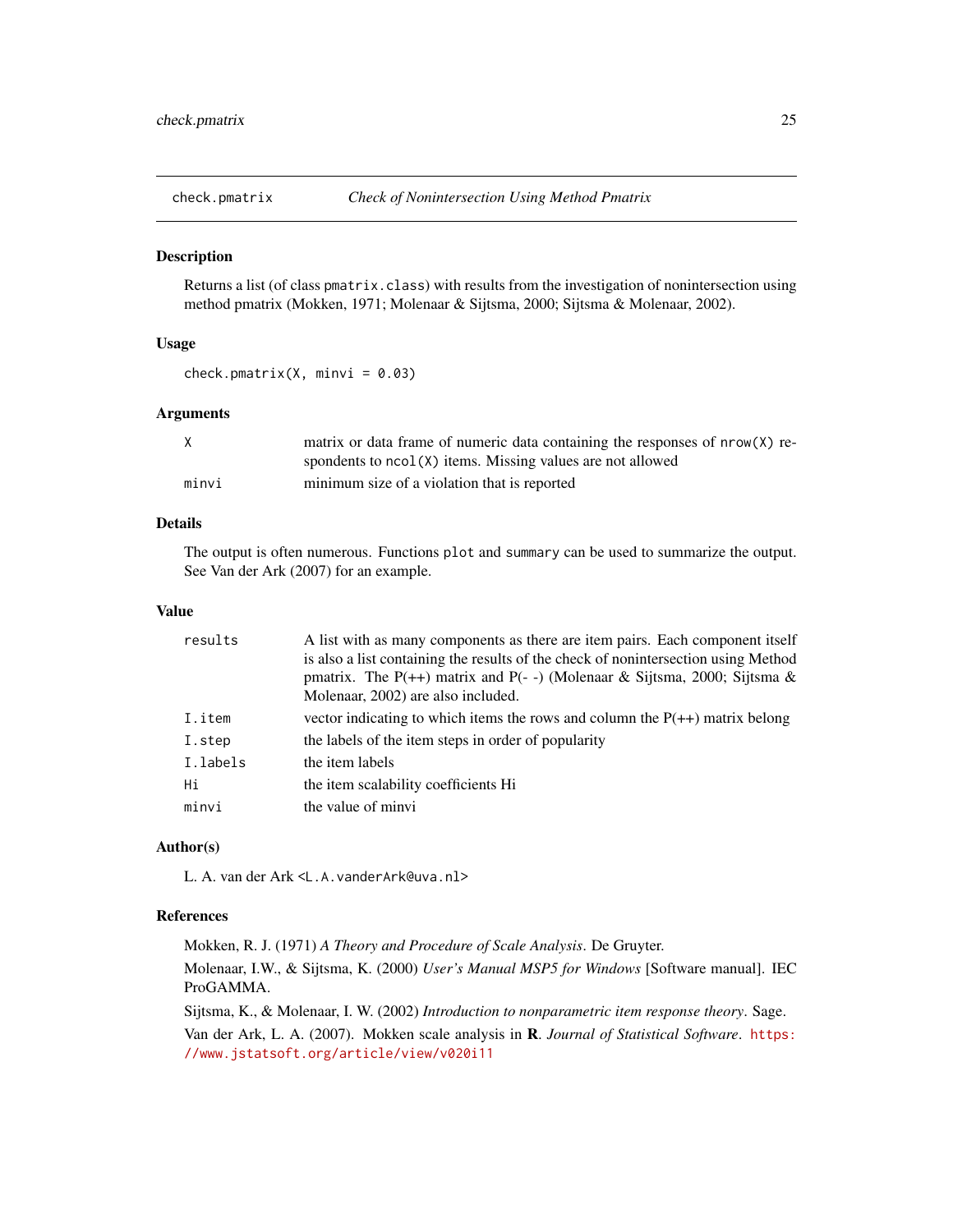<span id="page-24-1"></span><span id="page-24-0"></span>

# Description

Returns a list (of class pmatrix.class) with results from the investigation of nonintersection using method pmatrix (Mokken, 1971; Molenaar & Sijtsma, 2000; Sijtsma & Molenaar, 2002).

# Usage

check.pmatrix(X, minvi =  $0.03$ )

# Arguments

| X     | matrix or data frame of numeric data containing the responses of nrow(X) re- |
|-------|------------------------------------------------------------------------------|
|       | spondents to $ncol(X)$ items. Missing values are not allowed                 |
| minvi | minimum size of a violation that is reported                                 |

# Details

The output is often numerous. Functions plot and summary can be used to summarize the output. See Van der Ark (2007) for an example.

#### Value

| results  | A list with as many components as there are item pairs. Each component itself      |
|----------|------------------------------------------------------------------------------------|
|          | is also a list containing the results of the check of nonintersection using Method |
|          | pmatrix. The P(++) matrix and P(--) (Molenaar & Sijtsma, 2000; Sijtsma &           |
|          | Molenaar, 2002) are also included.                                                 |
| I.item   | vector indicating to which items the rows and column the $P(++)$ matrix belong     |
| I.step   | the labels of the item steps in order of popularity                                |
| I.labels | the item labels                                                                    |
| Hi       | the item scalability coefficients Hi                                               |
| minvi    | the value of minyi                                                                 |

# Author(s)

L. A. van der Ark <L.A.vanderArk@uva.nl>

# References

Mokken, R. J. (1971) *A Theory and Procedure of Scale Analysis*. De Gruyter. Molenaar, I.W., & Sijtsma, K. (2000) *User's Manual MSP5 for Windows* [Software manual]. IEC ProGAMMA.

Sijtsma, K., & Molenaar, I. W. (2002) *Introduction to nonparametric item response theory*. Sage.

Van der Ark, L. A. (2007). Mokken scale analysis in R. *Journal of Statistical Software*. [https:](https://www.jstatsoft.org/article/view/v020i11) [//www.jstatsoft.org/article/view/v020i11](https://www.jstatsoft.org/article/view/v020i11)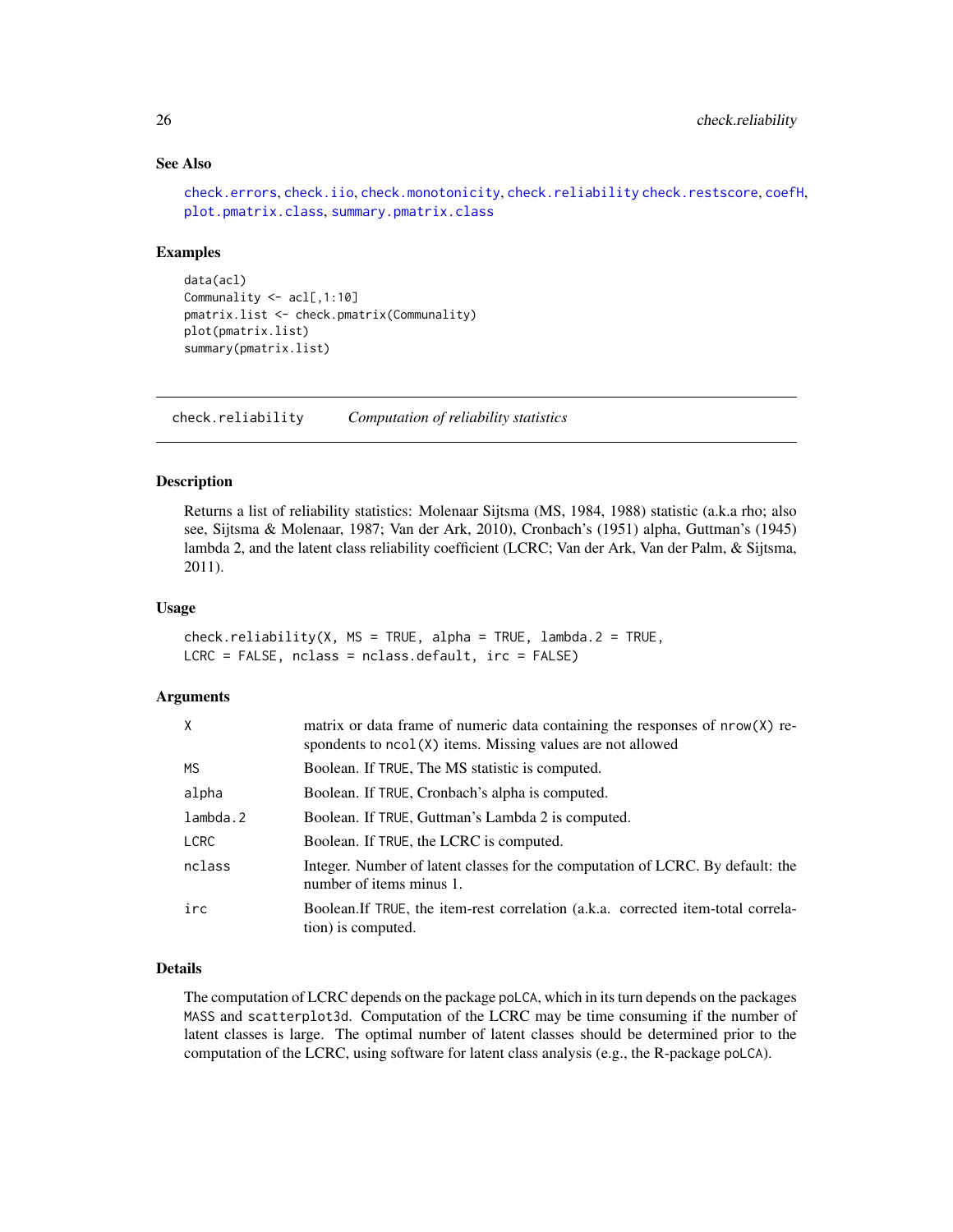# See Also

```
check.errors, check.iio, check.monotonicity, check.reliability check.restscore, coefH,
plot.pmatrix.class, summary.pmatrix.class
```
#### Examples

```
data(acl)
Communality <- acl[,1:10]
pmatrix.list <- check.pmatrix(Communality)
plot(pmatrix.list)
summary(pmatrix.list)
```
<span id="page-25-1"></span>check.reliability *Computation of reliability statistics*

#### Description

Returns a list of reliability statistics: Molenaar Sijtsma (MS, 1984, 1988) statistic (a.k.a rho; also see, Sijtsma & Molenaar, 1987; Van der Ark, 2010), Cronbach's (1951) alpha, Guttman's (1945) lambda 2, and the latent class reliability coefficient (LCRC; Van der Ark, Van der Palm, & Sijtsma, 2011).

# Usage

```
check.reliability(X, MS = TRUE, alpha = TRUE, lambda = TRUE, lambda.2 = TRUE,LCRC = FALSE, nclass = nclass.default, irc = FALSE)
```
# Arguments

| X           | matrix or data frame of numeric data containing the responses of $nrow(X)$ re-<br>spondents to ncol(X) items. Missing values are not allowed |
|-------------|----------------------------------------------------------------------------------------------------------------------------------------------|
| <b>MS</b>   | Boolean. If TRUE, The MS statistic is computed.                                                                                              |
| alpha       | Boolean. If TRUE, Cronbach's alpha is computed.                                                                                              |
| lambda.2    | Boolean. If TRUE, Guttman's Lambda 2 is computed.                                                                                            |
| <b>LCRC</b> | Boolean. If TRUE, the LCRC is computed.                                                                                                      |
| nclass      | Integer. Number of latent classes for the computation of LCRC. By default: the<br>number of items minus 1.                                   |
| irc         | Boolean. If TRUE, the item-rest correlation (a.k.a. corrected item-total correla-<br>tion) is computed.                                      |

# Details

The computation of LCRC depends on the package poLCA, which in its turn depends on the packages MASS and scatterplot3d. Computation of the LCRC may be time consuming if the number of latent classes is large. The optimal number of latent classes should be determined prior to the computation of the LCRC, using software for latent class analysis (e.g., the R-package poLCA).

<span id="page-25-0"></span>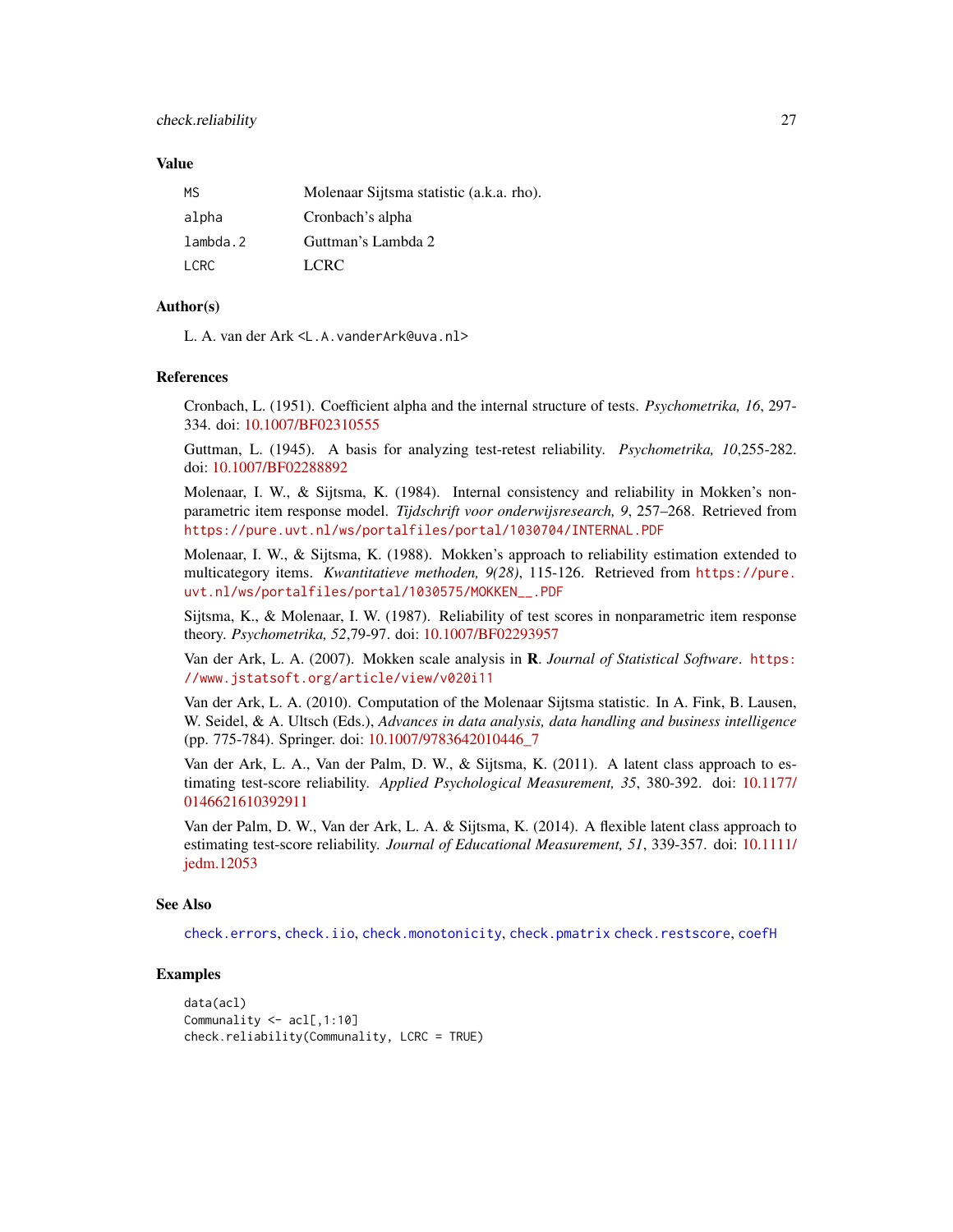#### <span id="page-26-0"></span>Value

| МS       | Molenaar Sijtsma statistic (a.k.a. rho). |
|----------|------------------------------------------|
| alpha    | Cronbach's alpha                         |
| lambda.2 | Guttman's Lambda 2                       |
| I CRC.   | LCRC.                                    |

# Author(s)

L. A. van der Ark <L.A.vanderArk@uva.nl>

#### References

Cronbach, L. (1951). Coefficient alpha and the internal structure of tests. *Psychometrika, 16*, 297- 334. doi: [10.1007/BF02310555](https://doi.org/10.1007/BF02310555)

Guttman, L. (1945). A basis for analyzing test-retest reliability. *Psychometrika, 10*,255-282. doi: [10.1007/BF02288892](https://doi.org/10.1007/BF02288892)

Molenaar, I. W., & Sijtsma, K. (1984). Internal consistency and reliability in Mokken's nonparametric item response model. *Tijdschrift voor onderwijsresearch, 9*, 257–268. Retrieved from <https://pure.uvt.nl/ws/portalfiles/portal/1030704/INTERNAL.PDF>

Molenaar, I. W., & Sijtsma, K. (1988). Mokken's approach to reliability estimation extended to multicategory items. *Kwantitatieve methoden, 9(28)*, 115-126. Retrieved from [https://pure.](https://pure.uvt.nl/ws/portalfiles/portal/1030575/MOKKEN__.PDF) [uvt.nl/ws/portalfiles/portal/1030575/MOKKEN\\_\\_.PDF](https://pure.uvt.nl/ws/portalfiles/portal/1030575/MOKKEN__.PDF)

Sijtsma, K., & Molenaar, I. W. (1987). Reliability of test scores in nonparametric item response theory. *Psychometrika, 52*,79-97. doi: [10.1007/BF02293957](https://doi.org/10.1007/BF02293957)

Van der Ark, L. A. (2007). Mokken scale analysis in R. *Journal of Statistical Software*. [https:](https://www.jstatsoft.org/article/view/v020i11) [//www.jstatsoft.org/article/view/v020i11](https://www.jstatsoft.org/article/view/v020i11)

Van der Ark, L. A. (2010). Computation of the Molenaar Sijtsma statistic. In A. Fink, B. Lausen, W. Seidel, & A. Ultsch (Eds.), *Advances in data analysis, data handling and business intelligence* (pp. 775-784). Springer. doi: [10.1007/9783642010446\\_7](https://doi.org/10.1007/978-3-642-01044-6_7)

Van der Ark, L. A., Van der Palm, D. W., & Sijtsma, K. (2011). A latent class approach to estimating test-score reliability. *Applied Psychological Measurement, 35*, 380-392. doi: [10.1177/](https://doi.org/10.1177/0146621610392911) [0146621610392911](https://doi.org/10.1177/0146621610392911)

Van der Palm, D. W., Van der Ark, L. A. & Sijtsma, K. (2014). A flexible latent class approach to estimating test-score reliability. *Journal of Educational Measurement, 51*, 339-357. doi: [10.1111/](https://doi.org/10.1111/jedm.12053) [jedm.12053](https://doi.org/10.1111/jedm.12053)

# See Also

[check.errors](#page-17-1), [check.iio](#page-18-1), [check.monotonicity](#page-21-1), [check.pmatrix](#page-24-1) [check.restscore](#page-27-1), [coefH](#page-28-1)

# Examples

```
data(acl)
Communality <- acl[,1:10]
check.reliability(Communality, LCRC = TRUE)
```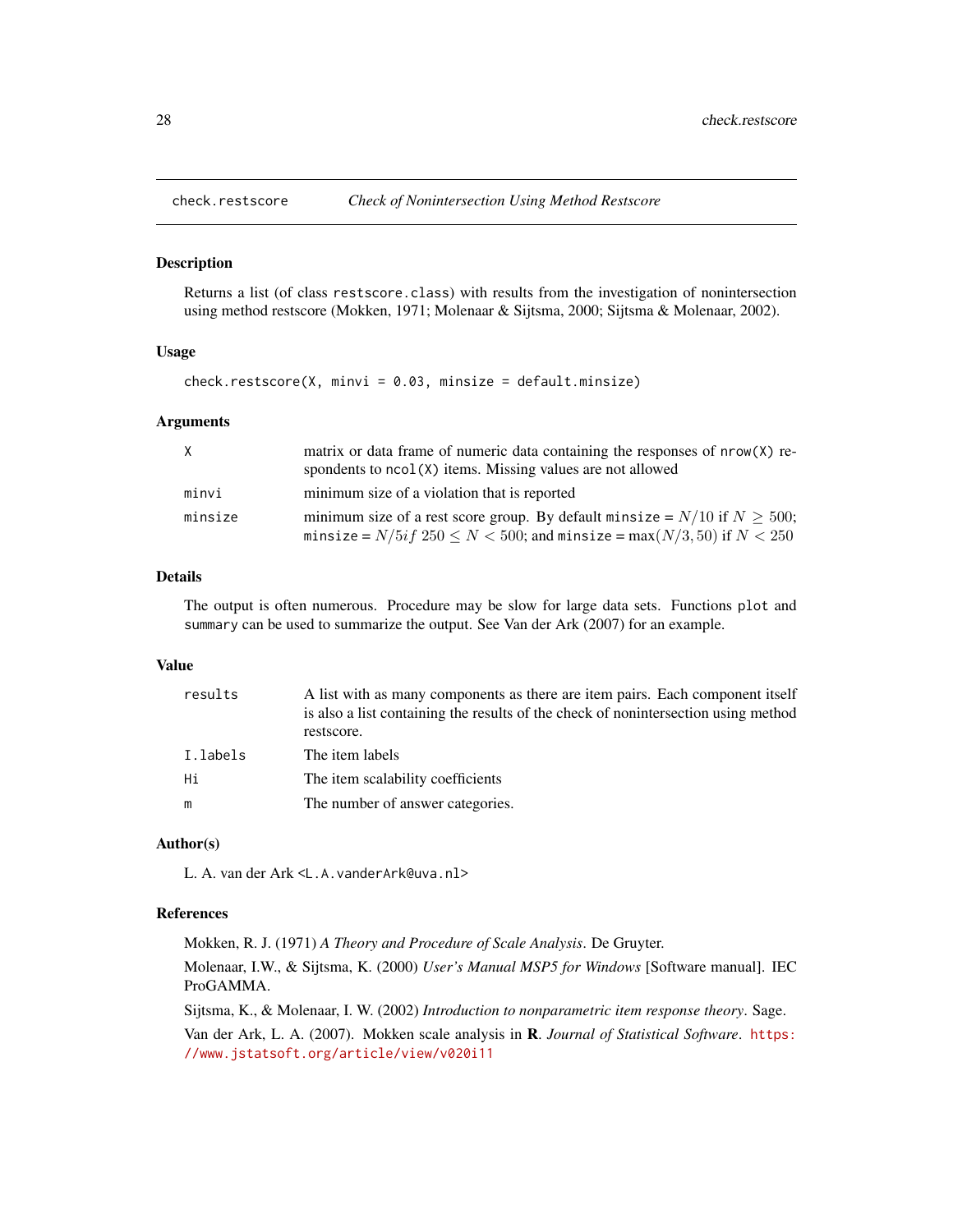<span id="page-27-1"></span><span id="page-27-0"></span>

#### Description

Returns a list (of class restscore.class) with results from the investigation of nonintersection using method restscore (Mokken, 1971; Molenaar & Sijtsma, 2000; Sijtsma & Molenaar, 2002).

# Usage

 $check.restscore(X, minvi = 0.03, minsize = default.minsize)$ 

#### Arguments

| X       | matrix or data frame of numeric data containing the responses of nrow(X) re-<br>spondents to $ncol(X)$ items. Missing values are not allowed                          |
|---------|-----------------------------------------------------------------------------------------------------------------------------------------------------------------------|
| minvi   | minimum size of a violation that is reported                                                                                                                          |
| minsize | minimum size of a rest score group. By default minsize = $N/10$ if $N \ge 500$ ;<br>minsize = $N/5if$ 250 $\leq N < 500$ ; and minsize = max $(N/3, 50)$ if $N < 250$ |

# Details

The output is often numerous. Procedure may be slow for large data sets. Functions plot and summary can be used to summarize the output. See Van der Ark (2007) for an example.

# Value

| results  | A list with as many components as there are item pairs. Each component itself<br>is also a list containing the results of the check of nonintersection using method |
|----------|---------------------------------------------------------------------------------------------------------------------------------------------------------------------|
|          | restscore.                                                                                                                                                          |
| I.labels | The item labels                                                                                                                                                     |
| Hi       | The item scalability coefficients                                                                                                                                   |
| m        | The number of answer categories.                                                                                                                                    |

#### Author(s)

L. A. van der Ark <L.A.vanderArk@uva.nl>

# References

Mokken, R. J. (1971) *A Theory and Procedure of Scale Analysis*. De Gruyter.

Molenaar, I.W., & Sijtsma, K. (2000) *User's Manual MSP5 for Windows* [Software manual]. IEC ProGAMMA.

Sijtsma, K., & Molenaar, I. W. (2002) *Introduction to nonparametric item response theory*. Sage.

Van der Ark, L. A. (2007). Mokken scale analysis in R. *Journal of Statistical Software*. [https:](https://www.jstatsoft.org/article/view/v020i11) [//www.jstatsoft.org/article/view/v020i11](https://www.jstatsoft.org/article/view/v020i11)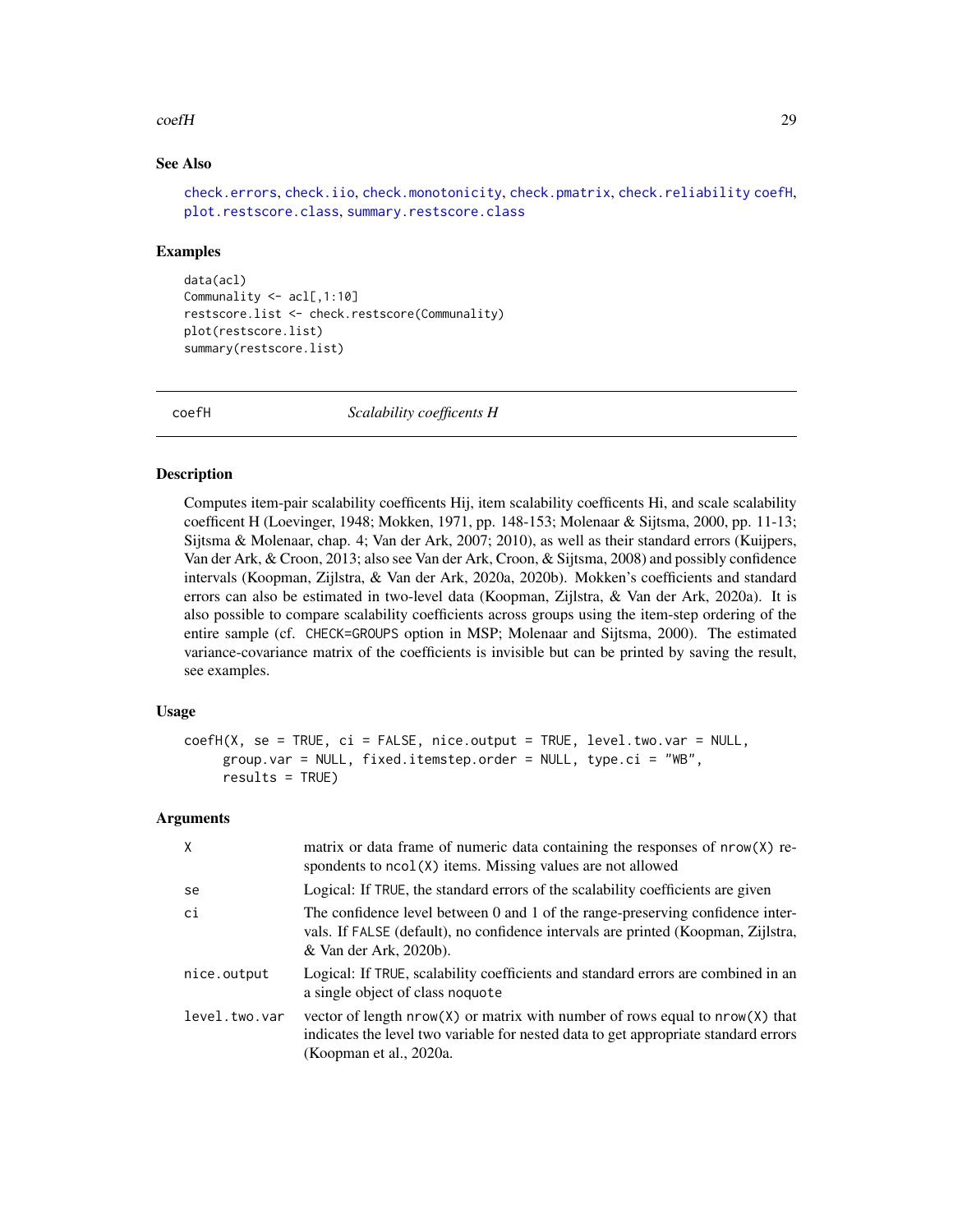#### <span id="page-28-0"></span> $\text{coeff}$  29

# See Also

```
check.errors, check.iio, check.monotonicity, check.pmatrix, check.reliability coefH,
plot.restscore.class, summary.restscore.class
```
#### Examples

```
data(acl)
Communality <- acl[,1:10]
restscore.list <- check.restscore(Communality)
plot(restscore.list)
summary(restscore.list)
```
<span id="page-28-1"></span>

coefH *Scalability coefficents H*

# Description

Computes item-pair scalability coefficents Hij, item scalability coefficents Hi, and scale scalability coefficent H (Loevinger, 1948; Mokken, 1971, pp. 148-153; Molenaar & Sijtsma, 2000, pp. 11-13; Sijtsma & Molenaar, chap. 4; Van der Ark, 2007; 2010), as well as their standard errors (Kuijpers, Van der Ark, & Croon, 2013; also see Van der Ark, Croon, & Sijtsma, 2008) and possibly confidence intervals (Koopman, Zijlstra, & Van der Ark, 2020a, 2020b). Mokken's coefficients and standard errors can also be estimated in two-level data (Koopman, Zijlstra, & Van der Ark, 2020a). It is also possible to compare scalability coefficients across groups using the item-step ordering of the entire sample (cf. CHECK=GROUPS option in MSP; Molenaar and Sijtsma, 2000). The estimated variance-covariance matrix of the coefficients is invisible but can be printed by saving the result, see examples.

# Usage

```
coefH(X, se = TRUE, ci = FALSE, nice.output = TRUE, level.two.var = NULL,
     group.var = NULL, fixed.itemstep.order = NULL, type.ci = "WB",
     results = TRUE)
```
#### Arguments

| X             | matrix or data frame of numeric data containing the responses of nrow(X) re-<br>spondents to ncol(X) items. Missing values are not allowed                                                         |
|---------------|----------------------------------------------------------------------------------------------------------------------------------------------------------------------------------------------------|
| se            | Logical: If TRUE, the standard errors of the scalability coefficients are given                                                                                                                    |
| ci            | The confidence level between 0 and 1 of the range-preserving confidence inter-<br>vals. If FALSE (default), no confidence intervals are printed (Koopman, Zijlstra,<br>& Van der Ark, 2020b).      |
| nice.output   | Logical: If TRUE, scalability coefficients and standard errors are combined in an<br>a single object of class noquote                                                                              |
| level.two.var | vector of length $nrow(X)$ or matrix with number of rows equal to $nrow(X)$ that<br>indicates the level two variable for nested data to get appropriate standard errors<br>(Koopman et al., 2020a. |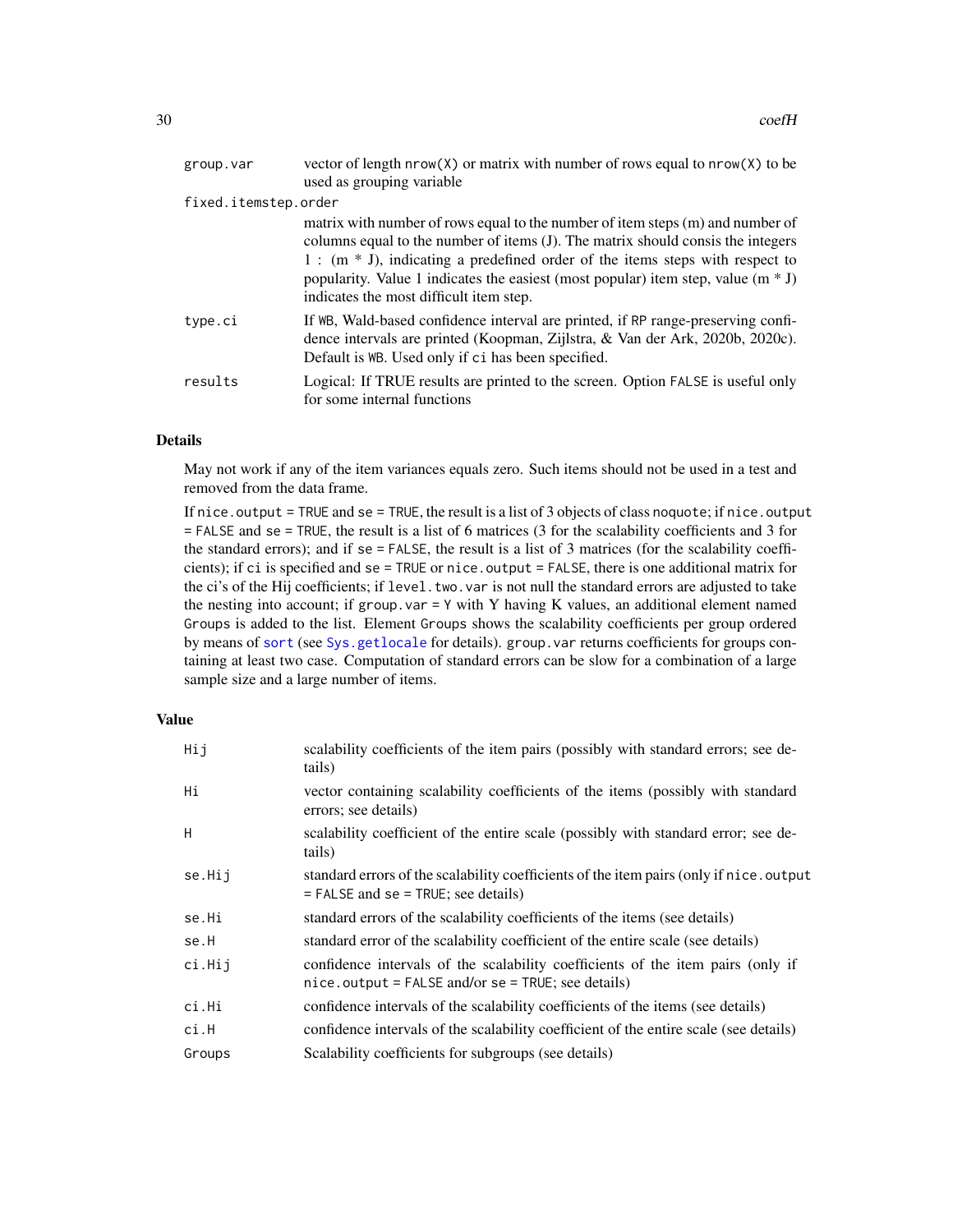<span id="page-29-0"></span>

| group.var            | vector of length $nrow(X)$ or matrix with number of rows equal to $nrow(X)$ to be                                                                                                                                                                                                                                                                                                       |  |
|----------------------|-----------------------------------------------------------------------------------------------------------------------------------------------------------------------------------------------------------------------------------------------------------------------------------------------------------------------------------------------------------------------------------------|--|
|                      | used as grouping variable                                                                                                                                                                                                                                                                                                                                                               |  |
| fixed.itemstep.order |                                                                                                                                                                                                                                                                                                                                                                                         |  |
|                      | matrix with number of rows equal to the number of item steps (m) and number of<br>columns equal to the number of items (J). The matrix should consis the integers<br>$1:$ (m $*$ J), indicating a predefined order of the items steps with respect to<br>popularity. Value 1 indicates the easiest (most popular) item step, value $(m * J)$<br>indicates the most difficult item step. |  |
| type.ci              | If WB, Wald-based confidence interval are printed, if RP range-preserving confi-<br>dence intervals are printed (Koopman, Zijlstra, & Van der Ark, 2020b, 2020c).<br>Default is WB. Used only if ci has been specified.                                                                                                                                                                 |  |
| results              | Logical: If TRUE results are printed to the screen. Option FALSE is useful only<br>for some internal functions                                                                                                                                                                                                                                                                          |  |

# Details

May not work if any of the item variances equals zero. Such items should not be used in a test and removed from the data frame.

If nice.output = TRUE and se = TRUE, the result is a list of 3 objects of class noquote; if nice.output = FALSE and se = TRUE, the result is a list of 6 matrices (3 for the scalability coefficients and 3 for the standard errors); and if se = FALSE, the result is a list of 3 matrices (for the scalability coefficients); if ci is specified and se = TRUE or nice.output = FALSE, there is one additional matrix for the ci's of the Hij coefficients; if level.two.var is not null the standard errors are adjusted to take the nesting into account; if group. var  $=$  Y with Y having K values, an additional element named Groups is added to the list. Element Groups shows the scalability coefficients per group ordered by means of [sort](#page-0-0) (see [Sys.getlocale](#page-0-0) for details). group.var returns coefficients for groups containing at least two case. Computation of standard errors can be slow for a combination of a large sample size and a large number of items.

# Value

| Hij    | scalability coefficients of the item pairs (possibly with standard errors; see de-<br>tails)                                            |
|--------|-----------------------------------------------------------------------------------------------------------------------------------------|
| Нi     | vector containing scalability coefficients of the items (possibly with standard<br>errors; see details)                                 |
| H      | scalability coefficient of the entire scale (possibly with standard error; see de-<br>tails)                                            |
| se.Hij | standard errors of the scalability coefficients of the item pairs (only if nice, output<br>$=$ FALSE and se $=$ TRUE; see details)      |
| se.Hi  | standard errors of the scalability coefficients of the items (see details)                                                              |
| se.H   | standard error of the scalability coefficient of the entire scale (see details)                                                         |
| ci.Hij | confidence intervals of the scalability coefficients of the item pairs (only if<br>$nice.output = FALSE and/or se = TRUE; see details)$ |
| ci.Hi  | confidence intervals of the scalability coefficients of the items (see details)                                                         |
| ci.H   | confidence intervals of the scalability coefficient of the entire scale (see details)                                                   |
| Groups | Scalability coefficients for subgroups (see details)                                                                                    |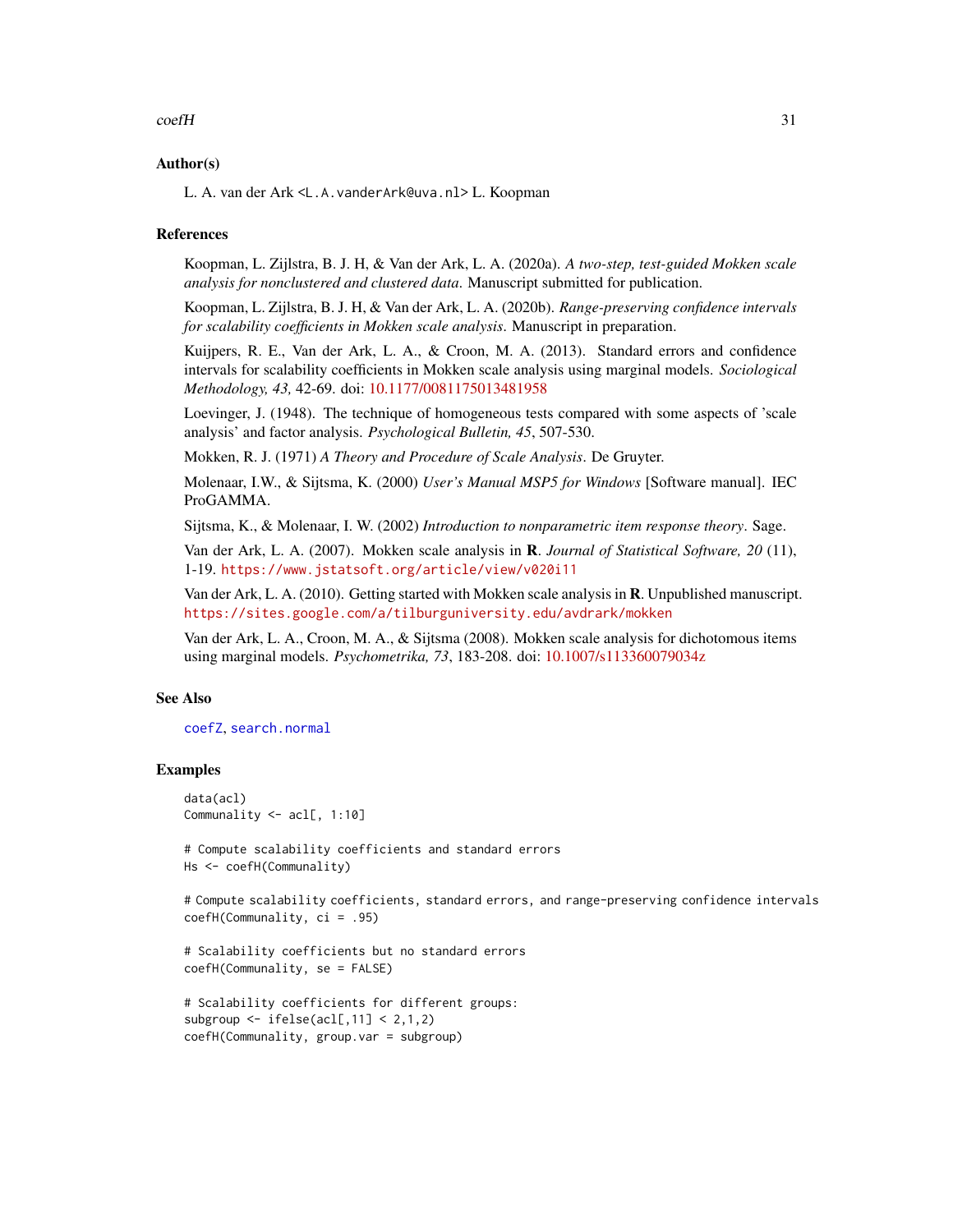#### <span id="page-30-0"></span> $\text{coeff}$  31

# Author(s)

L. A. van der Ark <L.A.vanderArk@uva.nl> L. Koopman

# References

Koopman, L. Zijlstra, B. J. H, & Van der Ark, L. A. (2020a). *A two-step, test-guided Mokken scale analysis for nonclustered and clustered data*. Manuscript submitted for publication.

Koopman, L. Zijlstra, B. J. H, & Van der Ark, L. A. (2020b). *Range-preserving confidence intervals for scalability coefficients in Mokken scale analysis*. Manuscript in preparation.

Kuijpers, R. E., Van der Ark, L. A., & Croon, M. A. (2013). Standard errors and confidence intervals for scalability coefficients in Mokken scale analysis using marginal models. *Sociological Methodology, 43,* 42-69. doi: [10.1177/0081175013481958](https://doi.org/10.1177/0081175013481958)

Loevinger, J. (1948). The technique of homogeneous tests compared with some aspects of 'scale analysis' and factor analysis. *Psychological Bulletin, 45*, 507-530.

Mokken, R. J. (1971) *A Theory and Procedure of Scale Analysis*. De Gruyter.

Molenaar, I.W., & Sijtsma, K. (2000) *User's Manual MSP5 for Windows* [Software manual]. IEC ProGAMMA.

Sijtsma, K., & Molenaar, I. W. (2002) *Introduction to nonparametric item response theory*. Sage.

Van der Ark, L. A. (2007). Mokken scale analysis in R. *Journal of Statistical Software, 20* (11), 1-19. <https://www.jstatsoft.org/article/view/v020i11>

Van der Ark, L. A. (2010). Getting started with Mokken scale analysis in R. Unpublished manuscript. <https://sites.google.com/a/tilburguniversity.edu/avdrark/mokken>

Van der Ark, L. A., Croon, M. A., & Sijtsma (2008). Mokken scale analysis for dichotomous items using marginal models. *Psychometrika, 73*, 183-208. doi: [10.1007/s113360079034z](https://doi.org/10.1007/s11336-007-9034-z)

# See Also

#### [coefZ](#page-31-1), [search.normal](#page-8-1)

# Examples

```
data(acl)
Communality <- acl[, 1:10]
```

```
# Compute scalability coefficients and standard errors
Hs <- coefH(Communality)
```

```
# Compute scalability coefficients, standard errors, and range-preserving confidence intervals
coefH(Communality, ci = .95)
```

```
# Scalability coefficients but no standard errors
coefH(Communality, se = FALSE)
```

```
# Scalability coefficients for different groups:
subgroup \le ifelse(acl[,11] \le 2,1,2)
coefH(Communality, group.var = subgroup)
```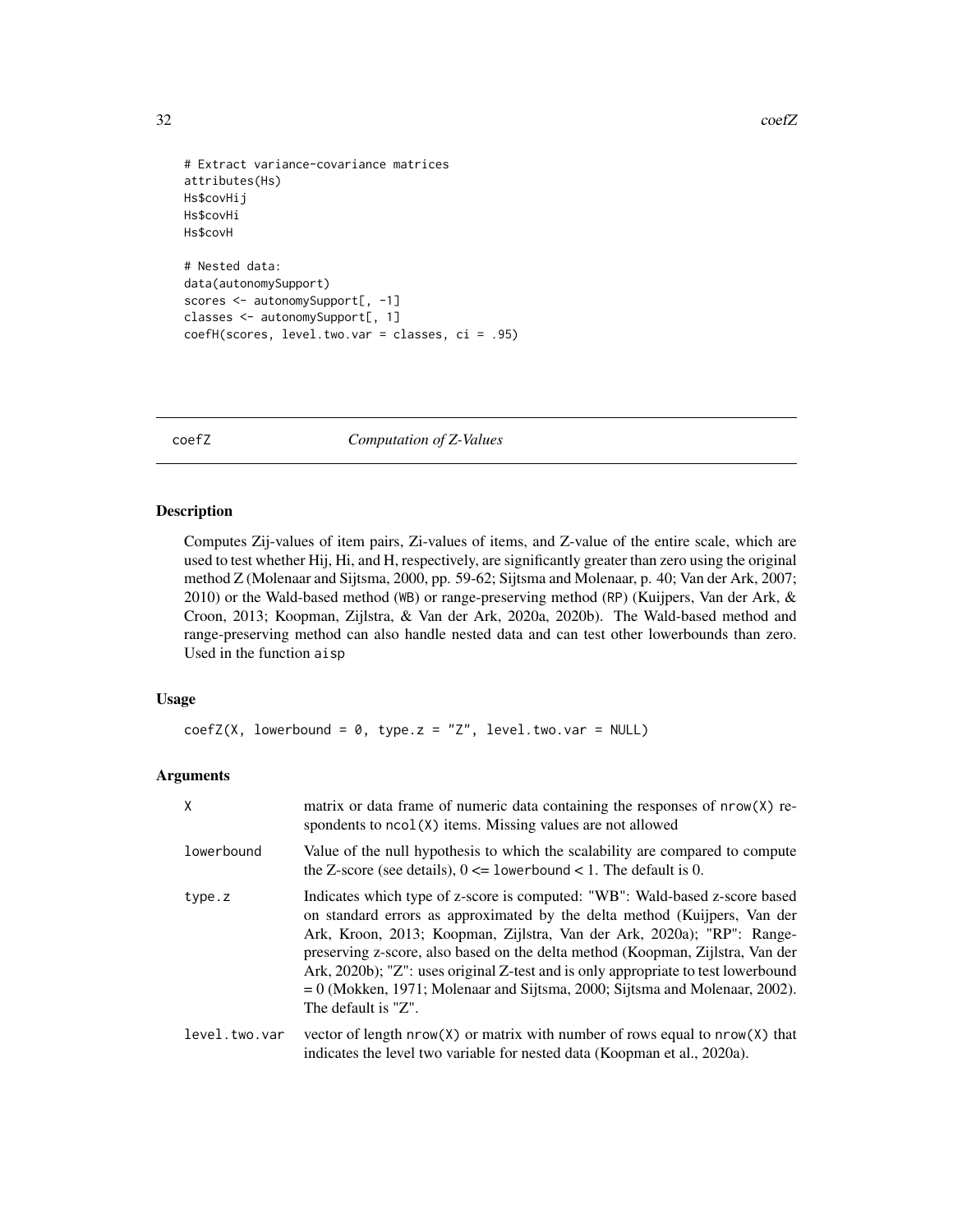32 coefZ

```
# Extract variance-covariance matrices
attributes(Hs)
Hs$covHij
Hs$covHi
Hs$covH
# Nested data:
data(autonomySupport)
scores <- autonomySupport[, -1]
classes <- autonomySupport[, 1]
coefH(scores, level.two.var = classes, ci = .95)
```
<span id="page-31-1"></span>coefZ *Computation of Z-Values*

#### Description

Computes Zij-values of item pairs, Zi-values of items, and Z-value of the entire scale, which are used to test whether Hij, Hi, and H, respectively, are significantly greater than zero using the original method Z (Molenaar and Sijtsma, 2000, pp. 59-62; Sijtsma and Molenaar, p. 40; Van der Ark, 2007; 2010) or the Wald-based method (WB) or range-preserving method (RP) (Kuijpers, Van der Ark, & Croon, 2013; Koopman, Zijlstra, & Van der Ark, 2020a, 2020b). The Wald-based method and range-preserving method can also handle nested data and can test other lowerbounds than zero. Used in the function aisp

# Usage

```
coefZ(X, lowerbound = 0, type.z = "Z", level.two.var = NULL)
```
#### Arguments

| $\mathsf{X}$  | matrix or data frame of numeric data containing the responses of $nrow(X)$ re-<br>spondents to ncol(X) items. Missing values are not allowed                                                                                                                                                                                                                                                                                                                                                                      |
|---------------|-------------------------------------------------------------------------------------------------------------------------------------------------------------------------------------------------------------------------------------------------------------------------------------------------------------------------------------------------------------------------------------------------------------------------------------------------------------------------------------------------------------------|
| lowerbound    | Value of the null hypothesis to which the scalability are compared to compute<br>the Z-score (see details), $0 \le l$ owerbound $\le l$ . The default is 0.                                                                                                                                                                                                                                                                                                                                                       |
| type.z        | Indicates which type of z-score is computed: "WB": Wald-based z-score based<br>on standard errors as approximated by the delta method (Kuijpers, Van der<br>Ark, Kroon, 2013; Koopman, Zijlstra, Van der Ark, 2020a); "RP": Range-<br>preserving z-score, also based on the delta method (Koopman, Zijlstra, Van der<br>Ark, 2020b); "Z": uses original Z-test and is only appropriate to test lowerbound<br>$= 0$ (Mokken, 1971; Molenaar and Sijtsma, 2000; Sijtsma and Molenaar, 2002).<br>The default is "Z". |
| level.two.var | vector of length $nrow(X)$ or matrix with number of rows equal to $nrow(X)$ that<br>indicates the level two variable for nested data (Koopman et al., 2020a).                                                                                                                                                                                                                                                                                                                                                     |

<span id="page-31-0"></span>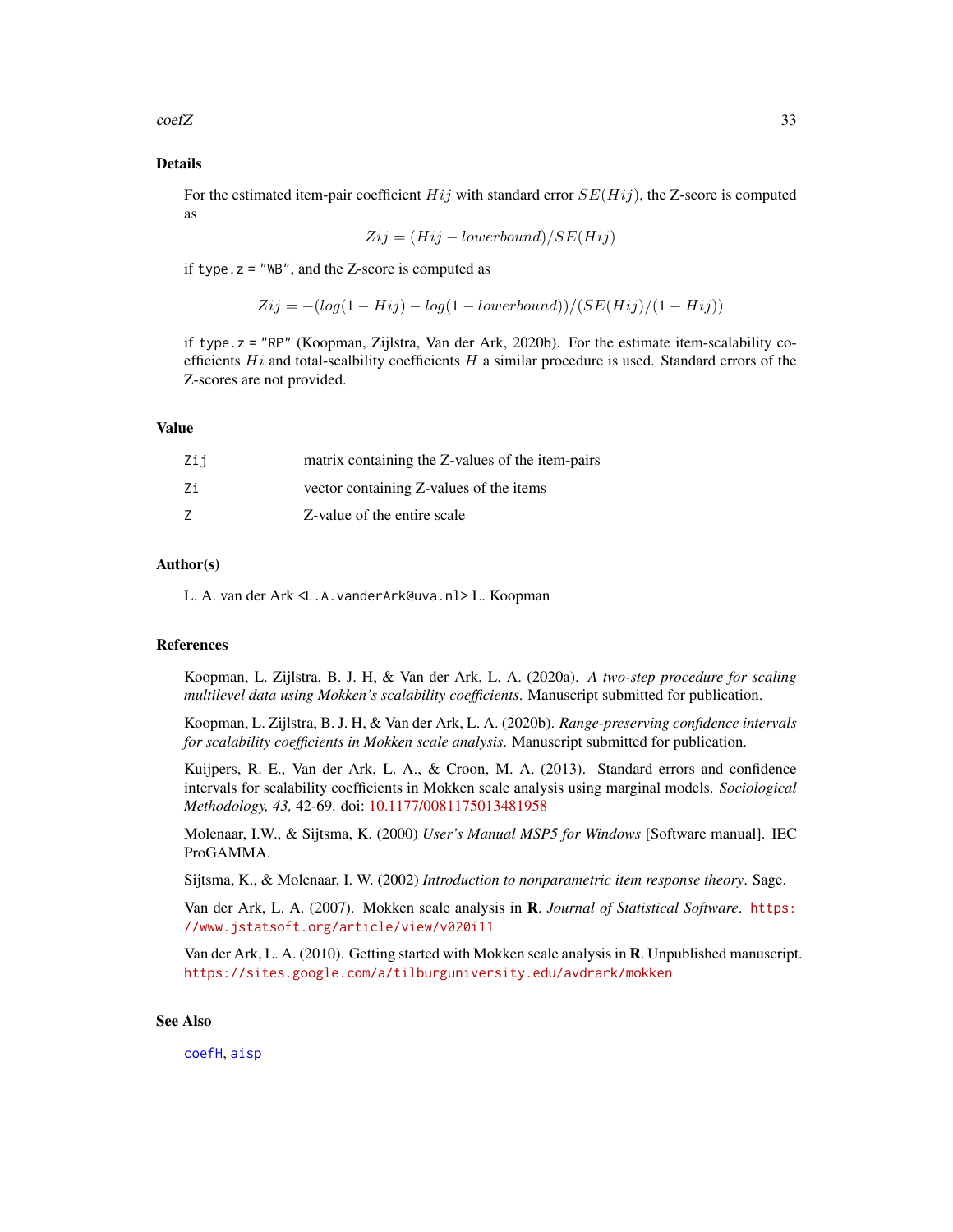<span id="page-32-0"></span> $\text{coeff} \mathbb{Z}$  33

# Details

For the estimated item-pair coefficient  $Hij$  with standard error  $SE(Hij)$ , the Z-score is computed as

$$
Zij = (Hij - lowerbound)/SE(Hij)
$$

if type.  $z =$  "WB", and the Z-score is computed as

 $Zij = -(\log(1 - Hij) - \log(1 - lowerbound))/(SE(Hij)/(1 - Hij))$ 

if type.z = "RP" (Koopman, Zijlstra, Van der Ark, 2020b). For the estimate item-scalability coefficients  $Hi$  and total-scalbility coefficients  $H$  a similar procedure is used. Standard errors of the Z-scores are not provided.

# Value

| Zij | matrix containing the Z-values of the item-pairs |
|-----|--------------------------------------------------|
| Ζi  | vector containing Z-values of the items          |
|     | Z-value of the entire scale                      |

# Author(s)

L. A. van der Ark <L.A.vanderArk@uva.nl> L. Koopman

#### References

Koopman, L. Zijlstra, B. J. H, & Van der Ark, L. A. (2020a). *A two-step procedure for scaling multilevel data using Mokken's scalability coefficients*. Manuscript submitted for publication.

Koopman, L. Zijlstra, B. J. H, & Van der Ark, L. A. (2020b). *Range-preserving confidence intervals for scalability coefficients in Mokken scale analysis*. Manuscript submitted for publication.

Kuijpers, R. E., Van der Ark, L. A., & Croon, M. A. (2013). Standard errors and confidence intervals for scalability coefficients in Mokken scale analysis using marginal models. *Sociological Methodology, 43,* 42-69. doi: [10.1177/0081175013481958](https://doi.org/10.1177/0081175013481958)

Molenaar, I.W., & Sijtsma, K. (2000) *User's Manual MSP5 for Windows* [Software manual]. IEC ProGAMMA.

Sijtsma, K., & Molenaar, I. W. (2002) *Introduction to nonparametric item response theory*. Sage.

Van der Ark, L. A. (2007). Mokken scale analysis in R. *Journal of Statistical Software*. [https:](https://www.jstatsoft.org/article/view/v020i11) [//www.jstatsoft.org/article/view/v020i11](https://www.jstatsoft.org/article/view/v020i11)

Van der Ark, L. A. (2010). Getting started with Mokken scale analysis in R. Unpublished manuscript. <https://sites.google.com/a/tilburguniversity.edu/avdrark/mokken>

#### See Also

[coefH](#page-28-1), [aisp](#page-8-2)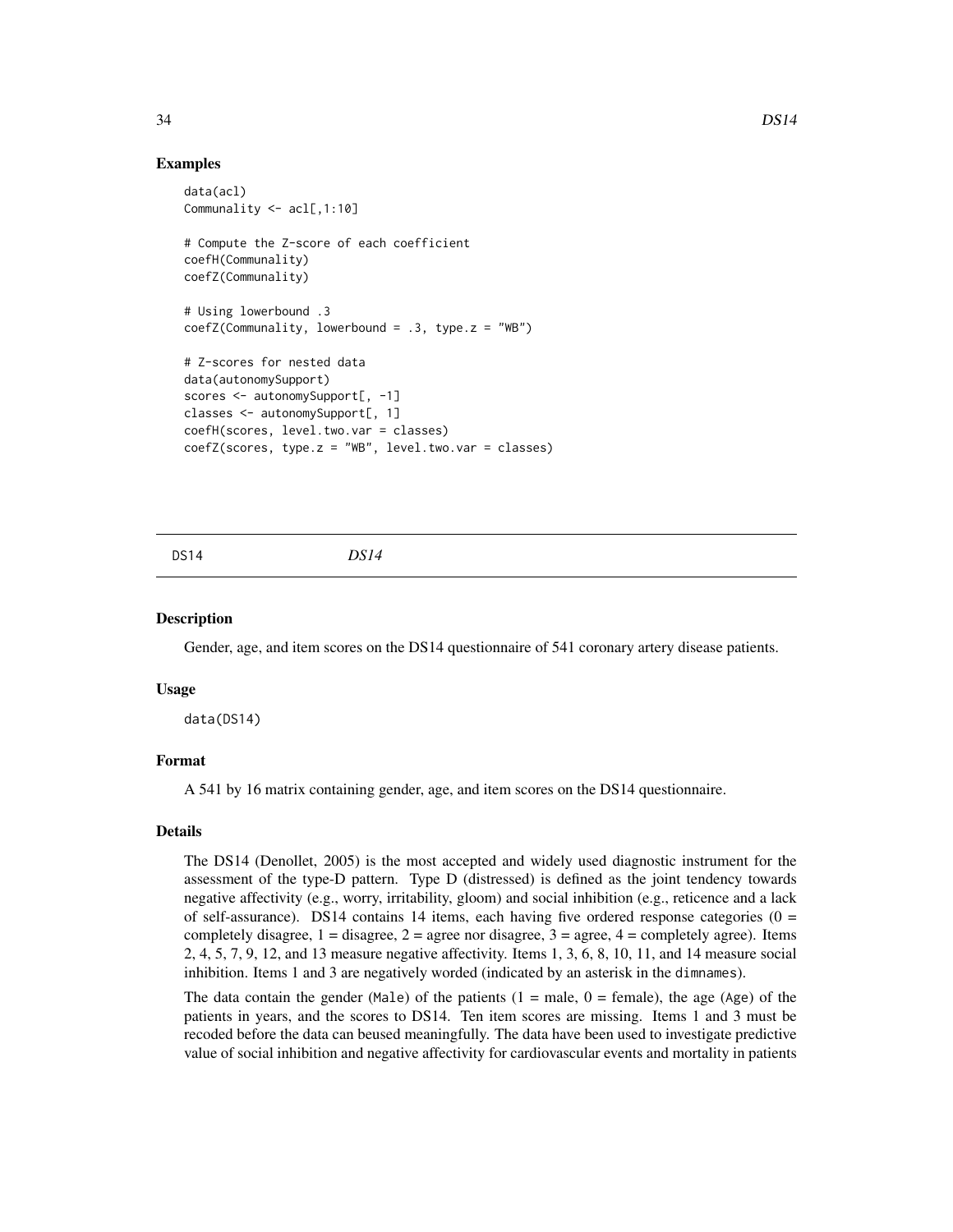# Examples

```
data(acl)
Communality <- acl[,1:10]
# Compute the Z-score of each coefficient
coefH(Communality)
coefZ(Communality)
# Using lowerbound .3
coefZ(Communality, lowerbound = .3, type.z = "WB")# Z-scores for nested data
data(autonomySupport)
scores <- autonomySupport[, -1]
classes <- autonomySupport[, 1]
coefH(scores, level.two.var = classes)
coeffZ(scores, type.z = "WB", level.two.var = classes)
```
<span id="page-33-1"></span>DS14 *DS14*

# Description

Gender, age, and item scores on the DS14 questionnaire of 541 coronary artery disease patients.

#### Usage

data(DS14)

# Format

A 541 by 16 matrix containing gender, age, and item scores on the DS14 questionnaire.

# Details

The DS14 (Denollet, 2005) is the most accepted and widely used diagnostic instrument for the assessment of the type-D pattern. Type D (distressed) is defined as the joint tendency towards negative affectivity (e.g., worry, irritability, gloom) and social inhibition (e.g., reticence and a lack of self-assurance). DS14 contains 14 items, each having five ordered response categories ( $0 =$ completely disagree,  $1 =$  disagree,  $2 =$  agree nor disagree,  $3 =$  agree,  $4 =$  completely agree). Items 2, 4, 5, 7, 9, 12, and 13 measure negative affectivity. Items 1, 3, 6, 8, 10, 11, and 14 measure social inhibition. Items 1 and 3 are negatively worded (indicated by an asterisk in the dimnames).

The data contain the gender (Male) of the patients  $(1 = male, 0 = female)$ , the age (Age) of the patients in years, and the scores to DS14. Ten item scores are missing. Items 1 and 3 must be recoded before the data can beused meaningfully. The data have been used to investigate predictive value of social inhibition and negative affectivity for cardiovascular events and mortality in patients

<span id="page-33-0"></span>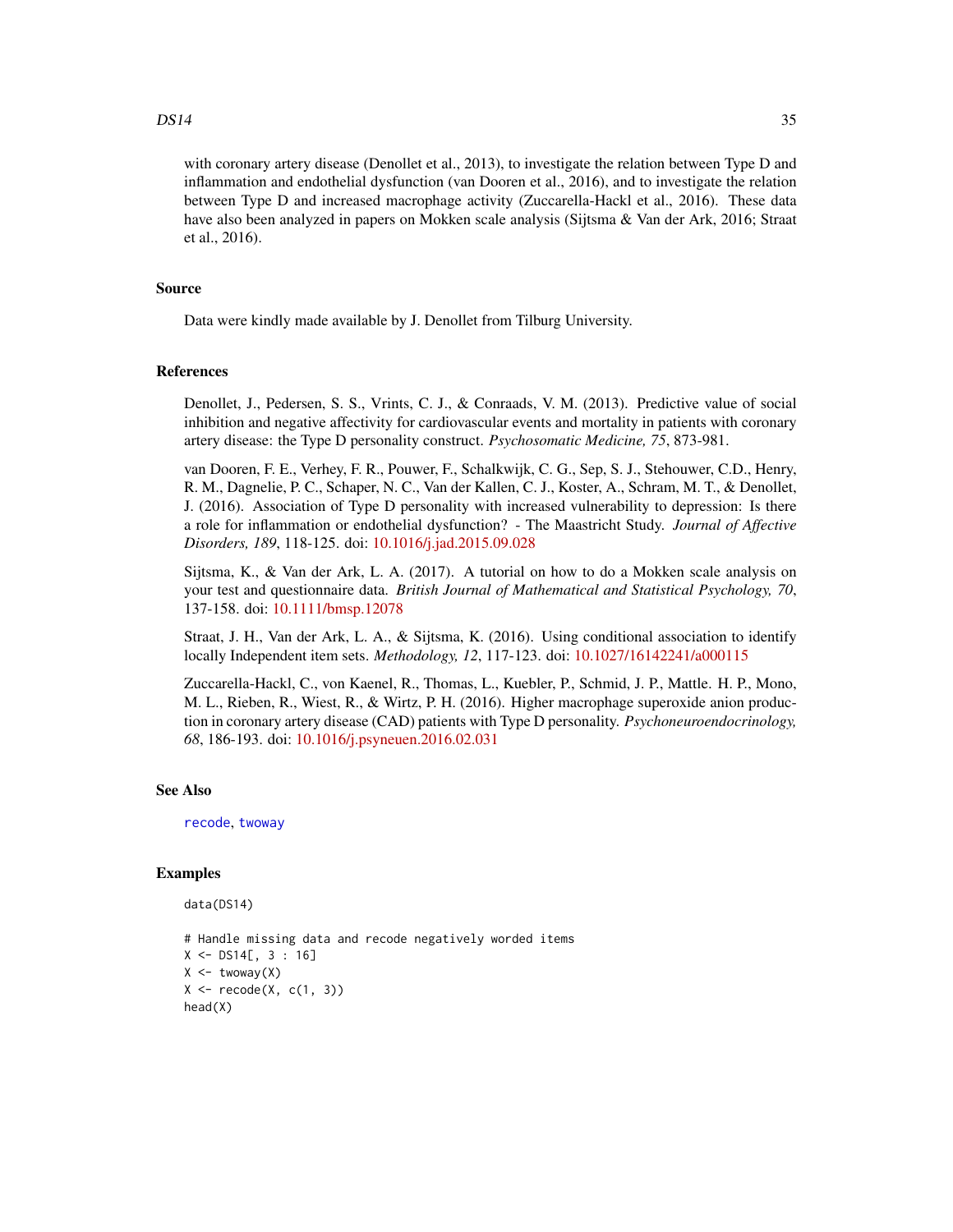#### <span id="page-34-0"></span> $DS14$  35

with coronary artery disease (Denollet et al., 2013), to investigate the relation between Type D and inflammation and endothelial dysfunction (van Dooren et al., 2016), and to investigate the relation between Type D and increased macrophage activity (Zuccarella-Hackl et al., 2016). These data have also been analyzed in papers on Mokken scale analysis (Sijtsma & Van der Ark, 2016; Straat et al., 2016).

# Source

Data were kindly made available by J. Denollet from Tilburg University.

# **References**

Denollet, J., Pedersen, S. S., Vrints, C. J., & Conraads, V. M. (2013). Predictive value of social inhibition and negative affectivity for cardiovascular events and mortality in patients with coronary artery disease: the Type D personality construct. *Psychosomatic Medicine, 75*, 873-981.

van Dooren, F. E., Verhey, F. R., Pouwer, F., Schalkwijk, C. G., Sep, S. J., Stehouwer, C.D., Henry, R. M., Dagnelie, P. C., Schaper, N. C., Van der Kallen, C. J., Koster, A., Schram, M. T., & Denollet, J. (2016). Association of Type D personality with increased vulnerability to depression: Is there a role for inflammation or endothelial dysfunction? - The Maastricht Study. *Journal of Affective Disorders, 189*, 118-125. doi: [10.1016/j.jad.2015.09.028](https://doi.org/10.1016/j.jad.2015.09.028)

Sijtsma, K., & Van der Ark, L. A. (2017). A tutorial on how to do a Mokken scale analysis on your test and questionnaire data. *British Journal of Mathematical and Statistical Psychology, 70*, 137-158. doi: [10.1111/bmsp.12078](https://doi.org/10.1111/bmsp.12078)

Straat, J. H., Van der Ark, L. A., & Sijtsma, K. (2016). Using conditional association to identify locally Independent item sets. *Methodology, 12*, 117-123. doi: [10.1027/16142241/a000115](https://doi.org/10.1027/1614-2241/a000115)

Zuccarella-Hackl, C., von Kaenel, R., Thomas, L., Kuebler, P., Schmid, J. P., Mattle. H. P., Mono, M. L., Rieben, R., Wiest, R., & Wirtz, P. H. (2016). Higher macrophage superoxide anion production in coronary artery disease (CAD) patients with Type D personality. *Psychoneuroendocrinology, 68*, 186-193. doi: [10.1016/j.psyneuen.2016.02.031](https://doi.org/10.1016/j.psyneuen.2016.02.031)

#### See Also

[recode](#page-49-1), [twoway](#page-61-1)

#### Examples

```
data(DS14)
```

```
# Handle missing data and recode negatively worded items
X \le - DS14[, 3 : 16]
X \leftarrow twoway(X)X \leftarrow \text{recode}(X, c(1, 3))head(X)
```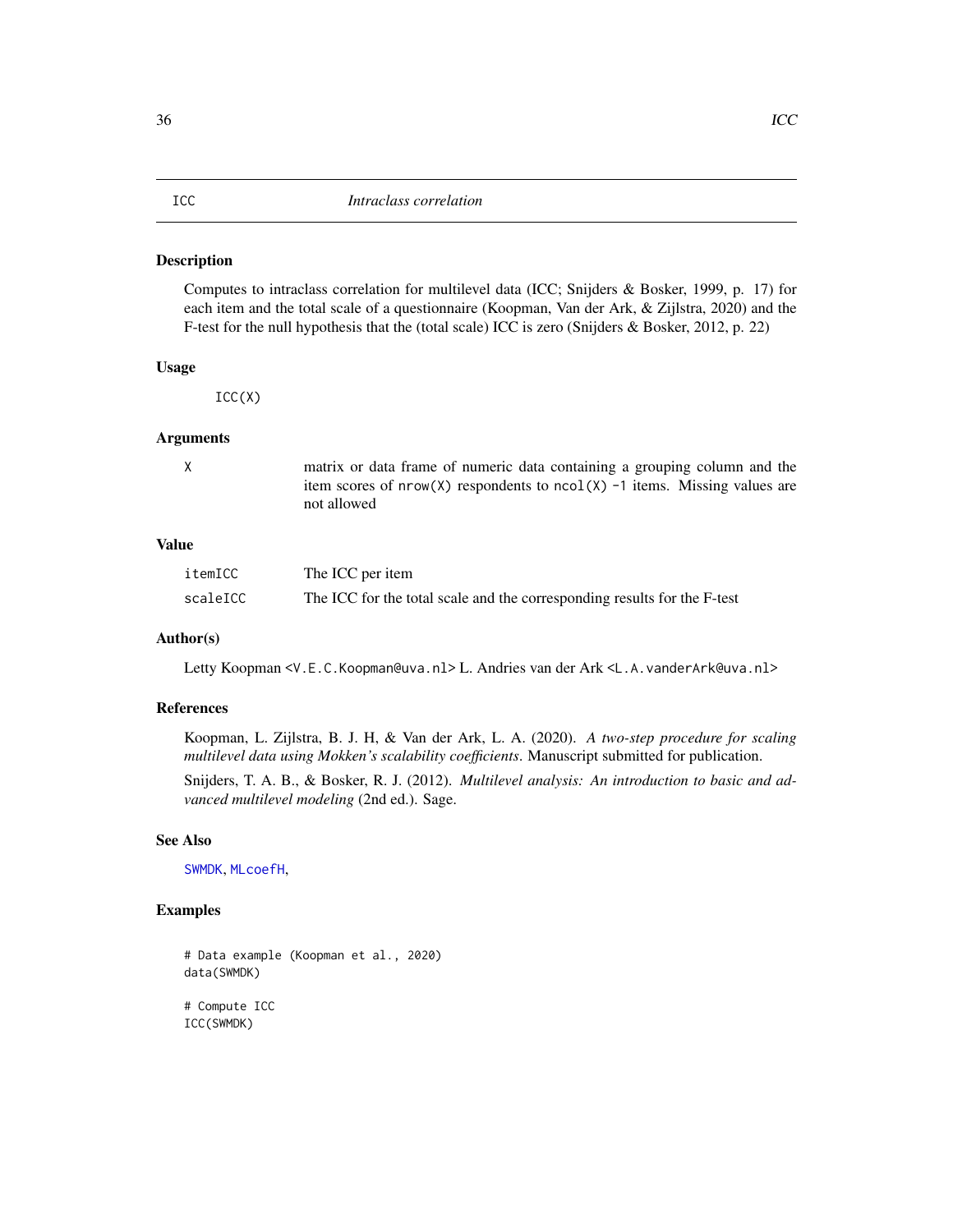#### <span id="page-35-1"></span><span id="page-35-0"></span>Description

Computes to intraclass correlation for multilevel data (ICC; Snijders & Bosker, 1999, p. 17) for each item and the total scale of a questionnaire (Koopman, Van der Ark, & Zijlstra, 2020) and the F-test for the null hypothesis that the (total scale) ICC is zero (Snijders & Bosker, 2012, p. 22)

#### Usage

 $ICC(X)$ 

#### Arguments

X matrix or data frame of numeric data containing a grouping column and the item scores of  $nrow(X)$  respondents to  $ncol(X)$  -1 items. Missing values are not allowed

# Value

| itemICC  | The ICC per item                                                         |
|----------|--------------------------------------------------------------------------|
| scaleICC | The ICC for the total scale and the corresponding results for the F-test |

# Author(s)

Letty Koopman <V.E.C.Koopman@uva.nl> L. Andries van der Ark <L.A.vanderArk@uva.nl>

# References

Koopman, L. Zijlstra, B. J. H, & Van der Ark, L. A. (2020). *A two-step procedure for scaling multilevel data using Mokken's scalability coefficients*. Manuscript submitted for publication.

Snijders, T. A. B., & Bosker, R. J. (2012). *Multilevel analysis: An introduction to basic and advanced multilevel modeling* (2nd ed.). Sage.

#### See Also

[SWMDK](#page-57-1), [MLcoefH](#page-37-1),

# Examples

# Data example (Koopman et al., 2020) data(SWMDK)

# Compute ICC ICC(SWMDK)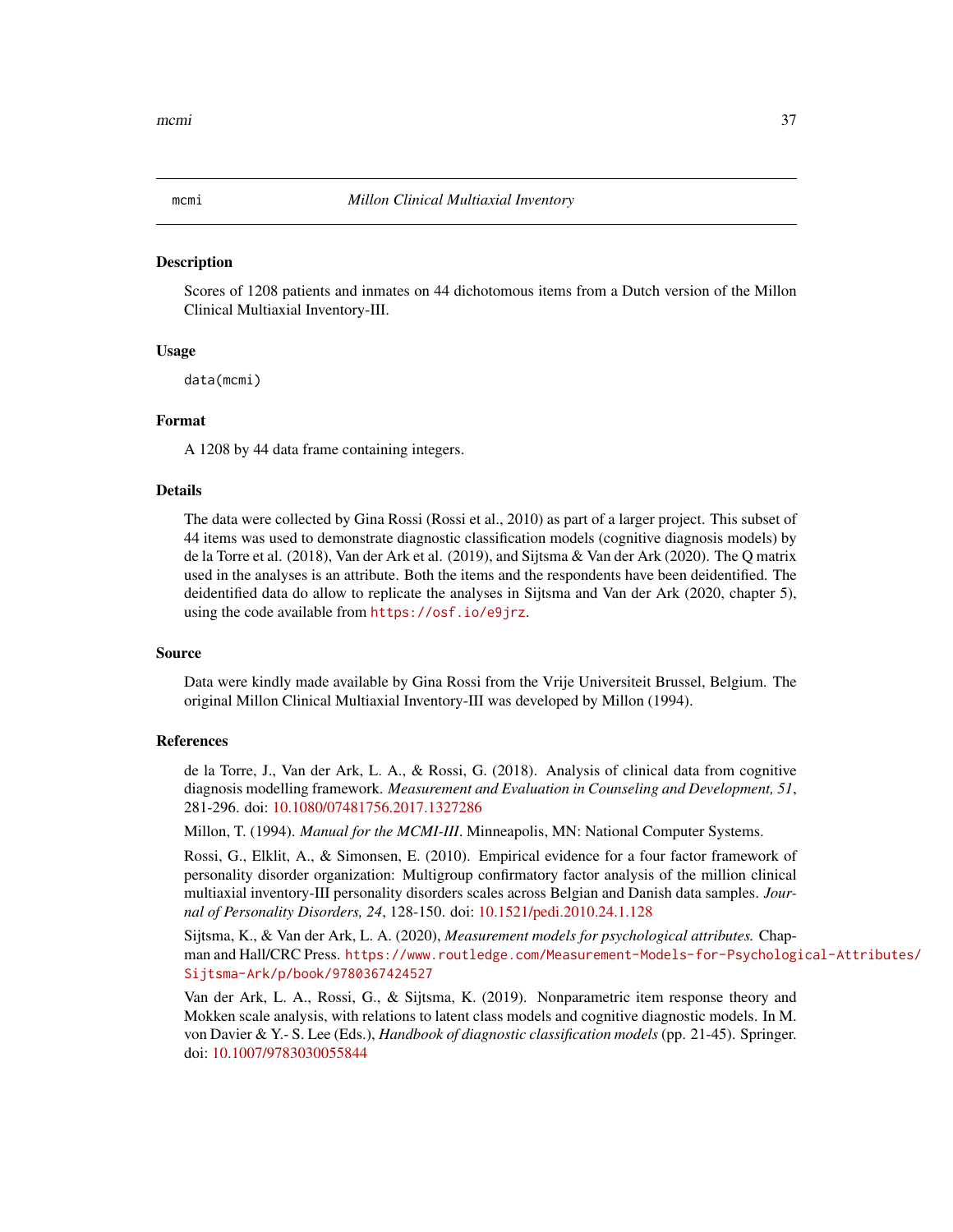<span id="page-36-1"></span><span id="page-36-0"></span>

#### **Description**

Scores of 1208 patients and inmates on 44 dichotomous items from a Dutch version of the Millon Clinical Multiaxial Inventory-III.

# Usage

data(mcmi)

# Format

A 1208 by 44 data frame containing integers.

#### Details

The data were collected by Gina Rossi (Rossi et al., 2010) as part of a larger project. This subset of 44 items was used to demonstrate diagnostic classification models (cognitive diagnosis models) by de la Torre et al. (2018), Van der Ark et al. (2019), and Sijtsma & Van der Ark (2020). The Q matrix used in the analyses is an attribute. Both the items and the respondents have been deidentified. The deidentified data do allow to replicate the analyses in Sijtsma and Van der Ark (2020, chapter 5), using the code available from <https://osf.io/e9jrz>.

# Source

Data were kindly made available by Gina Rossi from the Vrije Universiteit Brussel, Belgium. The original Millon Clinical Multiaxial Inventory-III was developed by Millon (1994).

# References

de la Torre, J., Van der Ark, L. A., & Rossi, G. (2018). Analysis of clinical data from cognitive diagnosis modelling framework. *Measurement and Evaluation in Counseling and Development, 51*, 281-296. doi: [10.1080/07481756.2017.1327286](https://doi.org/10.1080/07481756.2017.1327286)

Millon, T. (1994). *Manual for the MCMI-III*. Minneapolis, MN: National Computer Systems.

Rossi, G., Elklit, A., & Simonsen, E. (2010). Empirical evidence for a four factor framework of personality disorder organization: Multigroup confirmatory factor analysis of the million clinical multiaxial inventory-III personality disorders scales across Belgian and Danish data samples. *Journal of Personality Disorders, 24*, 128-150. doi: [10.1521/pedi.2010.24.1.128](https://doi.org/10.1521/pedi.2010.24.1.128)

Sijtsma, K., & Van der Ark, L. A. (2020), *Measurement models for psychological attributes.* Chapman and Hall/CRC Press. [https://www.routledge.com/Measurement-Models-for-Psychologi](https://www.routledge.com/Measurement-Models-for-Psychological-Attributes/Sijtsma-Ark/p/book/9780367424527)cal-Attributes/ [Sijtsma-Ark/p/book/9780367424527](https://www.routledge.com/Measurement-Models-for-Psychological-Attributes/Sijtsma-Ark/p/book/9780367424527)

Van der Ark, L. A., Rossi, G., & Sijtsma, K. (2019). Nonparametric item response theory and Mokken scale analysis, with relations to latent class models and cognitive diagnostic models. In M. von Davier & Y.- S. Lee (Eds.), *Handbook of diagnostic classification models* (pp. 21-45). Springer. doi: [10.1007/9783030055844](https://doi.org/10.1007/978-3-030-05584-4)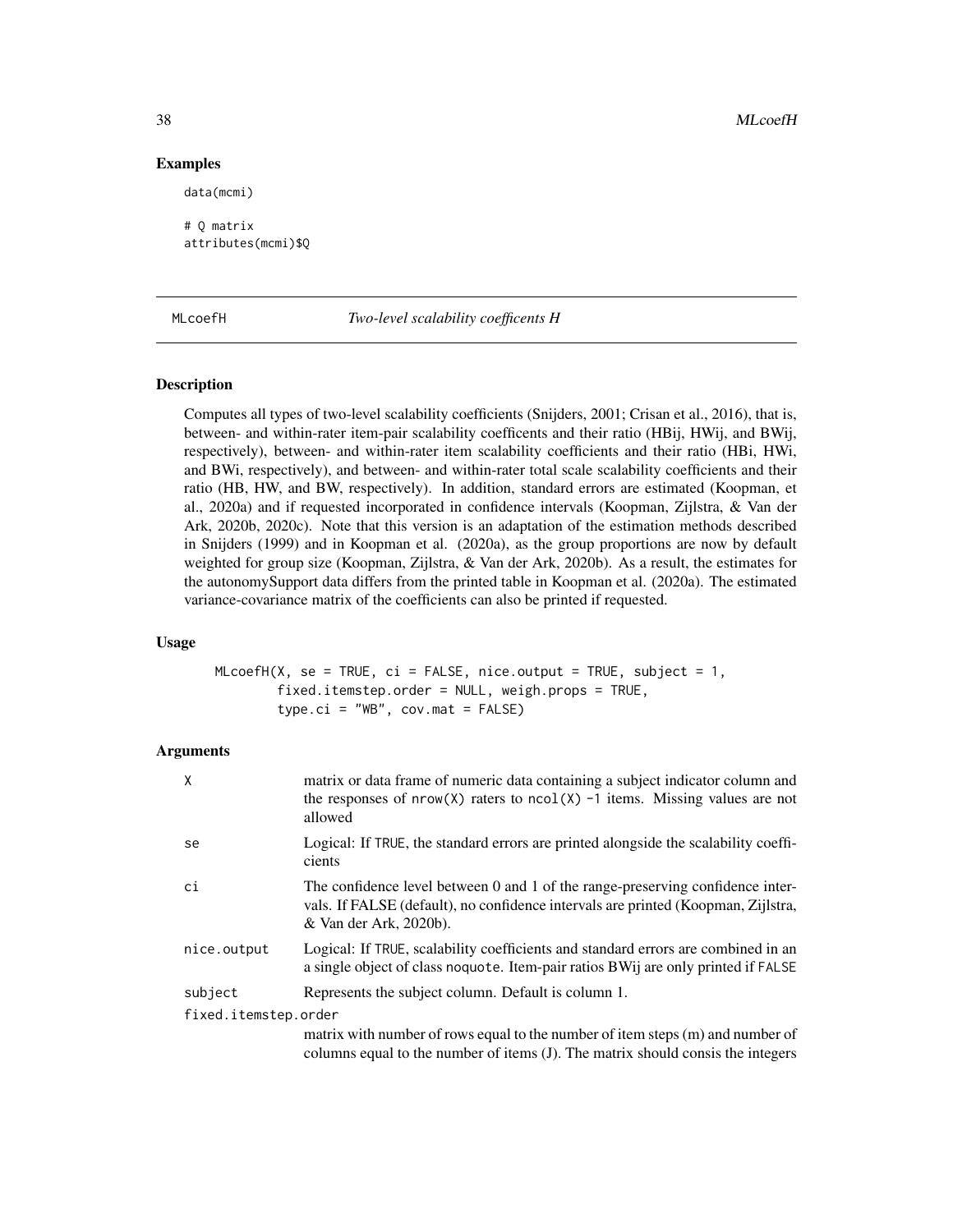# Examples

# Q matrix attributes(mcmi)\$Q

data(mcmi)

#### <span id="page-37-1"></span>MLcoefH *Two-level scalability coefficents H*

# **Description**

Computes all types of two-level scalability coefficients (Snijders, 2001; Crisan et al., 2016), that is, between- and within-rater item-pair scalability coefficents and their ratio (HBij, HWij, and BWij, respectively), between- and within-rater item scalability coefficients and their ratio (HBi, HWi, and BWi, respectively), and between- and within-rater total scale scalability coefficients and their ratio (HB, HW, and BW, respectively). In addition, standard errors are estimated (Koopman, et al., 2020a) and if requested incorporated in confidence intervals (Koopman, Zijlstra, & Van der Ark, 2020b, 2020c). Note that this version is an adaptation of the estimation methods described in Snijders (1999) and in Koopman et al. (2020a), as the group proportions are now by default weighted for group size (Koopman, Zijlstra, & Van der Ark, 2020b). As a result, the estimates for the autonomySupport data differs from the printed table in Koopman et al. (2020a). The estimated variance-covariance matrix of the coefficients can also be printed if requested.

# Usage

 $MLcoeff(X, se = TRUE, ci = FALSE, nice.output = TRUE, subject = 1,$ fixed.itemstep.order = NULL, weigh.props = TRUE, type.ci = "WB", cov.mat = FALSE)

# Arguments

| X                    | matrix or data frame of numeric data containing a subject indicator column and<br>the responses of $nrow(X)$ raters to $ncol(X)$ -1 items. Missing values are not<br>allowed                  |
|----------------------|-----------------------------------------------------------------------------------------------------------------------------------------------------------------------------------------------|
| se                   | Logical: If TRUE, the standard errors are printed alongside the scalability coeffi-<br>cients                                                                                                 |
| ci                   | The confidence level between 0 and 1 of the range-preserving confidence inter-<br>vals. If FALSE (default), no confidence intervals are printed (Koopman, Zijlstra,<br>& Van der Ark, 2020b). |
| nice.output          | Logical: If TRUE, scalability coefficients and standard errors are combined in an<br>a single object of class no quote. Item-pair ratios BWij are only printed if FALSE                       |
| subject              | Represents the subject column. Default is column 1.                                                                                                                                           |
| fixed.itemstep.order |                                                                                                                                                                                               |
|                      | matrix with number of rows equal to the number of item steps (m) and number of<br>columns equal to the number of items (J). The matrix should consis the integers                             |

<span id="page-37-0"></span>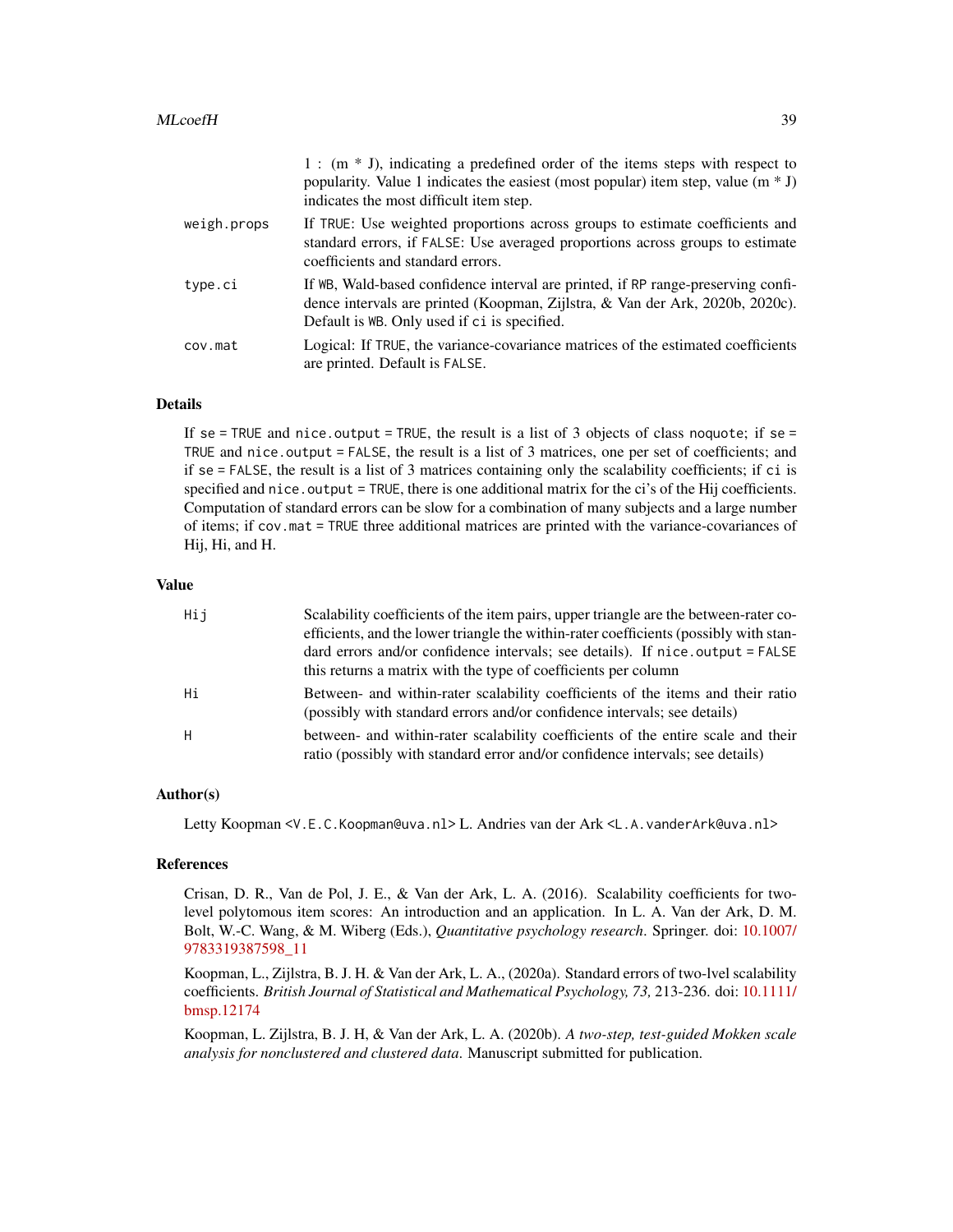|             | $1:$ (m $*$ J), indicating a predefined order of the items steps with respect to<br>popularity. Value 1 indicates the easiest (most popular) item step, value $(m * J)$<br>indicates the most difficult item step. |
|-------------|--------------------------------------------------------------------------------------------------------------------------------------------------------------------------------------------------------------------|
| weigh.props | If TRUE: Use weighted proportions across groups to estimate coefficients and<br>standard errors, if FALSE: Use averaged proportions across groups to estimate<br>coefficients and standard errors.                 |
| type.ci     | If WB, Wald-based confidence interval are printed, if RP range-preserving confi-<br>dence intervals are printed (Koopman, Zijlstra, & Van der Ark, 2020b, 2020c).<br>Default is WB. Only used if ci is specified.  |
| cov.mat     | Logical: If TRUE, the variance-covariance matrices of the estimated coefficients<br>are printed. Default is FALSE.                                                                                                 |

# Details

If se = TRUE and nice.output = TRUE, the result is a list of 3 objects of class noquote; if se = TRUE and nice.output = FALSE, the result is a list of 3 matrices, one per set of coefficients; and if se = FALSE, the result is a list of 3 matrices containing only the scalability coefficients; if ci is specified and nice.output = TRUE, there is one additional matrix for the ci's of the Hij coefficients. Computation of standard errors can be slow for a combination of many subjects and a large number of items; if cov.mat = TRUE three additional matrices are printed with the variance-covariances of Hij, Hi, and H.

#### Value

| Hij | Scalability coefficients of the item pairs, upper triangle are the between-rater co-                                                                              |
|-----|-------------------------------------------------------------------------------------------------------------------------------------------------------------------|
|     | efficients, and the lower triangle the within-rater coefficients (possibly with stan-                                                                             |
|     | dard errors and/or confidence intervals; see details). If nice output = FALSE                                                                                     |
|     | this returns a matrix with the type of coefficients per column                                                                                                    |
| Нi  | Between- and within-rater scalability coefficients of the items and their ratio<br>(possibly with standard errors and/or confidence intervals; see details)       |
| H   | between- and within-rater scalability coefficients of the entire scale and their<br>ratio (possibly with standard error and/or confidence intervals; see details) |

# Author(s)

Letty Koopman <V.E.C.Koopman@uva.nl> L. Andries van der Ark <L.A.vanderArk@uva.nl>

# References

Crisan, D. R., Van de Pol, J. E., & Van der Ark, L. A. (2016). Scalability coefficients for twolevel polytomous item scores: An introduction and an application. In L. A. Van der Ark, D. M. Bolt, W.-C. Wang, & M. Wiberg (Eds.), *Quantitative psychology research*. Springer. doi: [10.1007/](https://doi.org/10.1007/978-3-319-38759-8_11) [9783319387598\\_11](https://doi.org/10.1007/978-3-319-38759-8_11)

Koopman, L., Zijlstra, B. J. H. & Van der Ark, L. A., (2020a). Standard errors of two-lvel scalability coefficients. *British Journal of Statistical and Mathematical Psychology, 73,* 213-236. doi: [10.1111/](https://doi.org/10.1111/bmsp.12174) [bmsp.12174](https://doi.org/10.1111/bmsp.12174)

Koopman, L. Zijlstra, B. J. H, & Van der Ark, L. A. (2020b). *A two-step, test-guided Mokken scale analysis for nonclustered and clustered data*. Manuscript submitted for publication.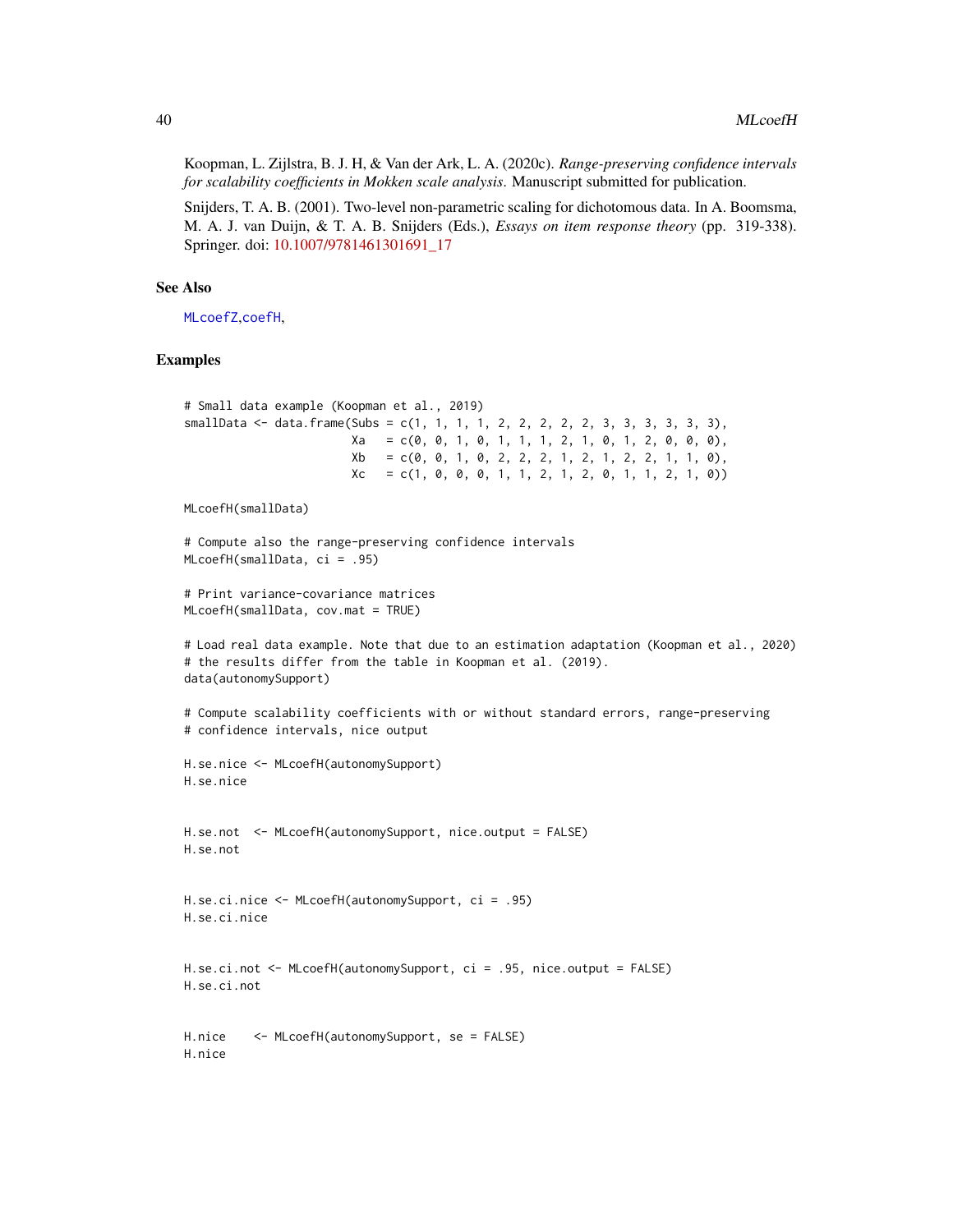<span id="page-39-0"></span>Koopman, L. Zijlstra, B. J. H, & Van der Ark, L. A. (2020c). *Range-preserving confidence intervals for scalability coefficients in Mokken scale analysis*. Manuscript submitted for publication.

Snijders, T. A. B. (2001). Two-level non-parametric scaling for dichotomous data. In A. Boomsma, M. A. J. van Duijn, & T. A. B. Snijders (Eds.), *Essays on item response theory* (pp. 319-338). Springer. doi: [10.1007/9781461301691\\_17](https://doi.org/10.1007/978-1-4613-0169-1_17)

# See Also

[MLcoefZ](#page-40-1),[coefH](#page-28-1),

#### Examples

```
# Small data example (Koopman et al., 2019)
smallData \leq data.frame(Subs = c(1, 1, 1, 1, 2, 2, 2, 2, 2, 3, 3, 3, 3, 3),
                       Xa = c(0, 0, 1, 0, 1, 1, 1, 2, 1, 0, 1, 2, 0, 0, 0),Xb = c(0, 0, 1, 0, 2, 2, 1, 2, 1, 2, 2, 1, 1, 0),Xc = c(1, 0, 0, 0, 1, 1, 2, 1, 2, 0, 1, 1, 2, 1, 0))MLcoefH(smallData)
# Compute also the range-preserving confidence intervals
MLcoefH(smallData, ci = .95)
# Print variance-covariance matrices
MLcoefH(smallData, cov.mat = TRUE)
# Load real data example. Note that due to an estimation adaptation (Koopman et al., 2020)
# the results differ from the table in Koopman et al. (2019).
data(autonomySupport)
# Compute scalability coefficients with or without standard errors, range-preserving
# confidence intervals, nice output
H.se.nice <- MLcoefH(autonomySupport)
H.se.nice
H.se.not <- MLcoefH(autonomySupport, nice.output = FALSE)
H.se.not
H.se.ci.nice <- MLcoefH(autonomySupport, ci = .95)
H.se.ci.nice
H.se.ci.not <- MLcoefH(autonomySupport, ci = .95, nice.output = FALSE)
H.se.ci.not
H.nice <- MLcoefH(autonomySupport, se = FALSE)
H.nice
```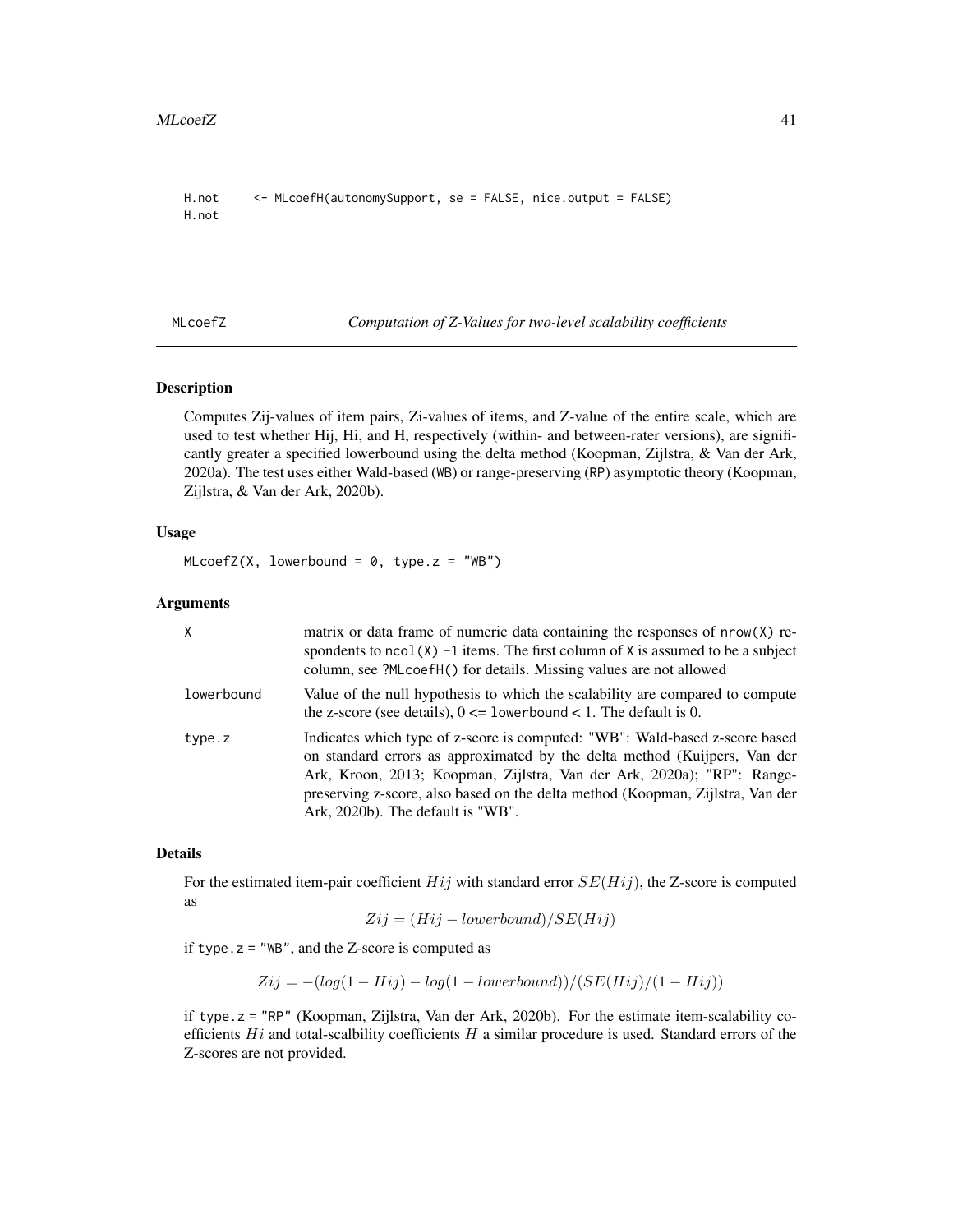```
H.not <- MLcoefH(autonomySupport, se = FALSE, nice.output = FALSE)
H.not
```
<span id="page-40-1"></span>MLcoefZ *Computation of Z-Values for two-level scalability coefficients*

# Description

Computes Zij-values of item pairs, Zi-values of items, and Z-value of the entire scale, which are used to test whether Hij, Hi, and H, respectively (within- and between-rater versions), are significantly greater a specified lowerbound using the delta method (Koopman, Zijlstra, & Van der Ark, 2020a). The test uses either Wald-based (WB) or range-preserving (RP) asymptotic theory (Koopman, Zijlstra, & Van der Ark, 2020b).

#### Usage

 $MLcoefZ(X, lowerbound = 0, type.z = "WB")$ 

# Arguments

| X          | matrix or data frame of numeric data containing the responses of nrow(X) re-<br>spondents to $ncol(X)$ -1 items. The first column of X is assumed to be a subject<br>column, see ?MLcoefH() for details. Missing values are not allowed                                                                                                                   |  |
|------------|-----------------------------------------------------------------------------------------------------------------------------------------------------------------------------------------------------------------------------------------------------------------------------------------------------------------------------------------------------------|--|
| lowerbound | Value of the null hypothesis to which the scalability are compared to compute<br>the z-score (see details), $0 \leq 1$ owerbound $< 1$ . The default is 0.                                                                                                                                                                                                |  |
| type.z     | Indicates which type of z-score is computed: "WB": Wald-based z-score based<br>on standard errors as approximated by the delta method (Kuijpers, Van der<br>Ark, Kroon, 2013; Koopman, Zijlstra, Van der Ark, 2020a); "RP": Range-<br>preserving z-score, also based on the delta method (Koopman, Zijlstra, Van der<br>Ark, 2020b). The default is "WB". |  |

#### Details

For the estimated item-pair coefficient  $Hij$  with standard error  $SE(Hij)$ , the Z-score is computed as

$$
Zij = (Hij - lowerbound)/SE(Hij)
$$

if type.  $z =$  "WB", and the Z-score is computed as

 $Zij = -(\log(1 - Hij) - \log(1 - lowerbound))/(SE(Hij)/(1 - Hij))$ 

if type.z = "RP" (Koopman, Zijlstra, Van der Ark, 2020b). For the estimate item-scalability coefficients  $Hi$  and total-scalbility coefficients  $H$  a similar procedure is used. Standard errors of the Z-scores are not provided.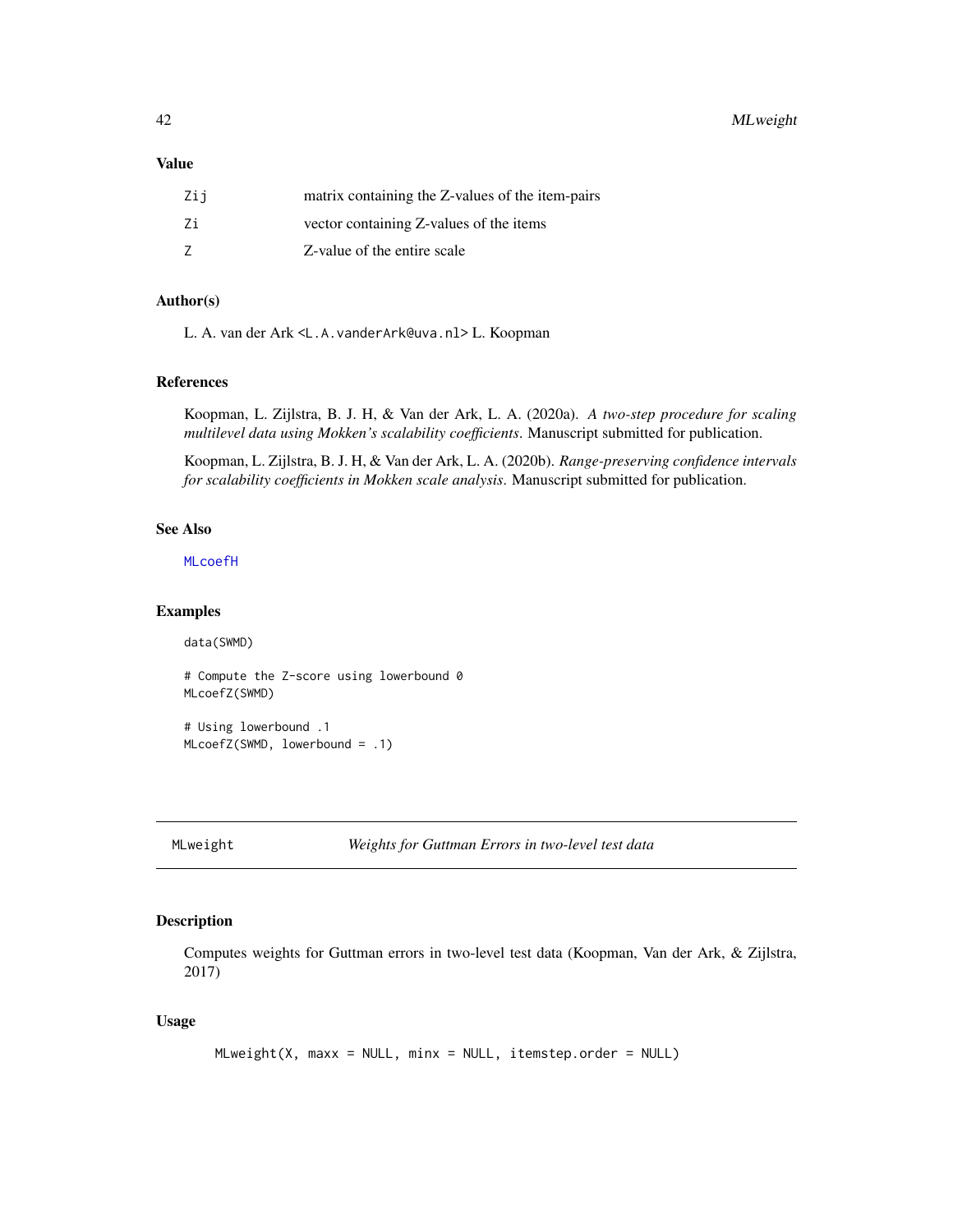<span id="page-41-0"></span>42 MLweight

# Value

| Zii | matrix containing the Z-values of the item-pairs |
|-----|--------------------------------------------------|
| 7i  | vector containing Z-values of the items          |
|     | Z-value of the entire scale                      |

# Author(s)

L. A. van der Ark <L.A.vanderArk@uva.nl> L. Koopman

#### References

Koopman, L. Zijlstra, B. J. H, & Van der Ark, L. A. (2020a). *A two-step procedure for scaling multilevel data using Mokken's scalability coefficients*. Manuscript submitted for publication.

Koopman, L. Zijlstra, B. J. H, & Van der Ark, L. A. (2020b). *Range-preserving confidence intervals for scalability coefficients in Mokken scale analysis*. Manuscript submitted for publication.

# See Also

[MLcoefH](#page-37-1)

#### Examples

data(SWMD)

# Compute the Z-score using lowerbound 0 MLcoefZ(SWMD) # Using lowerbound .1 MLcoefZ(SWMD, lowerbound = .1)

MLweight *Weights for Guttman Errors in two-level test data*

# Description

Computes weights for Guttman errors in two-level test data (Koopman, Van der Ark, & Zijlstra, 2017)

#### Usage

```
MLweight(X, maxx = NULL, minx = NULL, itemstep.order = NULL)
```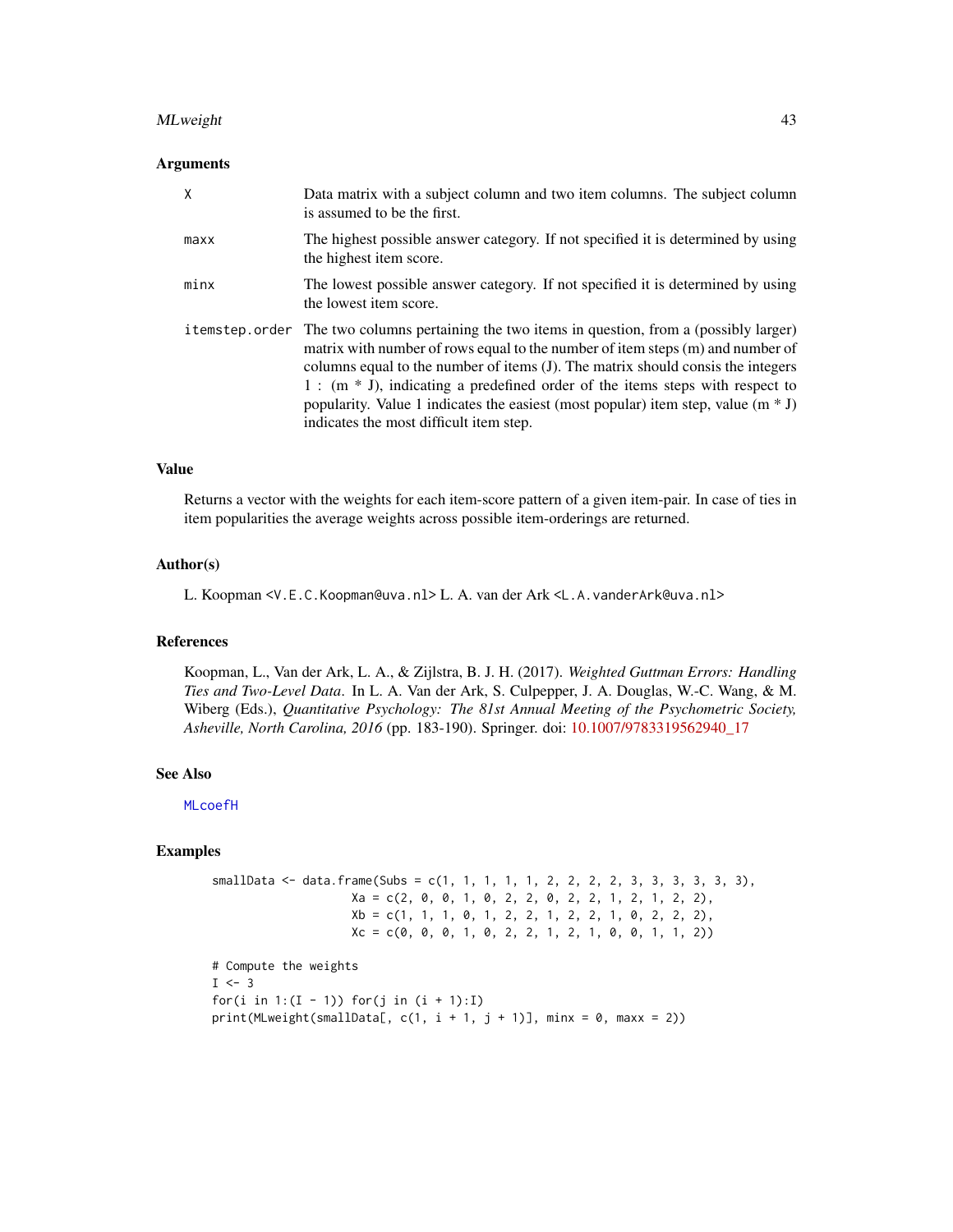#### <span id="page-42-0"></span>MLweight 43

# Arguments

| X    | Data matrix with a subject column and two item columns. The subject column<br>is assumed to be the first.                                                                                                                                                                                                                                                                                                                                                                                   |
|------|---------------------------------------------------------------------------------------------------------------------------------------------------------------------------------------------------------------------------------------------------------------------------------------------------------------------------------------------------------------------------------------------------------------------------------------------------------------------------------------------|
| maxx | The highest possible answer category. If not specified it is determined by using<br>the highest item score.                                                                                                                                                                                                                                                                                                                                                                                 |
| minx | The lowest possible answer category. If not specified it is determined by using<br>the lowest item score.                                                                                                                                                                                                                                                                                                                                                                                   |
|      | i temstep order The two columns pertaining the two items in question, from a (possibly larger)<br>matrix with number of rows equal to the number of item steps (m) and number of<br>columns equal to the number of items (J). The matrix should consis the integers<br>$1:$ (m $*$ J), indicating a predefined order of the items steps with respect to<br>popularity. Value 1 indicates the easiest (most popular) item step, value ( $m * J$ )<br>indicates the most difficult item step. |

#### Value

Returns a vector with the weights for each item-score pattern of a given item-pair. In case of ties in item popularities the average weights across possible item-orderings are returned.

# Author(s)

L. Koopman <V.E.C.Koopman@uva.nl> L. A. van der Ark <L.A.vanderArk@uva.nl>

# References

Koopman, L., Van der Ark, L. A., & Zijlstra, B. J. H. (2017). *Weighted Guttman Errors: Handling Ties and Two-Level Data*. In L. A. Van der Ark, S. Culpepper, J. A. Douglas, W.-C. Wang, & M. Wiberg (Eds.), *Quantitative Psychology: The 81st Annual Meeting of the Psychometric Society, Asheville, North Carolina, 2016* (pp. 183-190). Springer. doi: [10.1007/9783319562940\\_17](https://doi.org/10.1007/978-3-319-56294-0_17)

#### See Also

[MLcoefH](#page-37-1)

#### Examples

```
smallData <- data.frame(Subs = c(1, 1, 1, 1, 1, 2, 2, 2, 2, 3, 3, 3, 3, 3),
                   Xa = c(2, 0, 0, 1, 0, 2, 2, 0, 2, 2, 1, 2, 1, 2, 2),Xb = c(1, 1, 1, 0, 1, 2, 2, 1, 2, 2, 1, 0, 2, 2, 2),Xc = c(0, 0, 0, 1, 0, 2, 2, 1, 2, 1, 0, 0, 1, 1, 2))
```

```
# Compute the weights
I \leftarrow 3for(i in 1:(I - 1)) for(j in (i + 1):I)print(MLweight(smallData[, c(1, i + 1, j + 1)], min = 0, max = 2))
```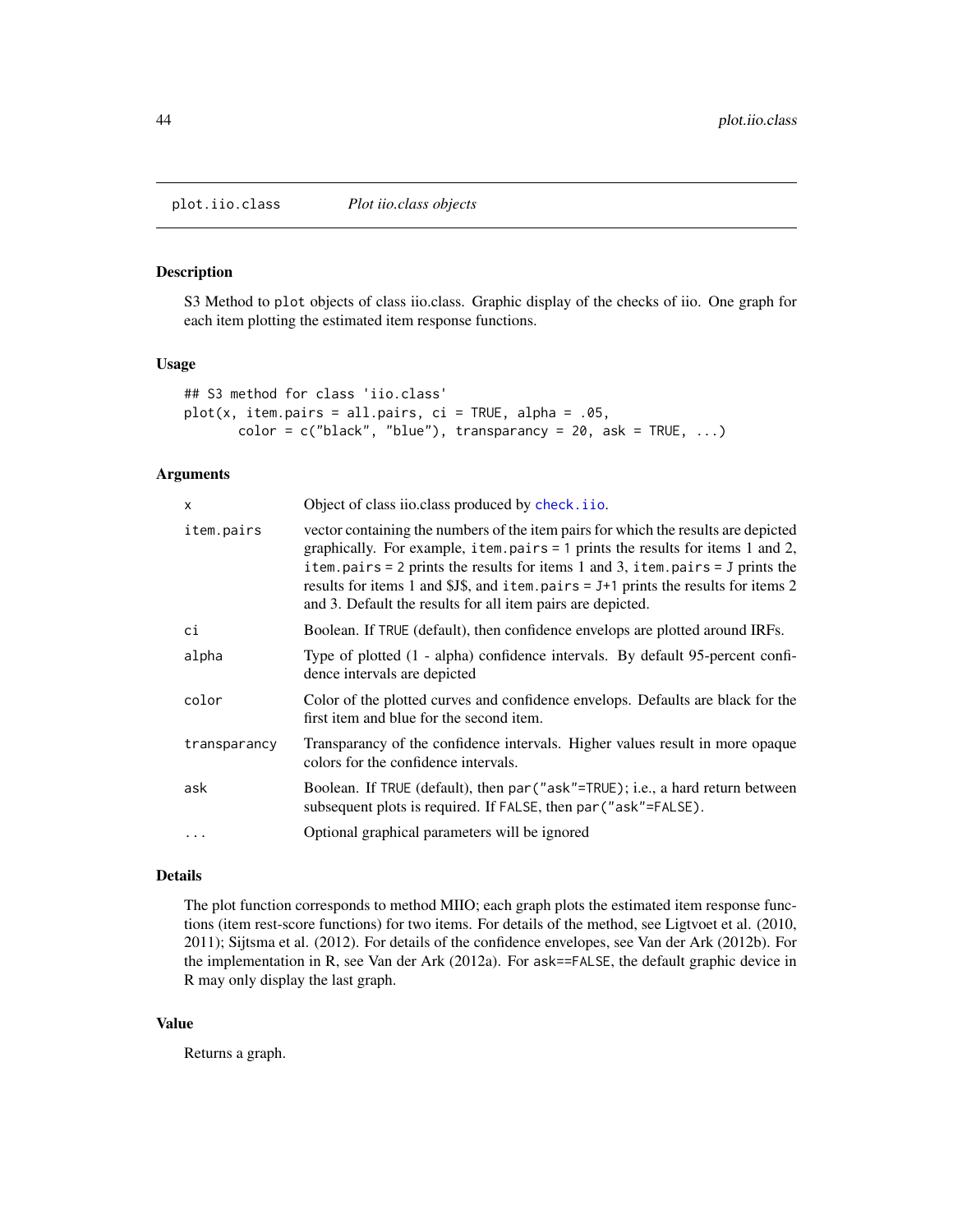<span id="page-43-1"></span><span id="page-43-0"></span>plot.iio.class *Plot iio.class objects*

# Description

S3 Method to plot objects of class iio.class. Graphic display of the checks of iio. One graph for each item plotting the estimated item response functions.

# Usage

```
## S3 method for class 'iio.class'
plot(x, item.pairs = all.pairs, ci = TRUE, alpha = .05,
      color = c("black", "blue"), transparancy = 20, ask = TRUE, ...)
```
# Arguments

| X            | Object of class iio.class produced by check.iio.                                                                                                                                                                                                                                                                                                                                                                    |  |
|--------------|---------------------------------------------------------------------------------------------------------------------------------------------------------------------------------------------------------------------------------------------------------------------------------------------------------------------------------------------------------------------------------------------------------------------|--|
| item.pairs   | vector containing the numbers of the item pairs for which the results are depicted<br>graphically. For example, item. pairs $= 1$ prints the results for items 1 and 2,<br>item.pairs = 2 prints the results for items 1 and 3, item.pairs = $J$ prints the<br>results for items 1 and \$J\$, and item. pairs $= J+1$ prints the results for items 2<br>and 3. Default the results for all item pairs are depicted. |  |
| сi           | Boolean. If TRUE (default), then confidence envelops are plotted around IRFs.                                                                                                                                                                                                                                                                                                                                       |  |
| alpha        | Type of plotted (1 - alpha) confidence intervals. By default 95-percent confi-<br>dence intervals are depicted                                                                                                                                                                                                                                                                                                      |  |
| color        | Color of the plotted curves and confidence envelops. Defaults are black for the<br>first item and blue for the second item.                                                                                                                                                                                                                                                                                         |  |
| transparancy | Transparancy of the confidence intervals. Higher values result in more opaque<br>colors for the confidence intervals.                                                                                                                                                                                                                                                                                               |  |
| ask          | Boolean. If TRUE (default), then par ("ask"=TRUE); i.e., a hard return between<br>subsequent plots is required. If FALSE, then par ("ask"=FALSE).                                                                                                                                                                                                                                                                   |  |
|              | Optional graphical parameters will be ignored                                                                                                                                                                                                                                                                                                                                                                       |  |

# Details

The plot function corresponds to method MIIO; each graph plots the estimated item response functions (item rest-score functions) for two items. For details of the method, see Ligtvoet et al. (2010, 2011); Sijtsma et al. (2012). For details of the confidence envelopes, see Van der Ark (2012b). For the implementation in R, see Van der Ark (2012a). For ask==FALSE, the default graphic device in R may only display the last graph.

# Value

Returns a graph.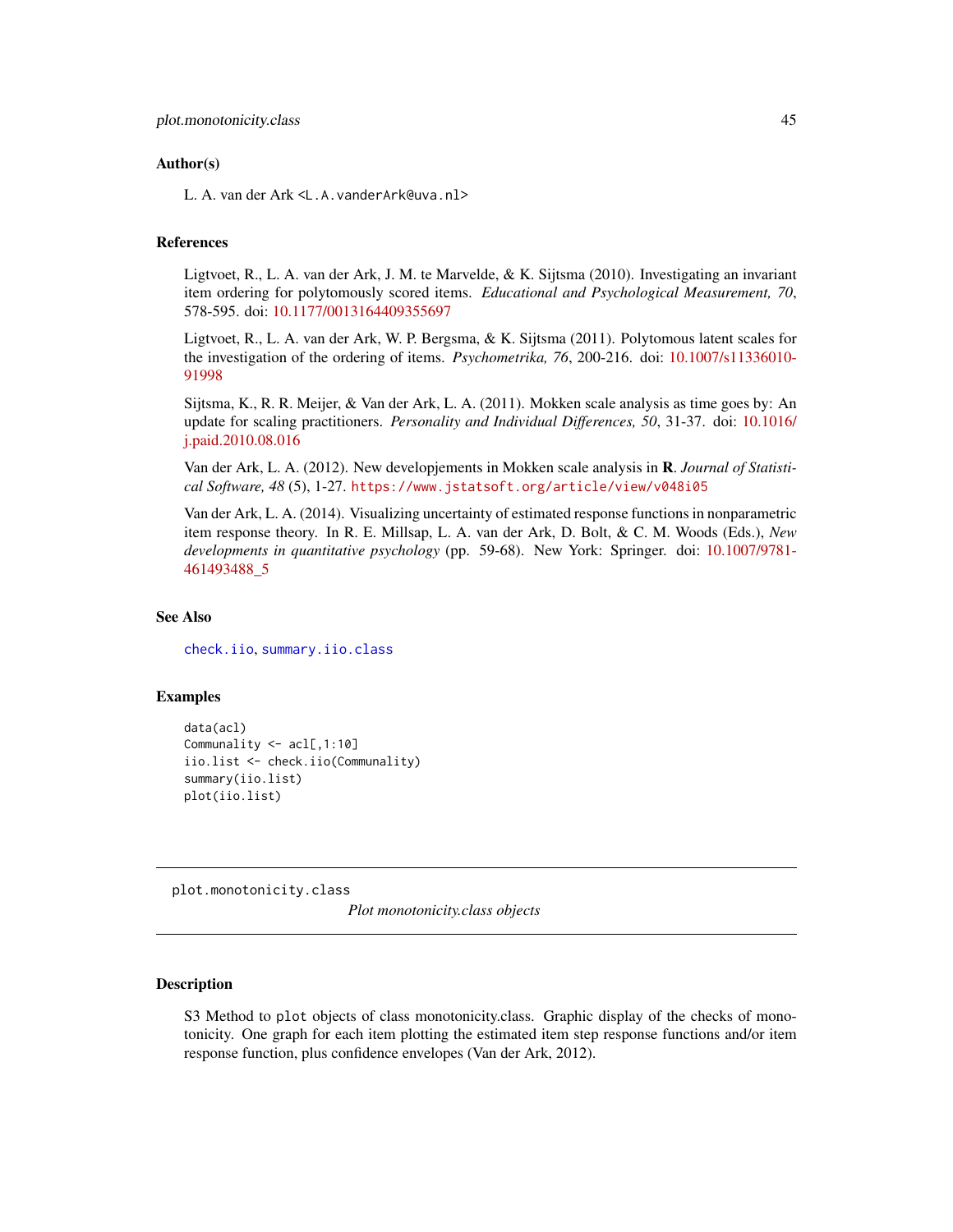# <span id="page-44-0"></span>Author(s)

L. A. van der Ark <L.A.vanderArk@uva.nl>

# **References**

Ligtvoet, R., L. A. van der Ark, J. M. te Marvelde, & K. Sijtsma (2010). Investigating an invariant item ordering for polytomously scored items. *Educational and Psychological Measurement, 70*, 578-595. doi: [10.1177/0013164409355697](https://doi.org/10.1177/0013164409355697)

Ligtvoet, R., L. A. van der Ark, W. P. Bergsma, & K. Sijtsma (2011). Polytomous latent scales for the investigation of the ordering of items. *Psychometrika, 76*, 200-216. doi: [10.1007/s11336010-](https://doi.org/10.1007/s11336-010-9199-8) [91998](https://doi.org/10.1007/s11336-010-9199-8)

Sijtsma, K., R. R. Meijer, & Van der Ark, L. A. (2011). Mokken scale analysis as time goes by: An update for scaling practitioners. *Personality and Individual Differences, 50*, 31-37. doi: [10.1016/](https://doi.org/10.1016/j.paid.2010.08.016) [j.paid.2010.08.016](https://doi.org/10.1016/j.paid.2010.08.016)

Van der Ark, L. A. (2012). New developjements in Mokken scale analysis in R. *Journal of Statistical Software, 48* (5), 1-27. <https://www.jstatsoft.org/article/view/v048i05>

Van der Ark, L. A. (2014). Visualizing uncertainty of estimated response functions in nonparametric item response theory. In R. E. Millsap, L. A. van der Ark, D. Bolt, & C. M. Woods (Eds.), *New developments in quantitative psychology* (pp. 59-68). New York: Springer. doi: [10.1007/9781-](https://doi.org/10.1007/978-1-4614-9348-8_5) [461493488\\_5](https://doi.org/10.1007/978-1-4614-9348-8_5)

# See Also

[check.iio](#page-18-1), [summary.iio.class](#page-50-1)

# Examples

```
data(acl)
Communality <- acl[,1:10]
iio.list <- check.iio(Communality)
summary(iio.list)
plot(iio.list)
```
<span id="page-44-1"></span>plot.monotonicity.class

*Plot monotonicity.class objects*

# Description

S3 Method to plot objects of class monotonicity.class. Graphic display of the checks of monotonicity. One graph for each item plotting the estimated item step response functions and/or item response function, plus confidence envelopes (Van der Ark, 2012).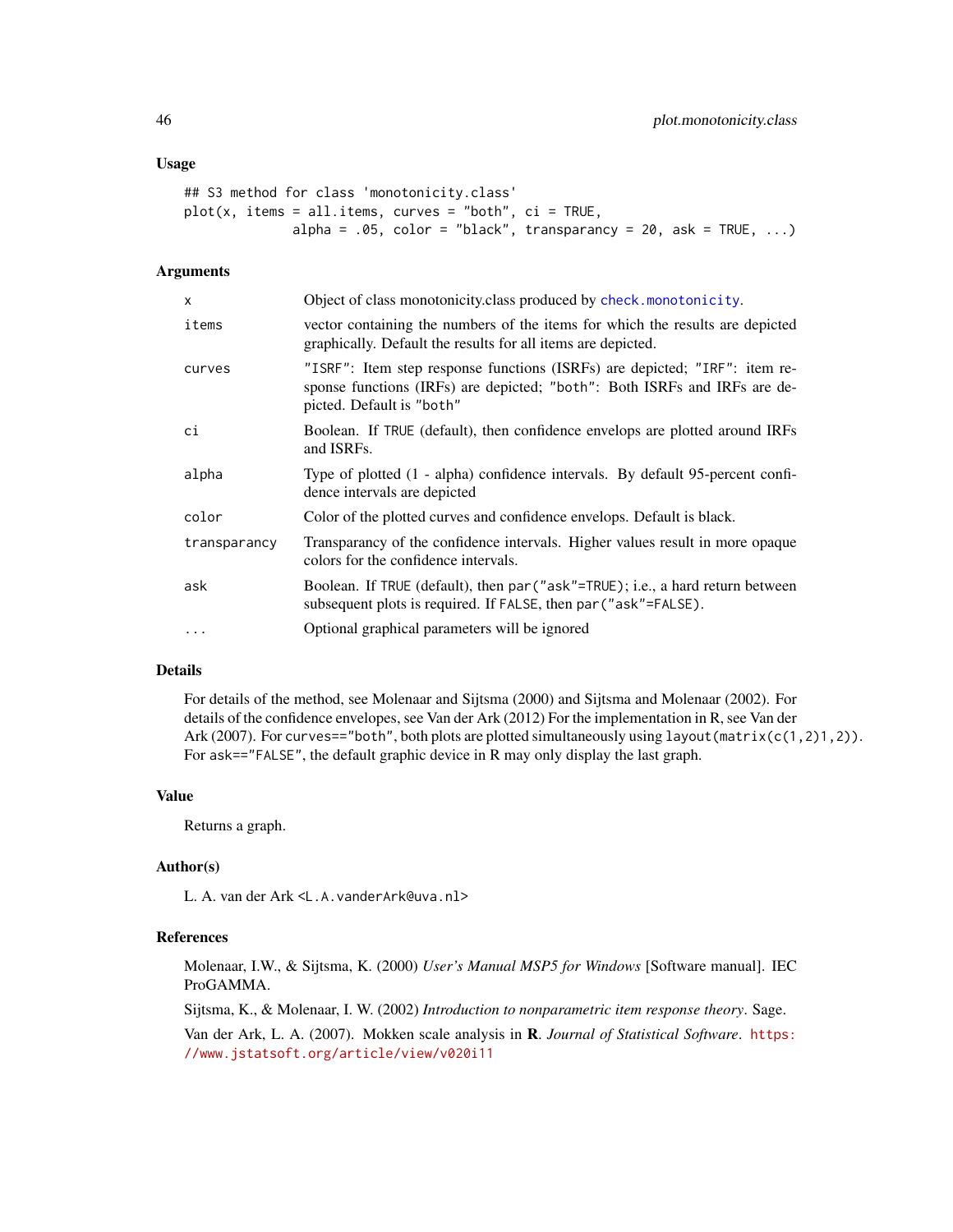# <span id="page-45-0"></span>Usage

```
## S3 method for class 'monotonicity.class'
plot(x, items = all.items, curves = "both", ci = TRUE,alpha = .05, color = "black", transparancy = 20, ask = TRUE, \ldots)
```
# Arguments

| x            | Object of class monotonicity.class produced by check.monotonicity.                                                                                                                   |
|--------------|--------------------------------------------------------------------------------------------------------------------------------------------------------------------------------------|
| items        | vector containing the numbers of the items for which the results are depicted<br>graphically. Default the results for all items are depicted.                                        |
| curves       | "ISRF": Item step response functions (ISRFs) are depicted; "IRF": item re-<br>sponse functions (IRFs) are depicted; "both": Both ISRFs and IRFs are de-<br>picted. Default is "both" |
| сi           | Boolean. If TRUE (default), then confidence envelops are plotted around IRFs<br>and ISRFs.                                                                                           |
| alpha        | Type of plotted (1 - alpha) confidence intervals. By default 95-percent confi-<br>dence intervals are depicted                                                                       |
| color        | Color of the plotted curves and confidence envelops. Default is black.                                                                                                               |
| transparancy | Transparancy of the confidence intervals. Higher values result in more opaque<br>colors for the confidence intervals.                                                                |
| ask          | Boolean. If TRUE (default), then par ("ask"=TRUE); i.e., a hard return between<br>subsequent plots is required. If FALSE, then par ("ask"=FALSE).                                    |
| $\cdots$     | Optional graphical parameters will be ignored                                                                                                                                        |
|              |                                                                                                                                                                                      |

# Details

For details of the method, see Molenaar and Sijtsma (2000) and Sijtsma and Molenaar (2002). For details of the confidence envelopes, see Van der Ark (2012) For the implementation in R, see Van der Ark (2007). For curves=="both", both plots are plotted simultaneously using layout (matrix(c(1,2)1,2)). For ask=="FALSE", the default graphic device in R may only display the last graph.

# Value

Returns a graph.

# Author(s)

L. A. van der Ark <L.A.vanderArk@uva.nl>

#### References

Molenaar, I.W., & Sijtsma, K. (2000) *User's Manual MSP5 for Windows* [Software manual]. IEC ProGAMMA.

Sijtsma, K., & Molenaar, I. W. (2002) *Introduction to nonparametric item response theory*. Sage.

Van der Ark, L. A. (2007). Mokken scale analysis in R. *Journal of Statistical Software*. [https:](https://www.jstatsoft.org/article/view/v020i11) [//www.jstatsoft.org/article/view/v020i11](https://www.jstatsoft.org/article/view/v020i11)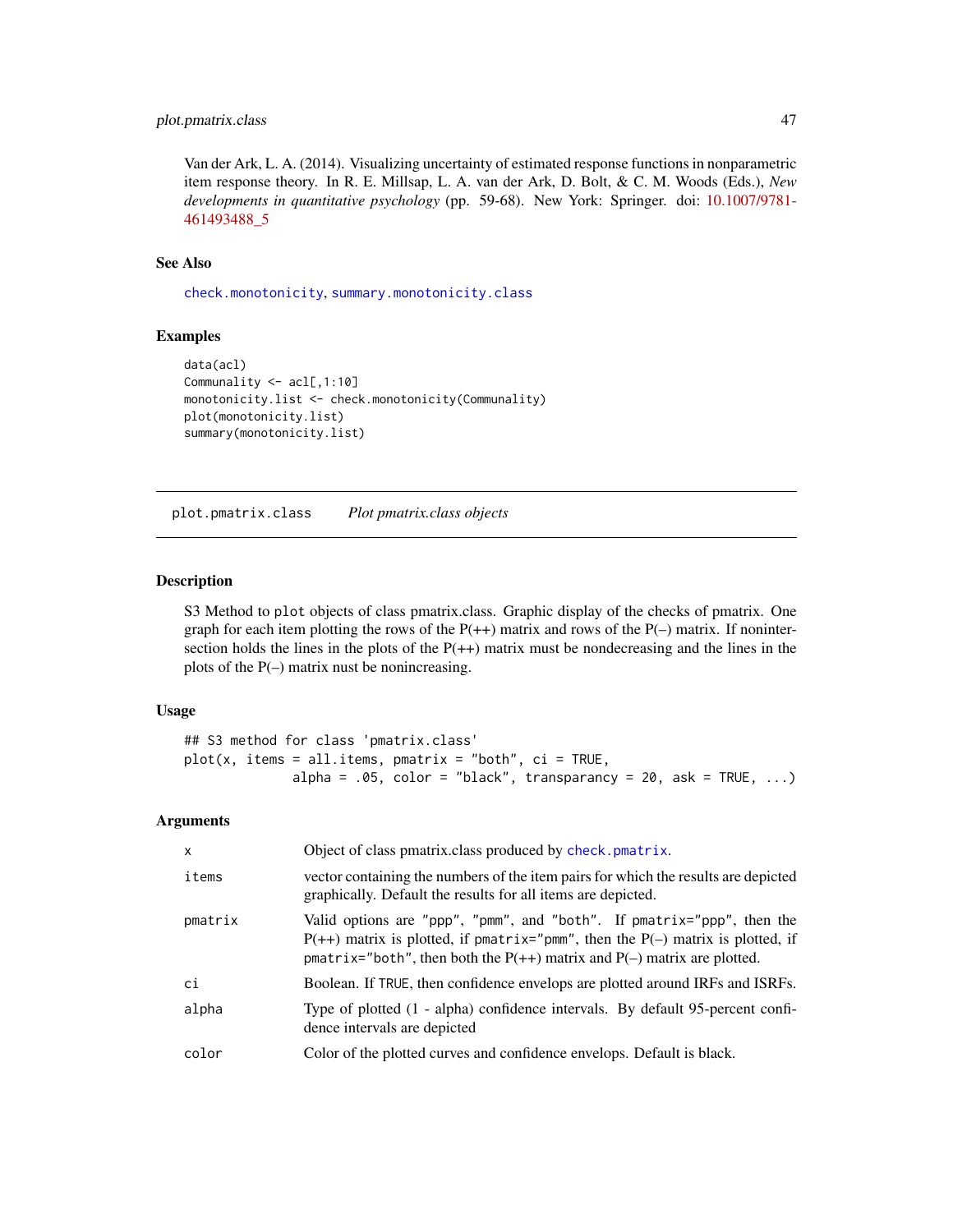# <span id="page-46-0"></span>plot.pmatrix.class 47

Van der Ark, L. A. (2014). Visualizing uncertainty of estimated response functions in nonparametric item response theory. In R. E. Millsap, L. A. van der Ark, D. Bolt, & C. M. Woods (Eds.), *New developments in quantitative psychology* (pp. 59-68). New York: Springer. doi: [10.1007/9781-](https://doi.org/10.1007/978-1-4614-9348-8_5) [461493488\\_5](https://doi.org/10.1007/978-1-4614-9348-8_5)

#### See Also

[check.monotonicity](#page-21-1), [summary.monotonicity.class](#page-52-1)

#### Examples

```
data(acl)
Communality <- acl[,1:10]
monotonicity.list <- check.monotonicity(Communality)
plot(monotonicity.list)
summary(monotonicity.list)
```
<span id="page-46-1"></span>plot.pmatrix.class *Plot pmatrix.class objects*

# Description

S3 Method to plot objects of class pmatrix.class. Graphic display of the checks of pmatrix. One graph for each item plotting the rows of the  $P(+)$  matrix and rows of the  $P(-)$  matrix. If nonintersection holds the lines in the plots of the  $P(+)$  matrix must be nondecreasing and the lines in the plots of the P(–) matrix nust be nonincreasing.

#### Usage

```
## S3 method for class 'pmatrix.class'
plot(x, items = all.items, pmatrix = "both", ci = TRUE,alpha = .05, color = "black", transparancy = 20, ask = TRUE, \ldots)
```
#### Arguments

| X       | Object of class pmatrix class produced by check. pmatrix.                                                                                                                                                                                   |
|---------|---------------------------------------------------------------------------------------------------------------------------------------------------------------------------------------------------------------------------------------------|
| items   | vector containing the numbers of the item pairs for which the results are depicted<br>graphically. Default the results for all items are depicted.                                                                                          |
| pmatrix | Valid options are "ppp", "pmm", and "both". If pmatrix="ppp", then the<br>$P(++)$ matrix is plotted, if pmatrix="pmm", then the $P(-)$ matrix is plotted, if<br>pmatrix="both", then both the $P(++)$ matrix and $P(-)$ matrix are plotted. |
| ci      | Boolean. If TRUE, then confidence envelops are plotted around IRFs and ISRFs.                                                                                                                                                               |
| alpha   | Type of plotted (1 - alpha) confidence intervals. By default 95-percent confi-<br>dence intervals are depicted                                                                                                                              |
| color   | Color of the plotted curves and confidence envelops. Default is black.                                                                                                                                                                      |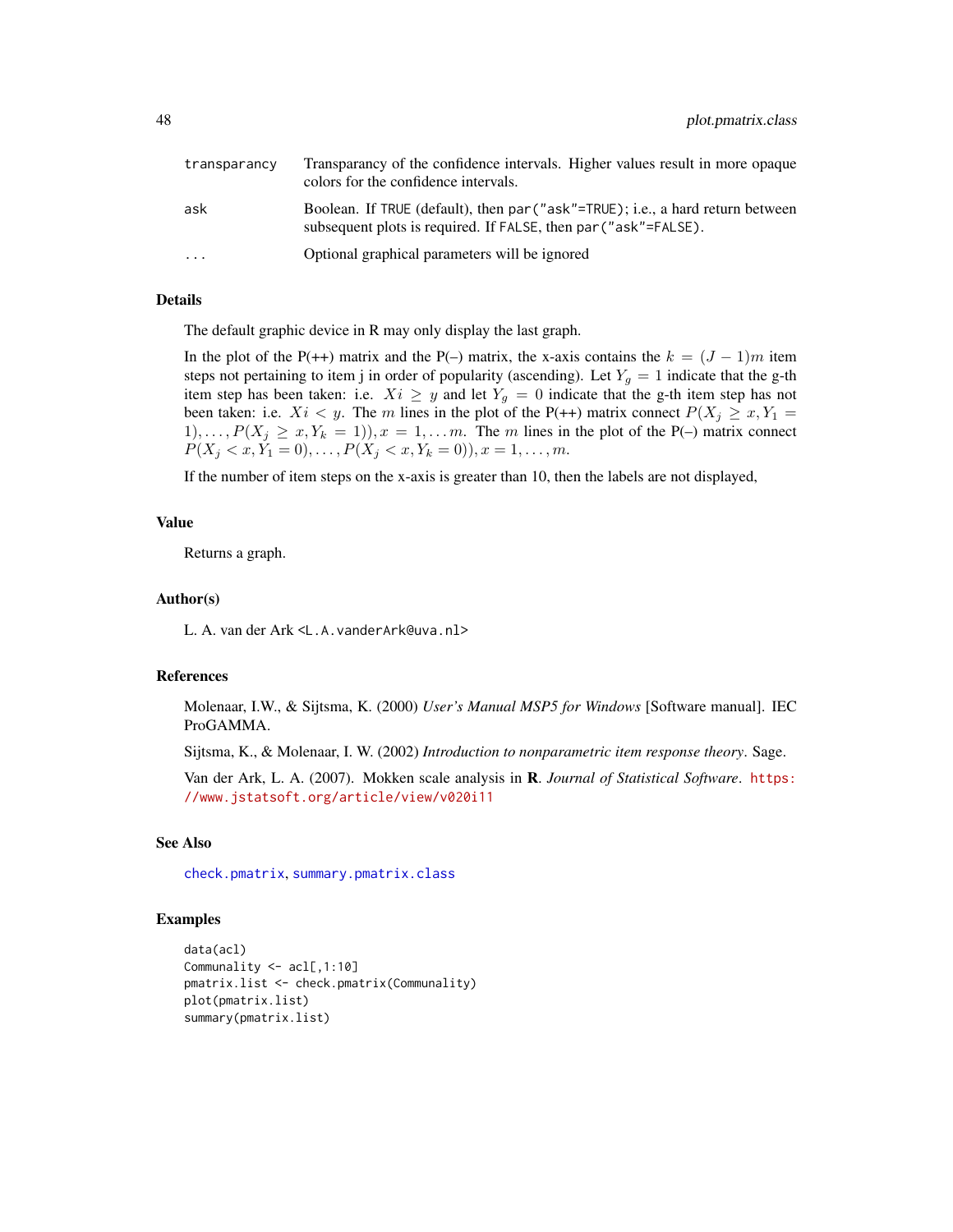<span id="page-47-0"></span>

| transparancy | Transparancy of the confidence intervals. Higher values result in more opaque<br>colors for the confidence intervals.                             |
|--------------|---------------------------------------------------------------------------------------------------------------------------------------------------|
| ask          | Boolean. If TRUE (default), then par ("ask"=TRUE); i.e., a hard return between<br>subsequent plots is required. If FALSE, then par ("ask"=FALSE). |
| $\ddotsc$    | Optional graphical parameters will be ignored                                                                                                     |

# Details

The default graphic device in R may only display the last graph.

In the plot of the P(++) matrix and the P(–) matrix, the x-axis contains the  $k = (J - 1)m$  item steps not pertaining to item j in order of popularity (ascending). Let  $Y_g = 1$  indicate that the g-th item step has been taken: i.e.  $Xi \geq y$  and let  $Y_g = 0$  indicate that the g-th item step has not been taken: i.e.  $Xi < y$ . The m lines in the plot of the P(++) matrix connect  $P(X_j \ge x, Y_1 =$  $1), \ldots, P(X_j \geq x, Y_k = 1), x = 1, \ldots m$ . The m lines in the plot of the P(–) matrix connect  $P(X_j < x, Y_1 = 0), \ldots, P(X_j < x, Y_k = 0), x = 1, \ldots, m.$ 

If the number of item steps on the x-axis is greater than 10, then the labels are not displayed,

# Value

Returns a graph.

# Author(s)

L. A. van der Ark <L.A.vanderArk@uva.nl>

# References

Molenaar, I.W., & Sijtsma, K. (2000) *User's Manual MSP5 for Windows* [Software manual]. IEC ProGAMMA.

Sijtsma, K., & Molenaar, I. W. (2002) *Introduction to nonparametric item response theory*. Sage.

Van der Ark, L. A. (2007). Mokken scale analysis in R. *Journal of Statistical Software*. [https:](https://www.jstatsoft.org/article/view/v020i11) [//www.jstatsoft.org/article/view/v020i11](https://www.jstatsoft.org/article/view/v020i11)

# See Also

[check.pmatrix](#page-24-1), [summary.pmatrix.class](#page-53-1)

# Examples

```
data(acl)
Communality <- acl[,1:10]
pmatrix.list <- check.pmatrix(Communality)
plot(pmatrix.list)
summary(pmatrix.list)
```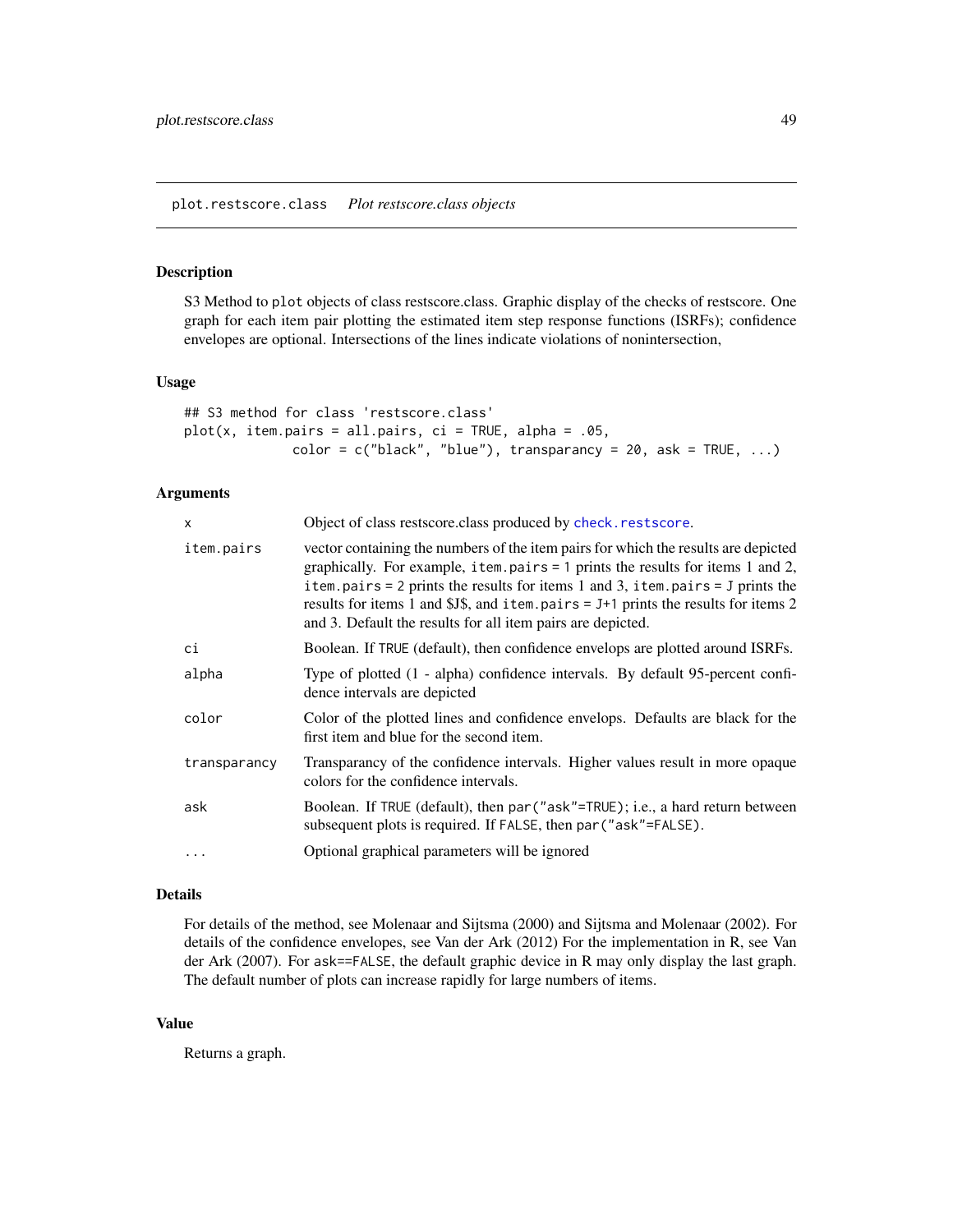# <span id="page-48-1"></span><span id="page-48-0"></span>Description

S3 Method to plot objects of class restscore.class. Graphic display of the checks of restscore. One graph for each item pair plotting the estimated item step response functions (ISRFs); confidence envelopes are optional. Intersections of the lines indicate violations of nonintersection,

#### Usage

```
## S3 method for class 'restscore.class'
plot(x, item.pairs = all.pairs, ci = TRUE, alpha = .05,color = c("black", "blue"), transparancy = 20, ask = TRUE, ...)
```
# Arguments

| X            | Object of class restscore.class produced by check.restscore.                                                                                                                                                                                                                                                                                                                                                            |  |  |
|--------------|-------------------------------------------------------------------------------------------------------------------------------------------------------------------------------------------------------------------------------------------------------------------------------------------------------------------------------------------------------------------------------------------------------------------------|--|--|
| item.pairs   | vector containing the numbers of the item pairs for which the results are depicted<br>graphically. For example, item.pairs = $1$ prints the results for items $1$ and $2$ ,<br>item.pairs = 2 prints the results for items 1 and 3, item.pairs = $J$ prints the<br>results for items 1 and \$J\$, and item. pairs = $J+1$ prints the results for items 2<br>and 3. Default the results for all item pairs are depicted. |  |  |
| сi           | Boolean. If TRUE (default), then confidence envelops are plotted around ISRFs.                                                                                                                                                                                                                                                                                                                                          |  |  |
| alpha        | Type of plotted (1 - alpha) confidence intervals. By default 95-percent confi-<br>dence intervals are depicted                                                                                                                                                                                                                                                                                                          |  |  |
| color        | Color of the plotted lines and confidence envelops. Defaults are black for the<br>first item and blue for the second item.                                                                                                                                                                                                                                                                                              |  |  |
| transparancy | Transparancy of the confidence intervals. Higher values result in more opaque<br>colors for the confidence intervals.                                                                                                                                                                                                                                                                                                   |  |  |
| ask          | Boolean. If TRUE (default), then par ("ask"=TRUE); i.e., a hard return between<br>subsequent plots is required. If FALSE, then par ("ask"=FALSE).                                                                                                                                                                                                                                                                       |  |  |
| $\cdots$     | Optional graphical parameters will be ignored                                                                                                                                                                                                                                                                                                                                                                           |  |  |

#### Details

For details of the method, see Molenaar and Sijtsma (2000) and Sijtsma and Molenaar (2002). For details of the confidence envelopes, see Van der Ark (2012) For the implementation in R, see Van der Ark (2007). For ask==FALSE, the default graphic device in R may only display the last graph. The default number of plots can increase rapidly for large numbers of items.

# Value

Returns a graph.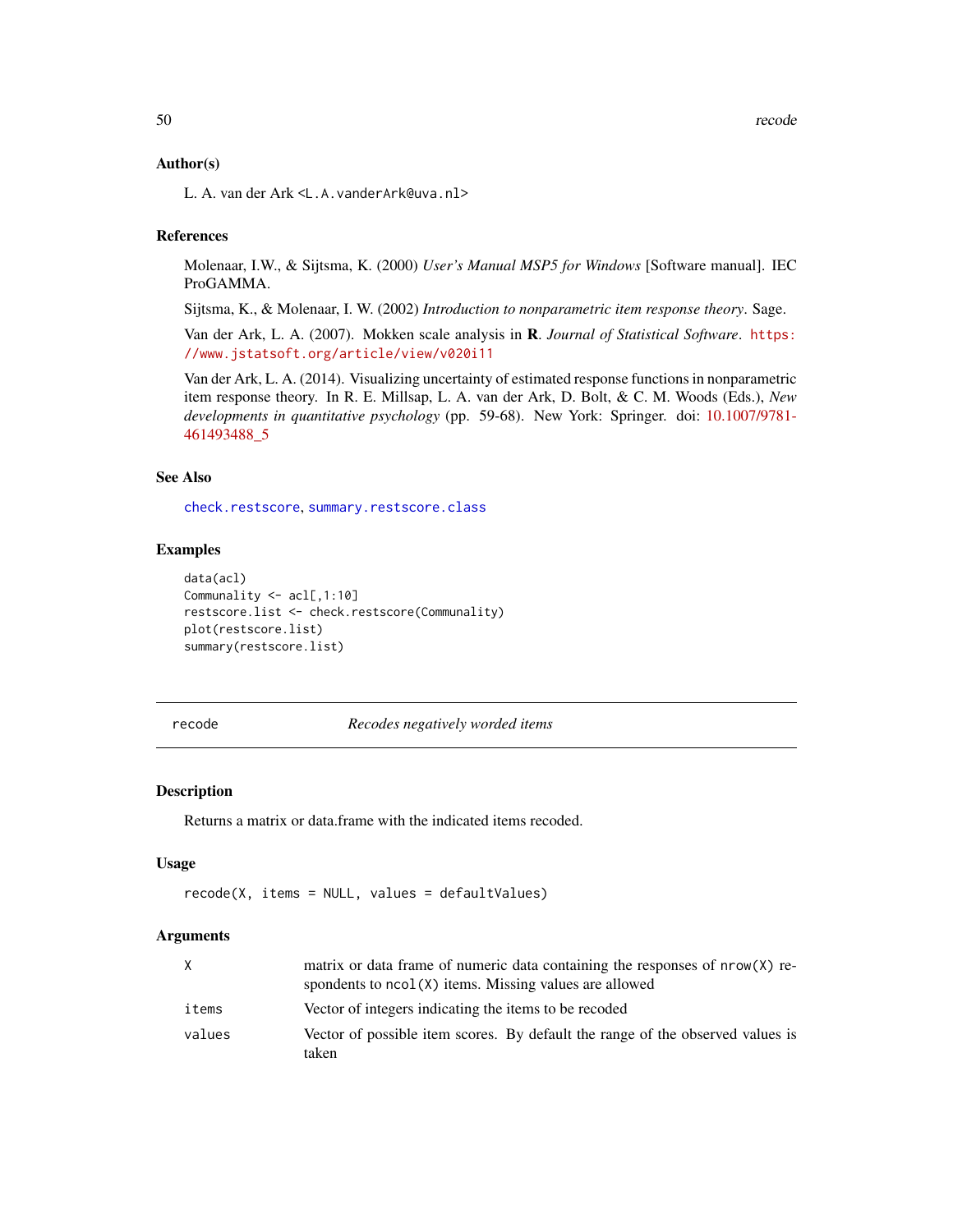#### <span id="page-49-0"></span>Author(s)

L. A. van der Ark <L.A.vanderArk@uva.nl>

# **References**

Molenaar, I.W., & Sijtsma, K. (2000) *User's Manual MSP5 for Windows* [Software manual]. IEC ProGAMMA.

Sijtsma, K., & Molenaar, I. W. (2002) *Introduction to nonparametric item response theory*. Sage.

Van der Ark, L. A. (2007). Mokken scale analysis in R. *Journal of Statistical Software*. [https:](https://www.jstatsoft.org/article/view/v020i11) [//www.jstatsoft.org/article/view/v020i11](https://www.jstatsoft.org/article/view/v020i11)

Van der Ark, L. A. (2014). Visualizing uncertainty of estimated response functions in nonparametric item response theory. In R. E. Millsap, L. A. van der Ark, D. Bolt, & C. M. Woods (Eds.), *New developments in quantitative psychology* (pp. 59-68). New York: Springer. doi: [10.1007/9781-](https://doi.org/10.1007/978-1-4614-9348-8_5) [461493488\\_5](https://doi.org/10.1007/978-1-4614-9348-8_5)

# See Also

[check.restscore](#page-27-1), [summary.restscore.class](#page-55-1)

# Examples

```
data(acl)
Communality <- acl[,1:10]
restscore.list <- check.restscore(Communality)
plot(restscore.list)
summary(restscore.list)
```
<span id="page-49-1"></span>recode *Recodes negatively worded items*

#### Description

Returns a matrix or data.frame with the indicated items recoded.

# Usage

recode(X, items = NULL, values = defaultValues)

#### **Arguments**

| X      | matrix or data frame of numeric data containing the responses of nrow(X) re-<br>spondents to $ncol(X)$ items. Missing values are allowed |
|--------|------------------------------------------------------------------------------------------------------------------------------------------|
| items  | Vector of integers indicating the items to be recoded                                                                                    |
| values | Vector of possible item scores. By default the range of the observed values is<br>taken                                                  |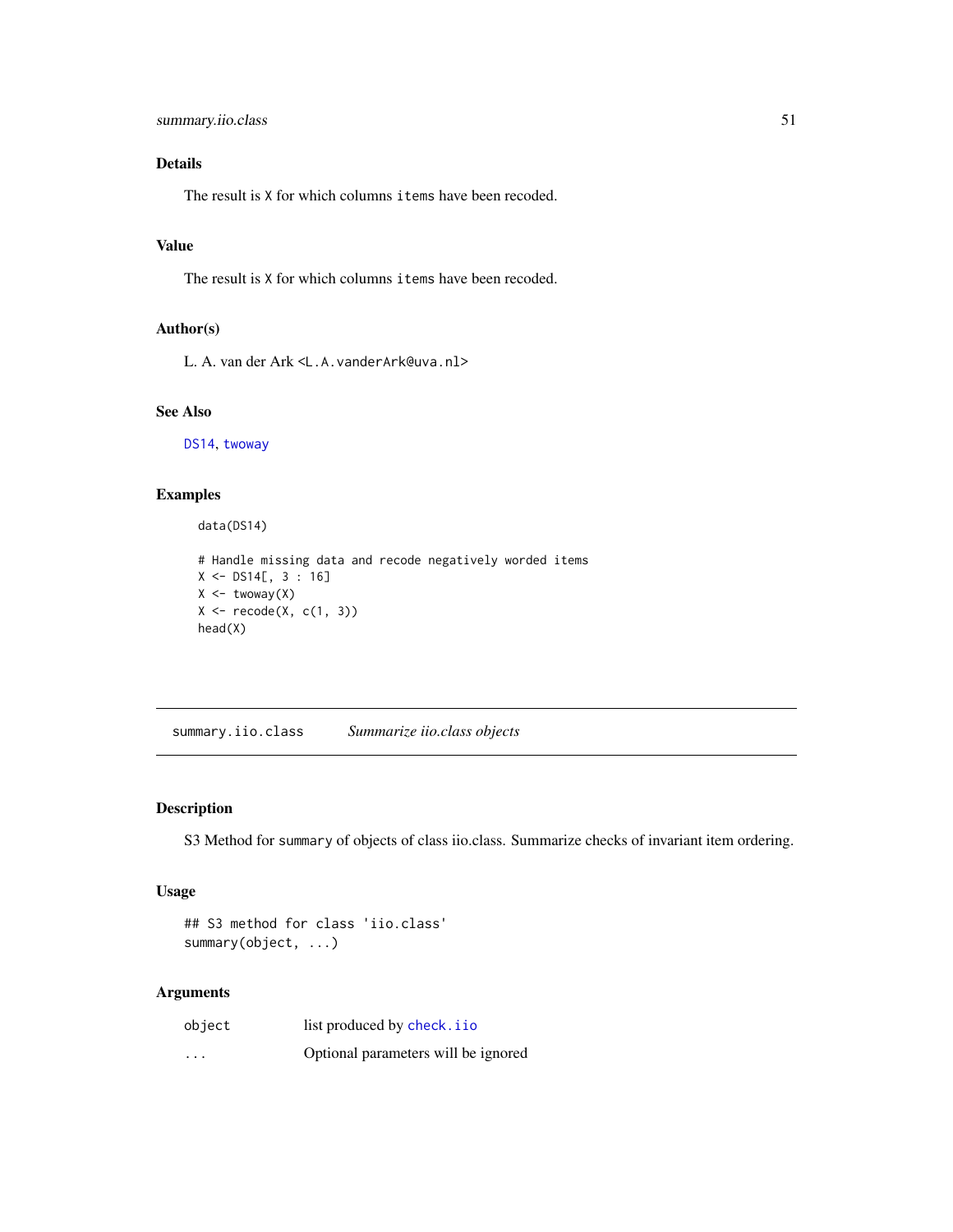# <span id="page-50-0"></span>Details

The result is X for which columns items have been recoded.

# Value

The result is X for which columns items have been recoded.

# Author(s)

L. A. van der Ark <L.A.vanderArk@uva.nl>

# See Also

[DS14](#page-33-1), [twoway](#page-61-1)

# Examples

data(DS14)

```
# Handle missing data and recode negatively worded items
X \leftarrow DS14[, 3 : 16]
X \leftarrow twoway(X)X \leftarrow \text{recode}(X, c(1, 3))head(X)
```
<span id="page-50-1"></span>summary.iio.class *Summarize iio.class objects*

# Description

S3 Method for summary of objects of class iio.class. Summarize checks of invariant item ordering.

# Usage

## S3 method for class 'iio.class' summary(object, ...)

# Arguments

| object   | list produced by check. i io        |
|----------|-------------------------------------|
| $\cdots$ | Optional parameters will be ignored |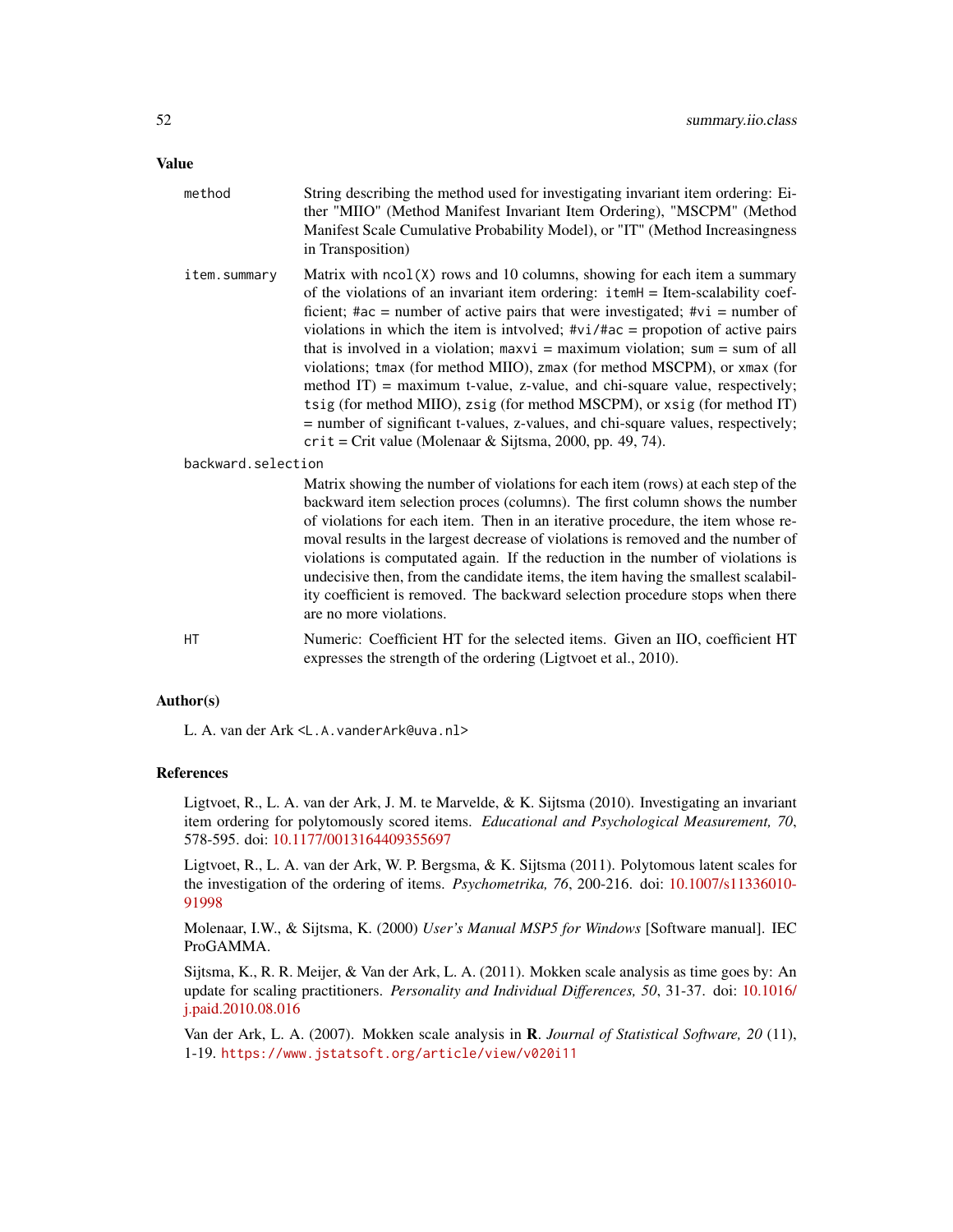# Value

| method             | String describing the method used for investigating invariant item ordering: Ei-<br>ther "MIIO" (Method Manifest Invariant Item Ordering), "MSCPM" (Method<br>Manifest Scale Cumulative Probability Model), or "IT" (Method Increasingness<br>in Transposition)                                                                                                                                                                                                                                                                                                                                                                                                                                                                                                                                                       |
|--------------------|-----------------------------------------------------------------------------------------------------------------------------------------------------------------------------------------------------------------------------------------------------------------------------------------------------------------------------------------------------------------------------------------------------------------------------------------------------------------------------------------------------------------------------------------------------------------------------------------------------------------------------------------------------------------------------------------------------------------------------------------------------------------------------------------------------------------------|
| item.summary       | Matrix with $ncol(X)$ rows and 10 columns, showing for each item a summary<br>of the violations of an invariant item ordering: itemH = Item-scalability coef-<br>ficient; #ac = number of active pairs that were investigated; # $vi$ = number of<br>violations in which the item is intvolved; $\#vi$ /#ac = propotion of active pairs<br>that is involved in a violation; $maxvi = maximum$ violation; $sum = sum$ of all<br>violations; tmax (for method MIIO), zmax (for method MSCPM), or xmax (for<br>method IT) = maximum t-value, z-value, and chi-square value, respectively;<br>tsig (for method MIIO), zsig (for method MSCPM), or xsig (for method IT)<br>= number of significant t-values, z-values, and chi-square values, respectively;<br>$crit = Crit$ value (Molenaar & Sijtsma, 2000, pp. 49, 74). |
| backward.selection |                                                                                                                                                                                                                                                                                                                                                                                                                                                                                                                                                                                                                                                                                                                                                                                                                       |
|                    | Matrix showing the number of violations for each item (rows) at each step of the<br>backward item selection proces (columns). The first column shows the number<br>of violations for each item. Then in an iterative procedure, the item whose re-<br>moval results in the largest decrease of violations is removed and the number of<br>violations is computated again. If the reduction in the number of violations is<br>undecisive then, from the candidate items, the item having the smallest scalabil-<br>ity coefficient is removed. The backward selection procedure stops when there<br>are no more violations.                                                                                                                                                                                            |
| HT                 | Numeric: Coefficient HT for the selected items. Given an IIO, coefficient HT                                                                                                                                                                                                                                                                                                                                                                                                                                                                                                                                                                                                                                                                                                                                          |

# Author(s)

L. A. van der Ark <L.A.vanderArk@uva.nl>

# References

Ligtvoet, R., L. A. van der Ark, J. M. te Marvelde, & K. Sijtsma (2010). Investigating an invariant item ordering for polytomously scored items. *Educational and Psychological Measurement, 70*, 578-595. doi: [10.1177/0013164409355697](https://doi.org/10.1177/0013164409355697)

expresses the strength of the ordering (Ligtvoet et al., 2010).

Ligtvoet, R., L. A. van der Ark, W. P. Bergsma, & K. Sijtsma (2011). Polytomous latent scales for the investigation of the ordering of items. *Psychometrika, 76*, 200-216. doi: [10.1007/s11336010-](https://doi.org/10.1007/s11336-010-9199-8) [91998](https://doi.org/10.1007/s11336-010-9199-8)

Molenaar, I.W., & Sijtsma, K. (2000) *User's Manual MSP5 for Windows* [Software manual]. IEC ProGAMMA.

Sijtsma, K., R. R. Meijer, & Van der Ark, L. A. (2011). Mokken scale analysis as time goes by: An update for scaling practitioners. *Personality and Individual Differences, 50*, 31-37. doi: [10.1016/](https://doi.org/10.1016/j.paid.2010.08.016) [j.paid.2010.08.016](https://doi.org/10.1016/j.paid.2010.08.016)

Van der Ark, L. A. (2007). Mokken scale analysis in R. *Journal of Statistical Software, 20* (11), 1-19. <https://www.jstatsoft.org/article/view/v020i11>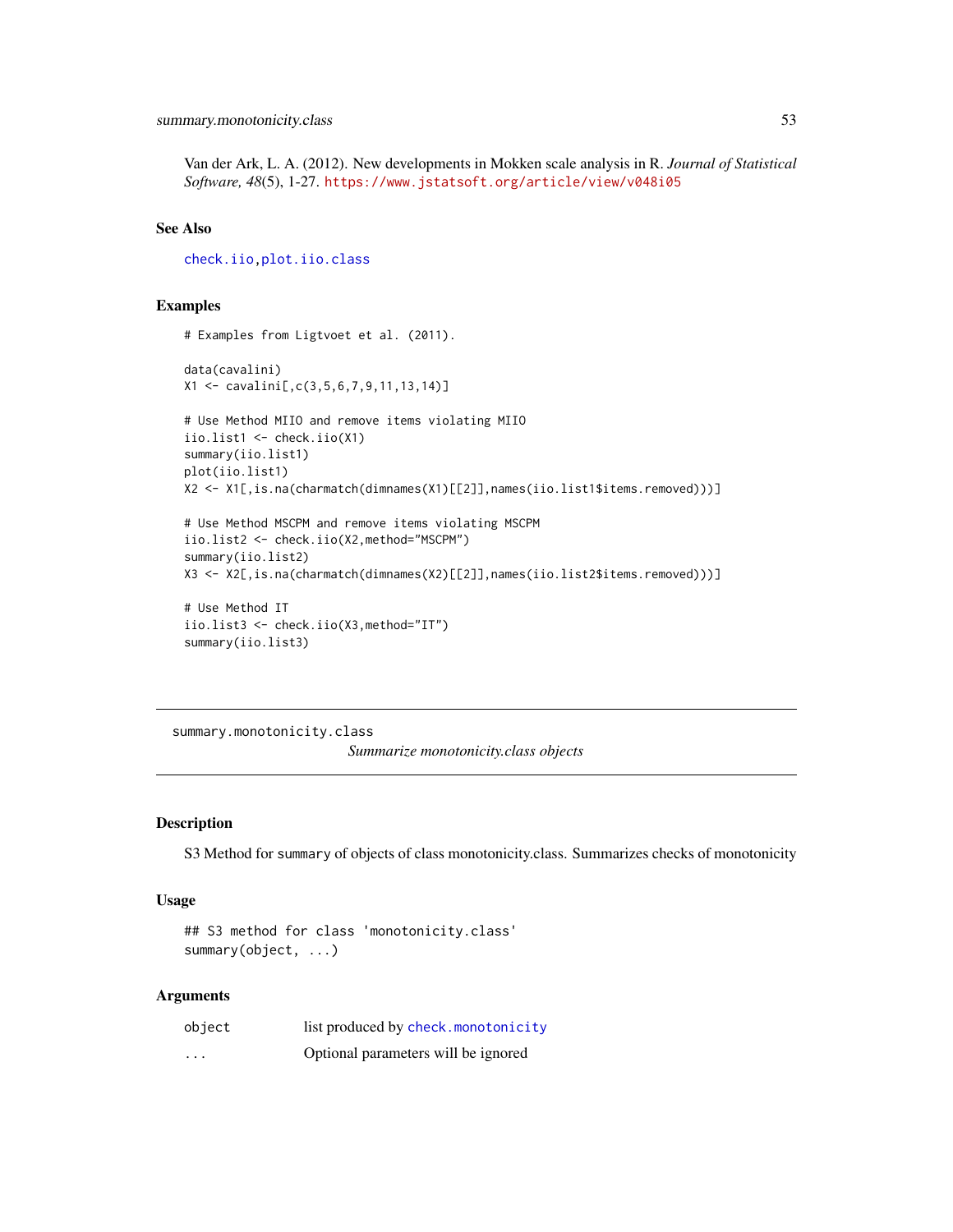<span id="page-52-0"></span>Van der Ark, L. A. (2012). New developments in Mokken scale analysis in R. *Journal of Statistical Software, 48*(5), 1-27. <https://www.jstatsoft.org/article/view/v048i05>

#### See Also

[check.iio](#page-18-1)[,plot.iio.class](#page-43-1)

# Examples

```
# Examples from Ligtvoet et al. (2011).
data(cavalini)
X1 <- cavalini[,c(3,5,6,7,9,11,13,14)]
# Use Method MIIO and remove items violating MIIO
iio.list1 <- check.iio(X1)
summary(iio.list1)
plot(iio.list1)
X2 <- X1[,is.na(charmatch(dimnames(X1)[[2]],names(iio.list1$items.removed)))]
# Use Method MSCPM and remove items violating MSCPM
iio.list2 <- check.iio(X2,method="MSCPM")
summary(iio.list2)
X3 <- X2[,is.na(charmatch(dimnames(X2)[[2]],names(iio.list2$items.removed)))]
# Use Method IT
```

```
iio.list3 <- check.iio(X3,method="IT")
summary(iio.list3)
```
<span id="page-52-1"></span>summary.monotonicity.class *Summarize monotonicity.class objects*

# Description

S3 Method for summary of objects of class monotonicity.class. Summarizes checks of monotonicity

# Usage

```
## S3 method for class 'monotonicity.class'
summary(object, ...)
```
#### Arguments

| object                  | list produced by check.monotonicity |
|-------------------------|-------------------------------------|
| $\cdot$ $\cdot$ $\cdot$ | Optional parameters will be ignored |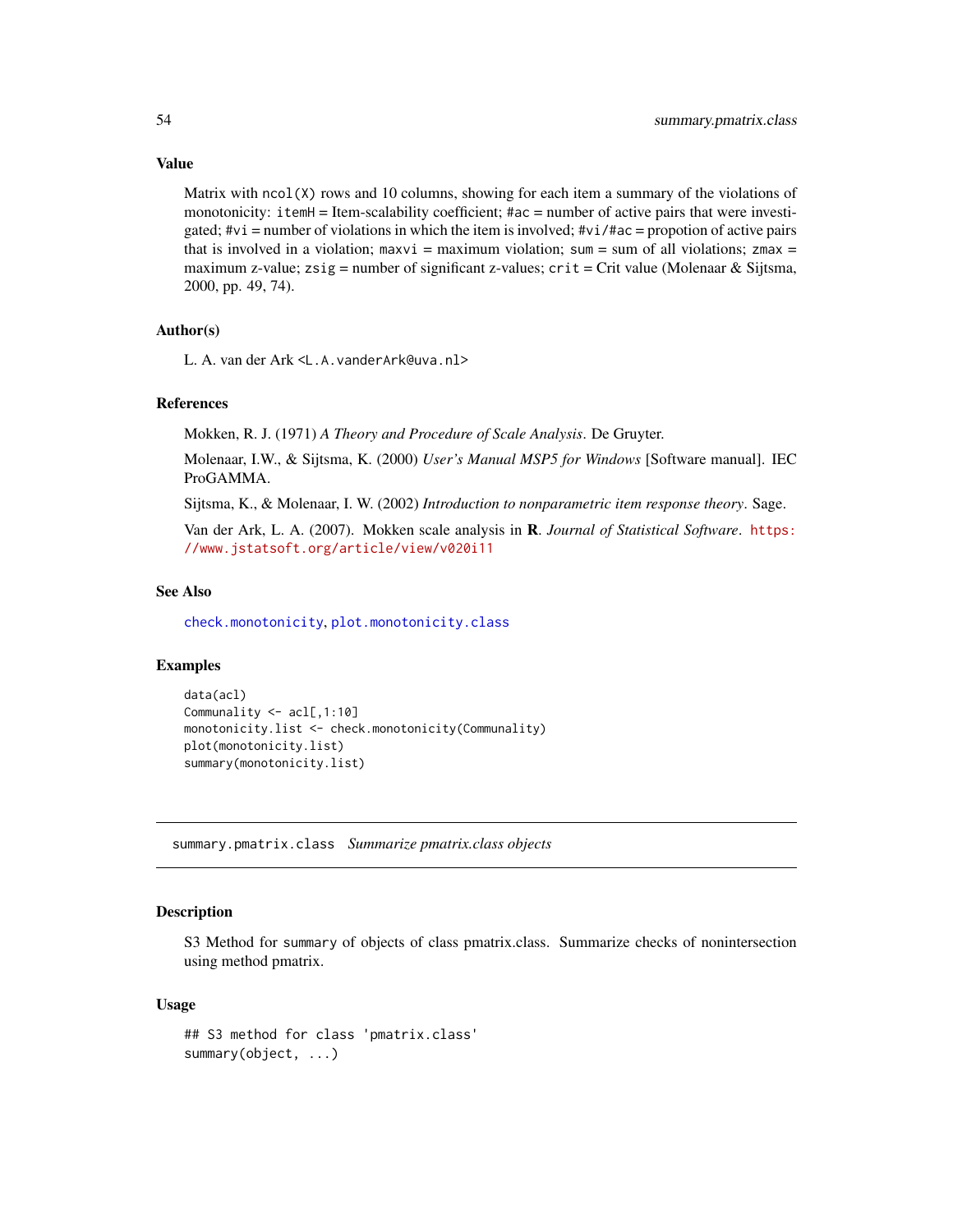#### Value

Matrix with  $ncol(X)$  rows and 10 columns, showing for each item a summary of the violations of monotonicity: itemH = Item-scalability coefficient; #ac = number of active pairs that were investigated;  $\forall$ vi = number of violations in which the item is involved;  $\forall$ vi/ $\forall$ ac = propotion of active pairs that is involved in a violation; maxvi = maximum violation; sum = sum of all violations; zmax = maximum z-value; zsig = number of significant z-values;  $crit = Crit$  value (Molenaar & Sijtsma, 2000, pp. 49, 74).

# Author(s)

L. A. van der Ark <L.A.vanderArk@uva.nl>

# References

Mokken, R. J. (1971) *A Theory and Procedure of Scale Analysis*. De Gruyter.

Molenaar, I.W., & Sijtsma, K. (2000) *User's Manual MSP5 for Windows* [Software manual]. IEC ProGAMMA.

Sijtsma, K., & Molenaar, I. W. (2002) *Introduction to nonparametric item response theory*. Sage.

Van der Ark, L. A. (2007). Mokken scale analysis in R. *Journal of Statistical Software*. [https:](https://www.jstatsoft.org/article/view/v020i11) [//www.jstatsoft.org/article/view/v020i11](https://www.jstatsoft.org/article/view/v020i11)

#### See Also

[check.monotonicity](#page-21-1), [plot.monotonicity.class](#page-44-1)

# Examples

```
data(acl)
Communality <- acl[,1:10]
monotonicity.list <- check.monotonicity(Communality)
plot(monotonicity.list)
summary(monotonicity.list)
```
<span id="page-53-1"></span>summary.pmatrix.class *Summarize pmatrix.class objects*

# **Description**

S3 Method for summary of objects of class pmatrix.class. Summarize checks of nonintersection using method pmatrix.

#### Usage

```
## S3 method for class 'pmatrix.class'
summary(object, ...)
```
<span id="page-53-0"></span>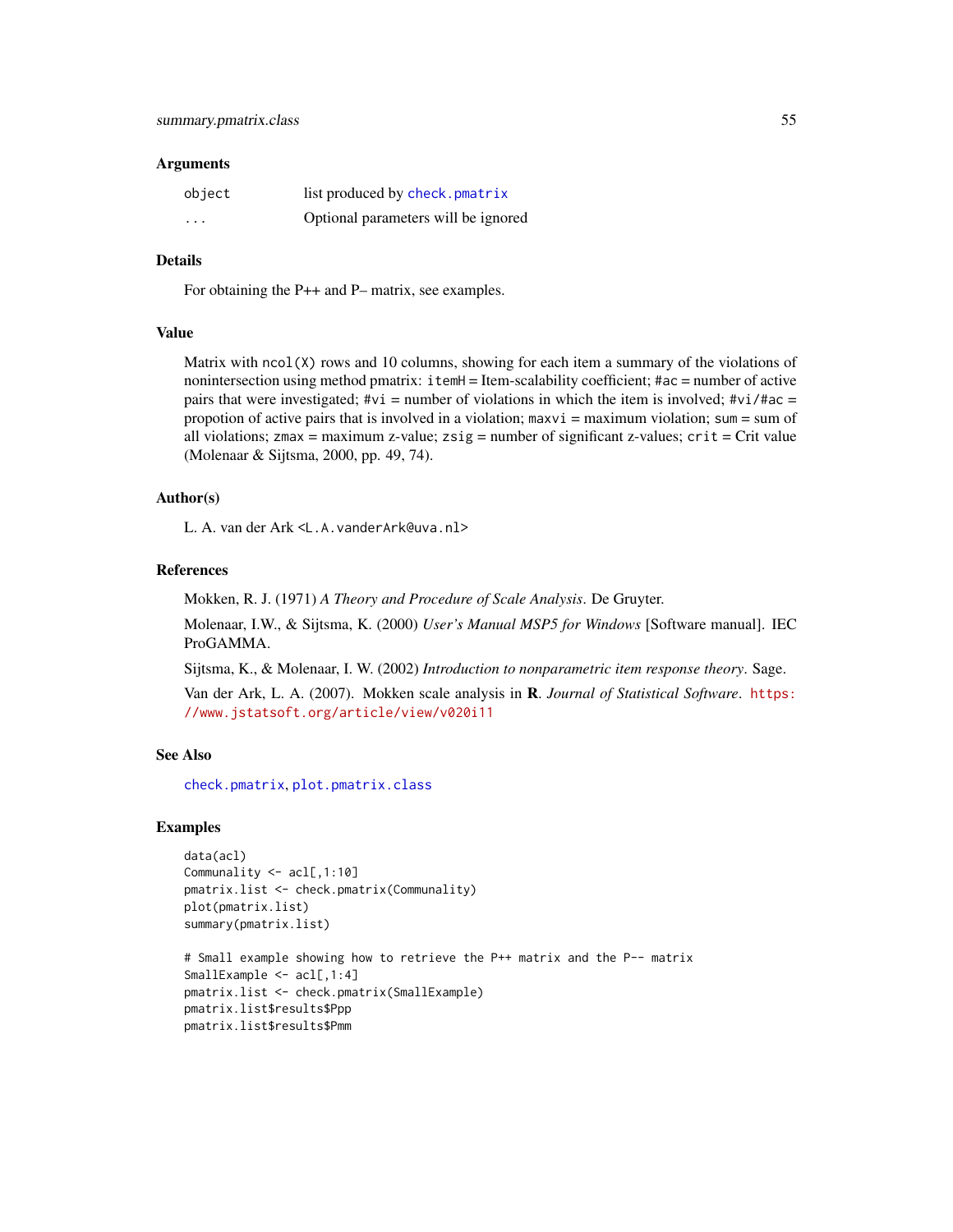#### <span id="page-54-0"></span>Arguments

| object   | list produced by check.pmatrix      |
|----------|-------------------------------------|
| $\cdots$ | Optional parameters will be ignored |

# Details

For obtaining the P++ and P– matrix, see examples.

# Value

Matrix with  $ncol(X)$  rows and 10 columns, showing for each item a summary of the violations of nonintersection using method pmatrix: itemH = Item-scalability coefficient; #ac = number of active pairs that were investigated;  $\#\nu i$  = number of violations in which the item is involved;  $\#\nu i$ / $\#\alpha$  = propotion of active pairs that is involved in a violation; maxvi = maximum violation; sum = sum of all violations;  $zmax =$  maximum z-value;  $zsig =$  number of significant z-values;  $crit =$  Crit value (Molenaar & Sijtsma, 2000, pp. 49, 74).

# Author(s)

L. A. van der Ark <L.A.vanderArk@uva.nl>

#### References

Mokken, R. J. (1971) *A Theory and Procedure of Scale Analysis*. De Gruyter.

Molenaar, I.W., & Sijtsma, K. (2000) *User's Manual MSP5 for Windows* [Software manual]. IEC ProGAMMA.

Sijtsma, K., & Molenaar, I. W. (2002) *Introduction to nonparametric item response theory*. Sage.

Van der Ark, L. A. (2007). Mokken scale analysis in R. *Journal of Statistical Software*. [https:](https://www.jstatsoft.org/article/view/v020i11) [//www.jstatsoft.org/article/view/v020i11](https://www.jstatsoft.org/article/view/v020i11)

# See Also

[check.pmatrix](#page-24-1), [plot.pmatrix.class](#page-46-1)

# Examples

```
data(acl)
Communality <- acl[,1:10]
pmatrix.list <- check.pmatrix(Communality)
plot(pmatrix.list)
summary(pmatrix.list)
```

```
# Small example showing how to retrieve the P++ matrix and the P-- matrix
SmallExample <- acl[,1:4]
pmatrix.list <- check.pmatrix(SmallExample)
pmatrix.list$results$Ppp
pmatrix.list$results$Pmm
```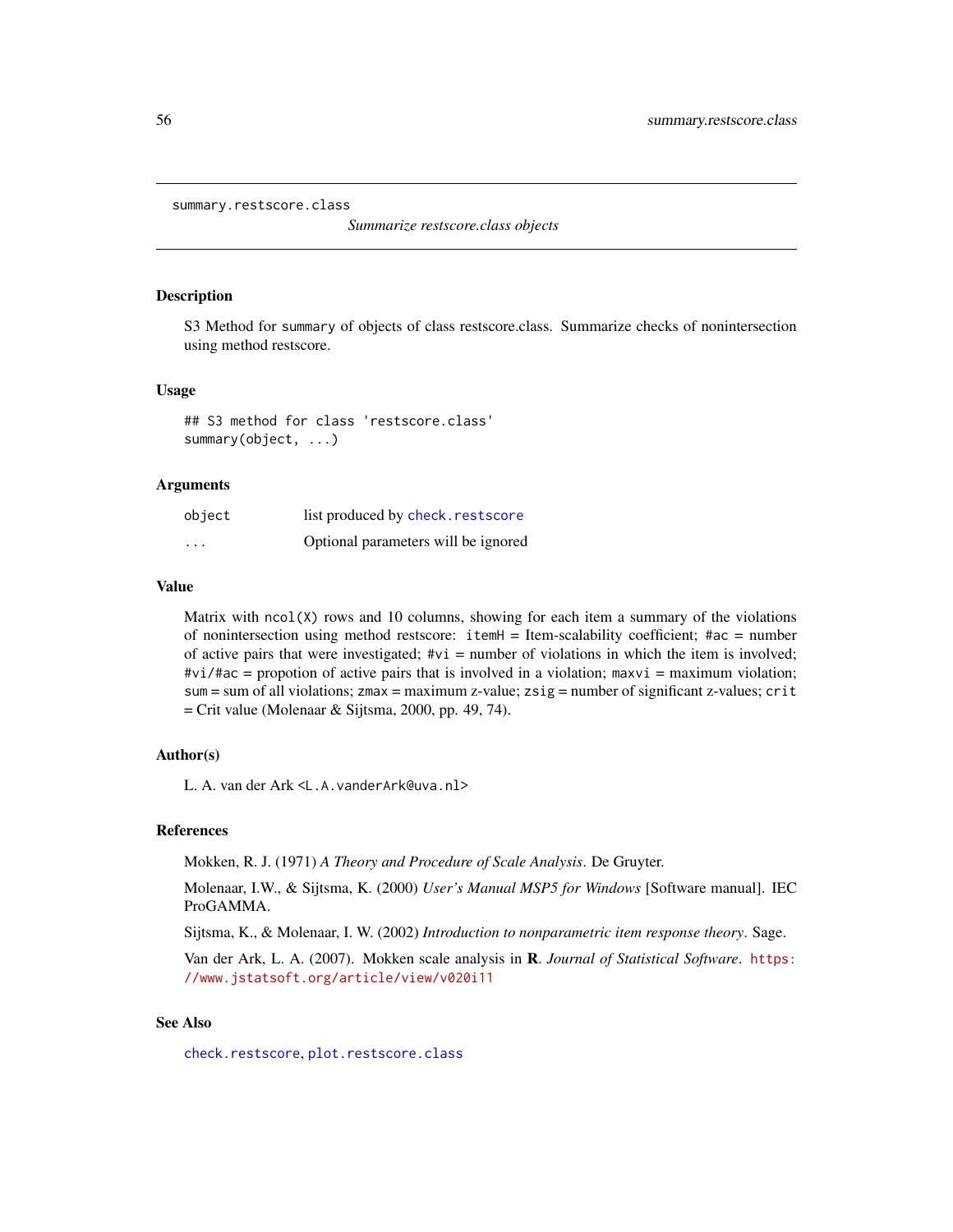```
summary.restscore.class
```
*Summarize restscore.class objects*

# **Description**

S3 Method for summary of objects of class restscore.class. Summarize checks of nonintersection using method restscore.

#### Usage

## S3 method for class 'restscore.class' summary(object, ...)

#### Arguments

| object  | list produced by check. restscore   |
|---------|-------------------------------------|
| $\cdot$ | Optional parameters will be ignored |

#### Value

Matrix with  $ncol(X)$  rows and 10 columns, showing for each item a summary of the violations of nonintersection using method restscore:  $itemH = Item-scalability coefficient; #ac = number$ of active pairs that were investigated;  $\#\nu i =$  number of violations in which the item is involved;  $\#vi/\#ac$  = propotion of active pairs that is involved in a violation; maxvi = maximum violation; sum = sum of all violations;  $z$ max = maximum z-value;  $z$ sig = number of significant z-values; crit  $=$  Crit value (Molenaar & Sijtsma, 2000, pp. 49, 74).

# Author(s)

L. A. van der Ark <L.A.vanderArk@uva.nl>

# References

Mokken, R. J. (1971) *A Theory and Procedure of Scale Analysis*. De Gruyter.

Molenaar, I.W., & Sijtsma, K. (2000) *User's Manual MSP5 for Windows* [Software manual]. IEC ProGAMMA.

Sijtsma, K., & Molenaar, I. W. (2002) *Introduction to nonparametric item response theory*. Sage.

Van der Ark, L. A. (2007). Mokken scale analysis in R. *Journal of Statistical Software*. [https:](https://www.jstatsoft.org/article/view/v020i11) [//www.jstatsoft.org/article/view/v020i11](https://www.jstatsoft.org/article/view/v020i11)

# See Also

[check.restscore](#page-27-1), [plot.restscore.class](#page-48-1)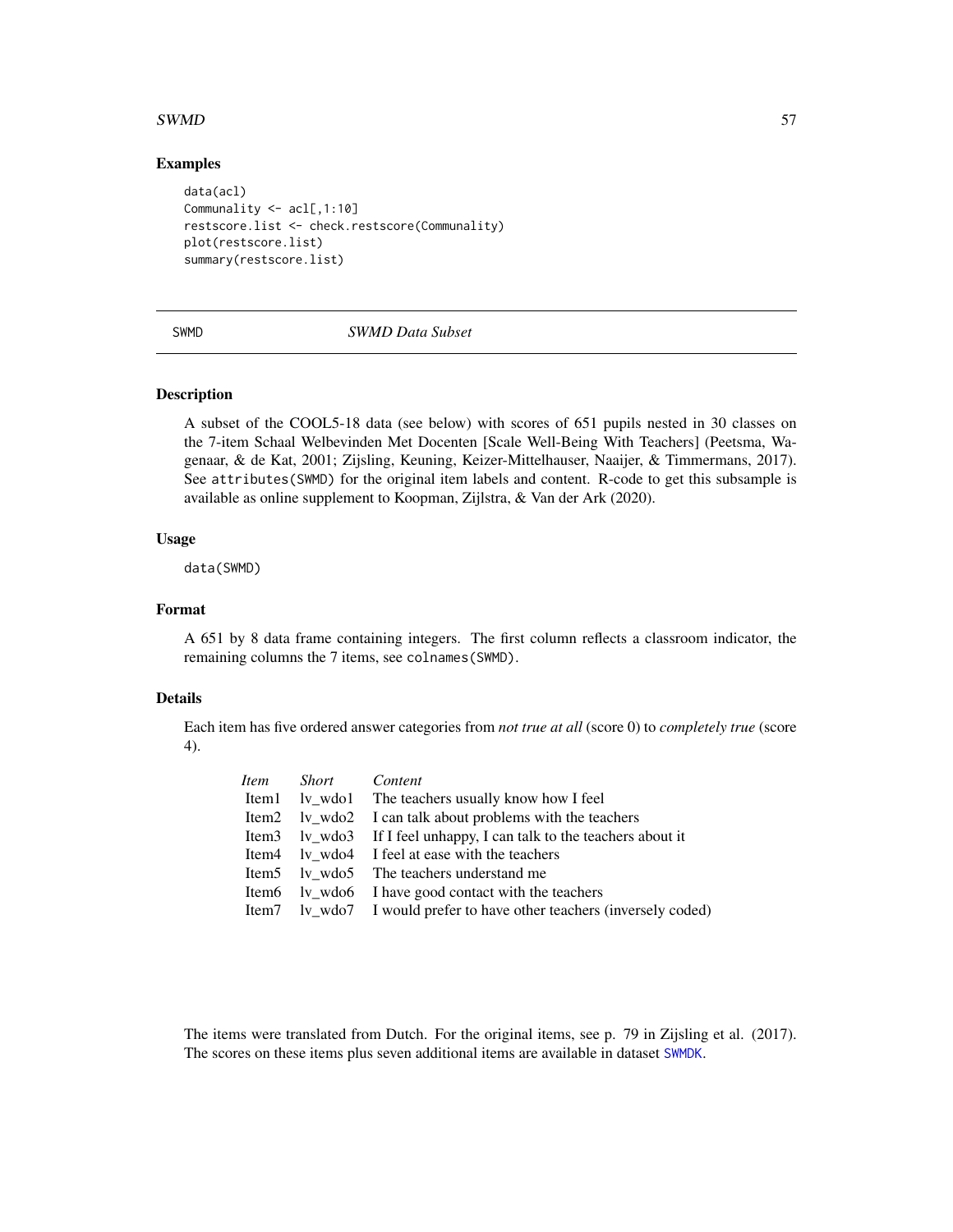# <span id="page-56-0"></span> $SWMD$  57

# Examples

```
data(acl)
Communality <- acl[,1:10]
restscore.list <- check.restscore(Communality)
plot(restscore.list)
summary(restscore.list)
```
<span id="page-56-1"></span>

# SWMD *SWMD Data Subset*

# Description

A subset of the COOL5-18 data (see below) with scores of 651 pupils nested in 30 classes on the 7-item Schaal Welbevinden Met Docenten [Scale Well-Being With Teachers] (Peetsma, Wagenaar, & de Kat, 2001; Zijsling, Keuning, Keizer-Mittelhauser, Naaijer, & Timmermans, 2017). See attributes(SWMD) for the original item labels and content. R-code to get this subsample is available as online supplement to Koopman, Zijlstra, & Van der Ark (2020).

# Usage

data(SWMD)

# Format

A 651 by 8 data frame containing integers. The first column reflects a classroom indicator, the remaining columns the 7 items, see colnames(SWMD).

# Details

Each item has five ordered answer categories from *not true at all* (score 0) to *completely true* (score 4).

| <i>Item</i> Short Content |                                                                       |
|---------------------------|-----------------------------------------------------------------------|
|                           | Item1 lv_wdo1 The teachers usually know how I feel                    |
|                           | Item2 lv_wdo2 I can talk about problems with the teachers             |
|                           | Item3 lv_wdo3 If I feel unhappy, I can talk to the teachers about it  |
|                           | Item4 lv_wdo4 I feel at ease with the teachers                        |
|                           | Item5 lv wdo5 The teachers understand me                              |
|                           | Item6 lv_wdo6 I have good contact with the teachers                   |
|                           | Item7 lv_wdo7 I would prefer to have other teachers (inversely coded) |

The items were translated from Dutch. For the original items, see p. 79 in Zijsling et al. (2017). The scores on these items plus seven additional items are available in dataset [SWMDK](#page-57-1).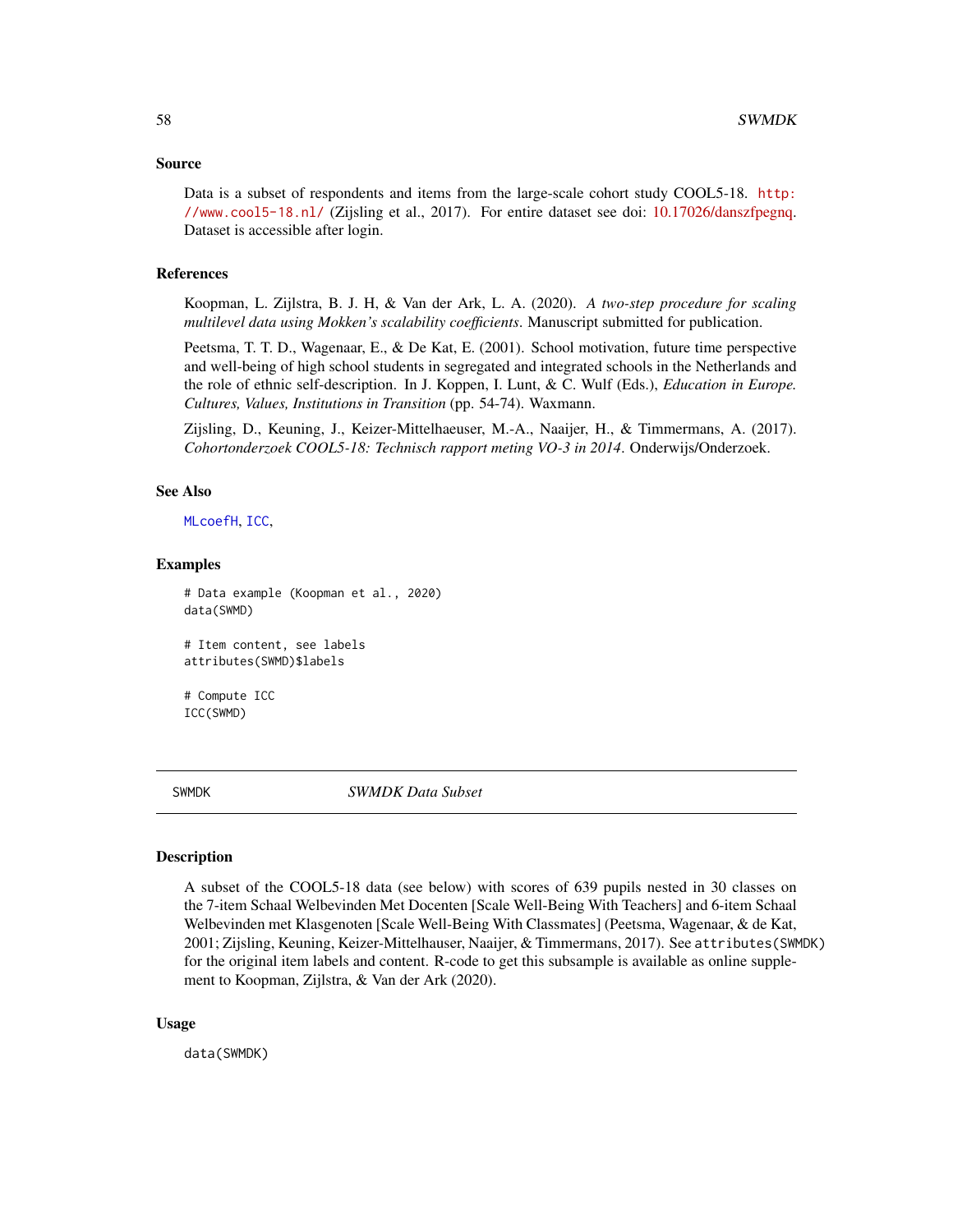#### <span id="page-57-0"></span>Source

Data is a subset of respondents and items from the large-scale cohort study COOL5-18. [http:](http://www.cool5-18.nl/) [//www.cool5-18.nl/](http://www.cool5-18.nl/) (Zijsling et al., 2017). For entire dataset see doi: [10.17026/danszfpegnq.](https://doi.org/10.17026/dans-zfp-egnq) Dataset is accessible after login.

# References

Koopman, L. Zijlstra, B. J. H, & Van der Ark, L. A. (2020). *A two-step procedure for scaling multilevel data using Mokken's scalability coefficients*. Manuscript submitted for publication.

Peetsma, T. T. D., Wagenaar, E., & De Kat, E. (2001). School motivation, future time perspective and well-being of high school students in segregated and integrated schools in the Netherlands and the role of ethnic self-description. In J. Koppen, I. Lunt, & C. Wulf (Eds.), *Education in Europe. Cultures, Values, Institutions in Transition* (pp. 54-74). Waxmann.

Zijsling, D., Keuning, J., Keizer-Mittelhaeuser, M.-A., Naaijer, H., & Timmermans, A. (2017). *Cohortonderzoek COOL5-18: Technisch rapport meting VO-3 in 2014*. Onderwijs/Onderzoek.

#### See Also

[MLcoefH](#page-37-1), [ICC](#page-35-1),

#### Examples

```
# Data example (Koopman et al., 2020)
data(SWMD)
```
# Item content, see labels attributes(SWMD)\$labels

# Compute ICC ICC(SWMD)

<span id="page-57-1"></span>

SWMDK *SWMDK Data Subset*

#### **Description**

A subset of the COOL5-18 data (see below) with scores of 639 pupils nested in 30 classes on the 7-item Schaal Welbevinden Met Docenten [Scale Well-Being With Teachers] and 6-item Schaal Welbevinden met Klasgenoten [Scale Well-Being With Classmates] (Peetsma, Wagenaar, & de Kat, 2001; Zijsling, Keuning, Keizer-Mittelhauser, Naaijer, & Timmermans, 2017). See attributes(SWMDK) for the original item labels and content. R-code to get this subsample is available as online supplement to Koopman, Zijlstra, & Van der Ark (2020).

#### Usage

data(SWMDK)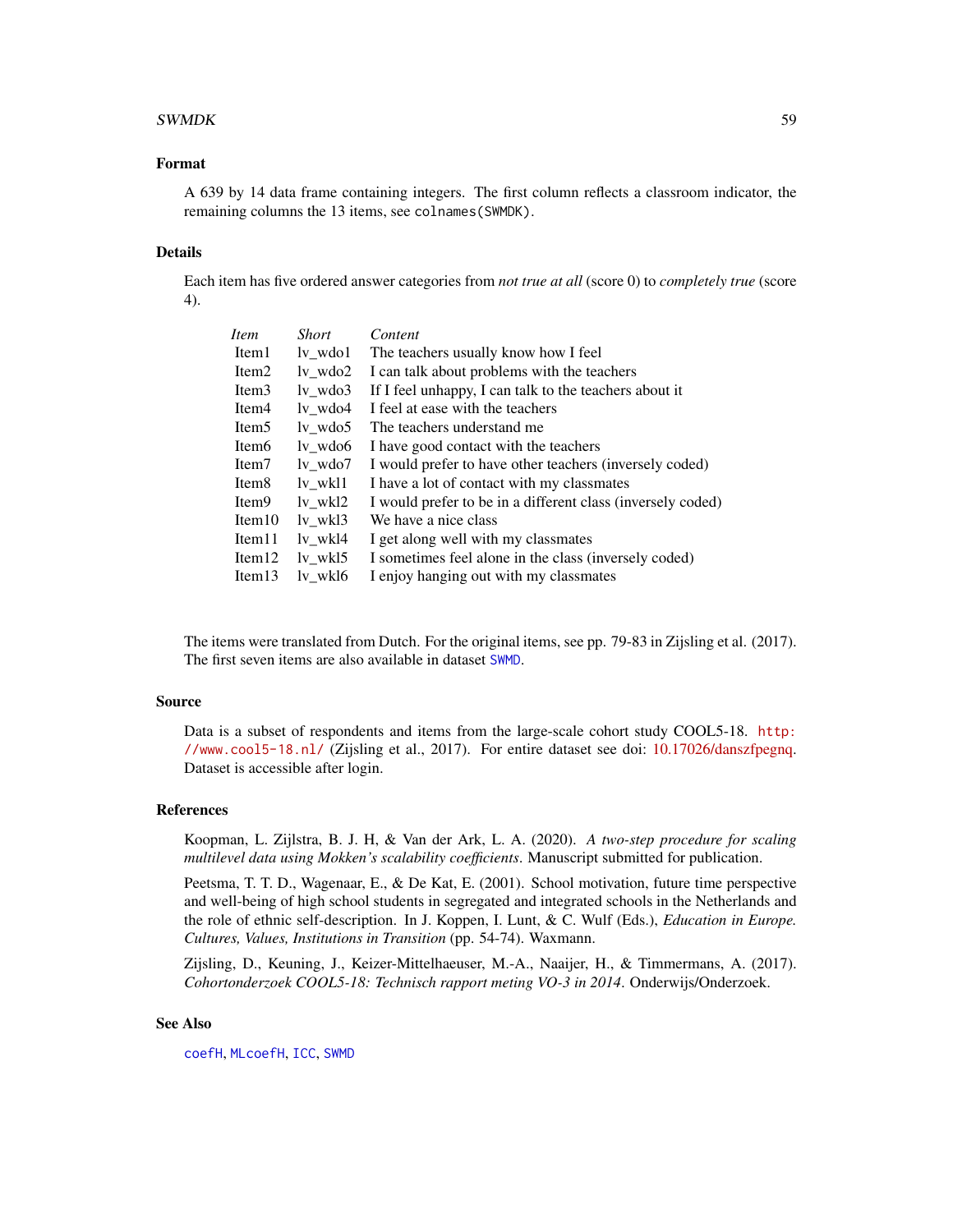# <span id="page-58-0"></span> $SWMDK$  59

# Format

A 639 by 14 data frame containing integers. The first column reflects a classroom indicator, the remaining columns the 13 items, see colnames(SWMDK).

# Details

Each item has five ordered answer categories from *not true at all* (score 0) to *completely true* (score 4).

| <i>Item</i>        | Short                     | Content                                                     |
|--------------------|---------------------------|-------------------------------------------------------------|
| Item1              | ly wdo1                   | The teachers usually know how I feel                        |
| Item <sub>2</sub>  | $lv_w$ wdo2               | I can talk about problems with the teachers                 |
| Item <sub>3</sub>  | ly wdo3                   | If I feel unhappy, I can talk to the teachers about it      |
| Item <sub>4</sub>  | ly wdo4                   | I feel at ease with the teachers                            |
| Item <sub>5</sub>  | $lv_{\_\}$ wdo5           | The teachers understand me                                  |
| Item <sub>6</sub>  | $\frac{1}{\sqrt{2}}$ wdo6 | I have good contact with the teachers                       |
| Item <sub>7</sub>  | ly wdo7                   | I would prefer to have other teachers (inversely coded)     |
| Item <sub>8</sub>  | ly wkl1                   | I have a lot of contact with my classmates                  |
| Item <sub>9</sub>  | lv wkl2                   | I would prefer to be in a different class (inversely coded) |
| Item10             | $1v_w$ kl $3$             | We have a nice class                                        |
| Item <sub>11</sub> | ly wkl4                   | I get along well with my classmates                         |
| Item $12$          | ly wkl5                   | I sometimes feel alone in the class (inversely coded)       |
| Item $13$          | ly wkl6                   | I enjoy hanging out with my classmates                      |

The items were translated from Dutch. For the original items, see pp. 79-83 in Zijsling et al. (2017). The first seven items are also available in dataset [SWMD](#page-56-1).

# Source

Data is a subset of respondents and items from the large-scale cohort study COOL5-18. [http:](http://www.cool5-18.nl/) [//www.cool5-18.nl/](http://www.cool5-18.nl/) (Zijsling et al., 2017). For entire dataset see doi: [10.17026/danszfpegnq.](https://doi.org/10.17026/dans-zfp-egnq) Dataset is accessible after login.

# References

Koopman, L. Zijlstra, B. J. H, & Van der Ark, L. A. (2020). *A two-step procedure for scaling multilevel data using Mokken's scalability coefficients*. Manuscript submitted for publication.

Peetsma, T. T. D., Wagenaar, E., & De Kat, E. (2001). School motivation, future time perspective and well-being of high school students in segregated and integrated schools in the Netherlands and the role of ethnic self-description. In J. Koppen, I. Lunt, & C. Wulf (Eds.), *Education in Europe. Cultures, Values, Institutions in Transition* (pp. 54-74). Waxmann.

Zijsling, D., Keuning, J., Keizer-Mittelhaeuser, M.-A., Naaijer, H., & Timmermans, A. (2017). *Cohortonderzoek COOL5-18: Technisch rapport meting VO-3 in 2014*. Onderwijs/Onderzoek.

# See Also

[coefH](#page-28-1), [MLcoefH](#page-37-1), [ICC](#page-35-1), [SWMD](#page-56-1)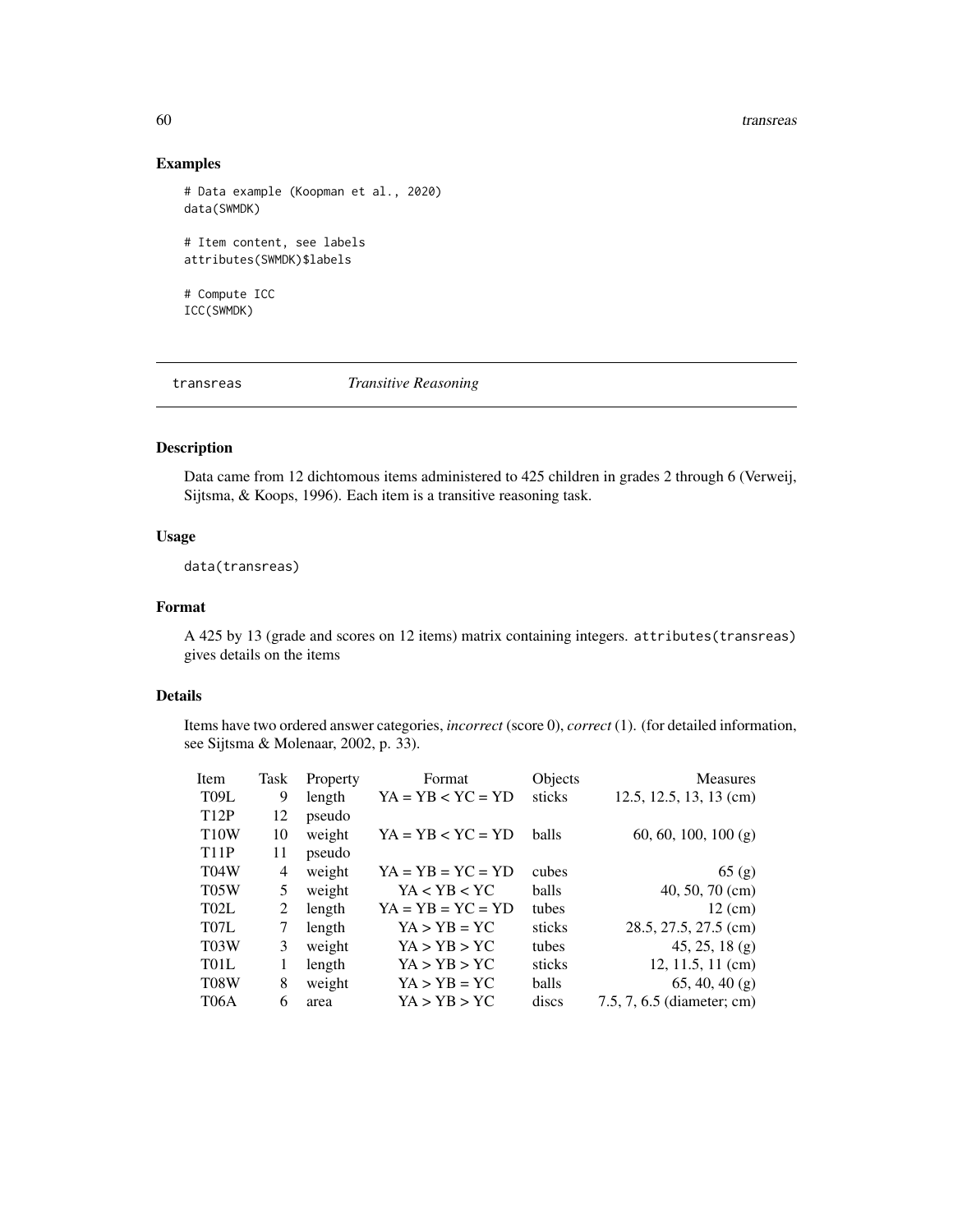#### 60 transreas

# Examples

```
# Data example (Koopman et al., 2020)
data(SWMDK)
# Item content, see labels
attributes(SWMDK)$labels
# Compute ICC
ICC(SWMDK)
```
<span id="page-59-1"></span>transreas *Transitive Reasoning*

# Description

Data came from 12 dichtomous items administered to 425 children in grades 2 through 6 (Verweij, Sijtsma, & Koops, 1996). Each item is a transitive reasoning task.

# Usage

data(transreas)

# Format

A 425 by 13 (grade and scores on 12 items) matrix containing integers. attributes(transreas) gives details on the items

# Details

Items have two ordered answer categories, *incorrect* (score 0), *correct* (1). (for detailed information, see Sijtsma & Molenaar, 2002, p. 33).

| Item              | Task | Property | Format              | Objects      | <b>Measures</b>            |
|-------------------|------|----------|---------------------|--------------|----------------------------|
| T <sub>09</sub> L | 9    | length   | $YA = YB < YC = YD$ | sticks       | $12.5, 12.5, 13, 13$ (cm)  |
| <b>T12P</b>       | 12   | pseudo   |                     |              |                            |
| <b>T10W</b>       | 10   | weight   | $YA = YB < YC = YD$ | <b>balls</b> | 60, 60, 100, 100 (g)       |
| <b>T11P</b>       | 11   | pseudo   |                     |              |                            |
| T <sub>04</sub> W | 4    | weight   | $YA = YB = YC = YD$ | cubes        | 65(g)                      |
| T <sub>05</sub> W | 5    | weight   | YA < YB < YC        | <b>balls</b> | $40, 50, 70$ (cm)          |
| T <sub>02</sub> L | 2    | length   | $YA = YB = YC = YD$ | tubes        | $12 \text{ (cm)}$          |
| T <sub>07</sub> L | 7    | length   | $YA > YB = YC$      | sticks       | 28.5, 27.5, 27.5 (cm)      |
| T <sub>0</sub> 3W | 3    | weight   | YA > YB > YC        | tubes        | $45, 25, 18$ (g)           |
| T <sub>01</sub> L |      | length   | YA > YB > YC        | sticks       | $12, 11.5, 11$ (cm)        |
| T <sub>08</sub> W | 8    | weight   | $YA > YB = YC$      | <b>balls</b> | $65, 40, 40$ (g)           |
| T06A              | 6    | area     | YA > YB > YC        | discs        | 7.5, 7, 6.5 (diameter; cm) |

<span id="page-59-0"></span>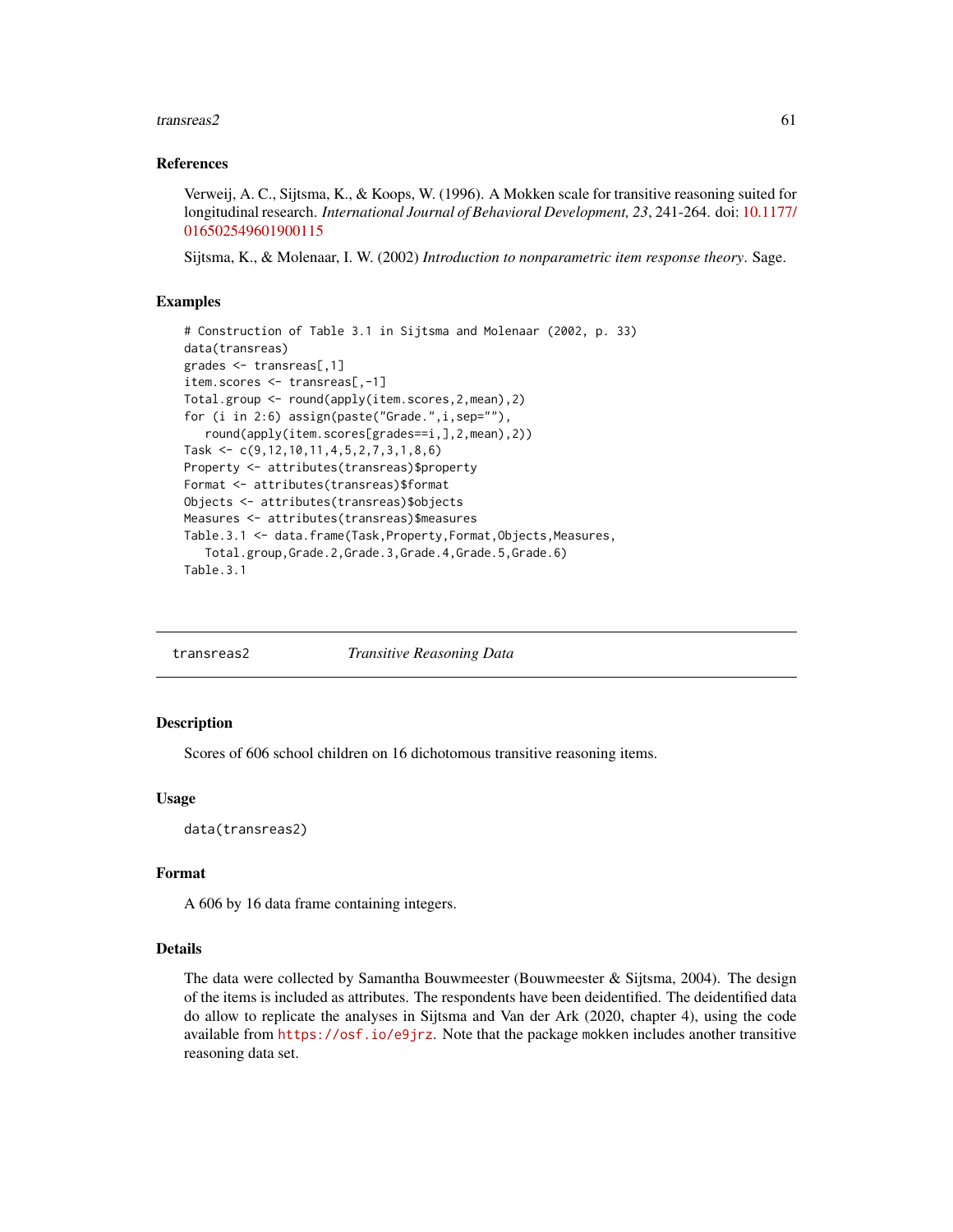#### <span id="page-60-0"></span>transreas2 61

#### References

Verweij, A. C., Sijtsma, K., & Koops, W. (1996). A Mokken scale for transitive reasoning suited for longitudinal research. *International Journal of Behavioral Development, 23*, 241-264. doi: [10.1177/](https://doi.org/10.1177/016502549601900115) [016502549601900115](https://doi.org/10.1177/016502549601900115)

Sijtsma, K., & Molenaar, I. W. (2002) *Introduction to nonparametric item response theory*. Sage.

# Examples

```
# Construction of Table 3.1 in Sijtsma and Molenaar (2002, p. 33)
data(transreas)
grades <- transreas[,1]
item.scores <- transreas[,-1]
Total.group <- round(apply(item.scores,2,mean),2)
for (i in 2:6) assign(paste("Grade.",i,sep=""),
   round(apply(item.scores[grades==i,],2,mean),2))
Task <- c(9,12,10,11,4,5,2,7,3,1,8,6)
Property <- attributes(transreas)$property
Format <- attributes(transreas)$format
Objects <- attributes(transreas)$objects
Measures <- attributes(transreas)$measures
Table.3.1 <- data.frame(Task,Property,Format,Objects,Measures,
   Total.group,Grade.2,Grade.3,Grade.4,Grade.5,Grade.6)
Table.3.1
```
<span id="page-60-1"></span>transreas2 *Transitive Reasoning Data*

# Description

Scores of 606 school children on 16 dichotomous transitive reasoning items.

#### Usage

data(transreas2)

#### Format

A 606 by 16 data frame containing integers.

#### Details

The data were collected by Samantha Bouwmeester (Bouwmeester  $\&$  Sijtsma, 2004). The design of the items is included as attributes. The respondents have been deidentified. The deidentified data do allow to replicate the analyses in Sijtsma and Van der Ark (2020, chapter 4), using the code available from <https://osf.io/e9jrz>. Note that the package mokken includes another transitive reasoning data set.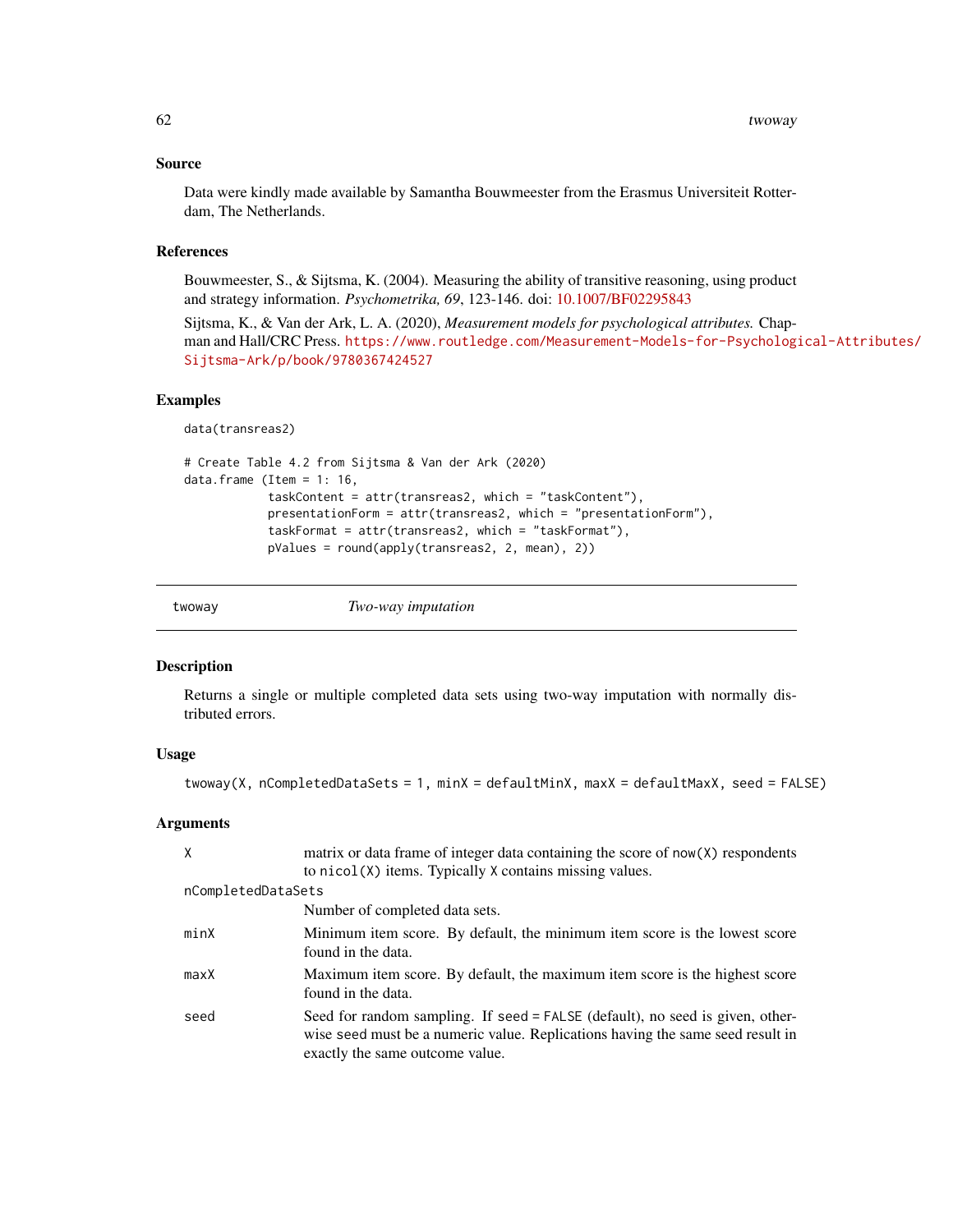#### <span id="page-61-0"></span>Source

Data were kindly made available by Samantha Bouwmeester from the Erasmus Universiteit Rotterdam, The Netherlands.

# References

Bouwmeester, S., & Sijtsma, K. (2004). Measuring the ability of transitive reasoning, using product and strategy information. *Psychometrika, 69*, 123-146. doi: [10.1007/BF02295843](https://doi.org/10.1007/BF02295843)

Sijtsma, K., & Van der Ark, L. A. (2020), *Measurement models for psychological attributes.* Chapman and Hall/CRC Press. [https://www.routledge.com/Measurement-Models-for-Psychologi](https://www.routledge.com/Measurement-Models-for-Psychological-Attributes/Sijtsma-Ark/p/book/9780367424527)cal-Attributes/ [Sijtsma-Ark/p/book/9780367424527](https://www.routledge.com/Measurement-Models-for-Psychological-Attributes/Sijtsma-Ark/p/book/9780367424527)

#### Examples

data(transreas2)

```
# Create Table 4.2 from Sijtsma & Van der Ark (2020)
data.frame (Item = 1: 16,
            taskContent = attr(transreas2, which = "taskContent"),
            presentationForm = attr(transreas2, which = "presentationForm"),
            taskFormat = attr(transreas2, which = "taskFormat"),
            pValues = round(apply(transreas2, 2, mean), 2))
```
<span id="page-61-1"></span>twoway *Two-way imputation*

# Description

Returns a single or multiple completed data sets using two-way imputation with normally distributed errors.

# Usage

```
twoway(X, nCompletedDataSets = 1, minX = defaultMinX, maxX = defaultMaxX, seed = FALSE)
```
#### Arguments

| X                  | matrix or data frame of integer data containing the score of now(X) respondents                                                                                                                    |  |  |
|--------------------|----------------------------------------------------------------------------------------------------------------------------------------------------------------------------------------------------|--|--|
|                    | to nicol (X) items. Typically X contains missing values.                                                                                                                                           |  |  |
| nCompletedDataSets |                                                                                                                                                                                                    |  |  |
|                    | Number of completed data sets.                                                                                                                                                                     |  |  |
| minX               | Minimum item score. By default, the minimum item score is the lowest score<br>found in the data.                                                                                                   |  |  |
| maxX               | Maximum item score. By default, the maximum item score is the highest score<br>found in the data.                                                                                                  |  |  |
| seed               | Seed for random sampling. If seed = FALSE (default), no seed is given, other-<br>wise seed must be a numeric value. Replications having the same seed result in<br>exactly the same outcome value. |  |  |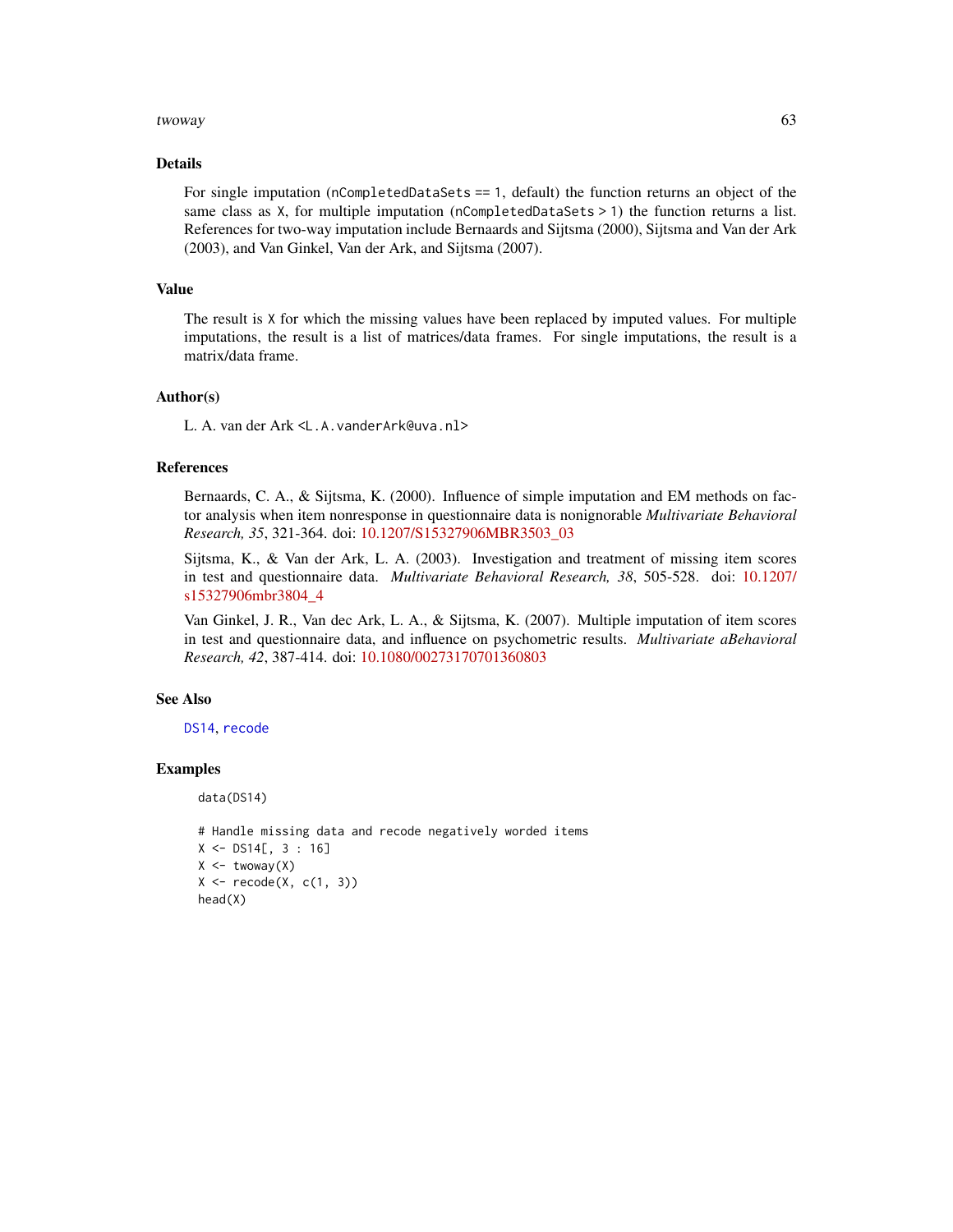#### <span id="page-62-0"></span>twoway 63

#### Details

For single imputation (nCompletedDataSets == 1, default) the function returns an object of the same class as X, for multiple imputation (nCompletedDataSets > 1) the function returns a list. References for two-way imputation include Bernaards and Sijtsma (2000), Sijtsma and Van der Ark (2003), and Van Ginkel, Van der Ark, and Sijtsma (2007).

# Value

The result is X for which the missing values have been replaced by imputed values. For multiple imputations, the result is a list of matrices/data frames. For single imputations, the result is a matrix/data frame.

#### Author(s)

L. A. van der Ark <L.A.vanderArk@uva.nl>

#### References

Bernaards, C. A., & Sijtsma, K. (2000). Influence of simple imputation and EM methods on factor analysis when item nonresponse in questionnaire data is nonignorable *Multivariate Behavioral Research, 35*, 321-364. doi: [10.1207/S15327906MBR3503\\_03](https://doi.org/10.1207/S15327906MBR3503_03)

Sijtsma, K., & Van der Ark, L. A. (2003). Investigation and treatment of missing item scores in test and questionnaire data. *Multivariate Behavioral Research, 38*, 505-528. doi: [10.1207/](https://doi.org/10.1207/s15327906mbr3804_4) [s15327906mbr3804\\_4](https://doi.org/10.1207/s15327906mbr3804_4)

Van Ginkel, J. R., Van dec Ark, L. A., & Sijtsma, K. (2007). Multiple imputation of item scores in test and questionnaire data, and influence on psychometric results. *Multivariate aBehavioral Research, 42*, 387-414. doi: [10.1080/00273170701360803](https://doi.org/10.1080/00273170701360803)

# See Also

[DS14](#page-33-1), [recode](#page-49-1)

# Examples

data(DS14)

```
# Handle missing data and recode negatively worded items
X <- DS14[, 3 : 16]
X \leftarrow twoway(X)X \leftarrow \text{recode}(X, c(1, 3))head(X)
```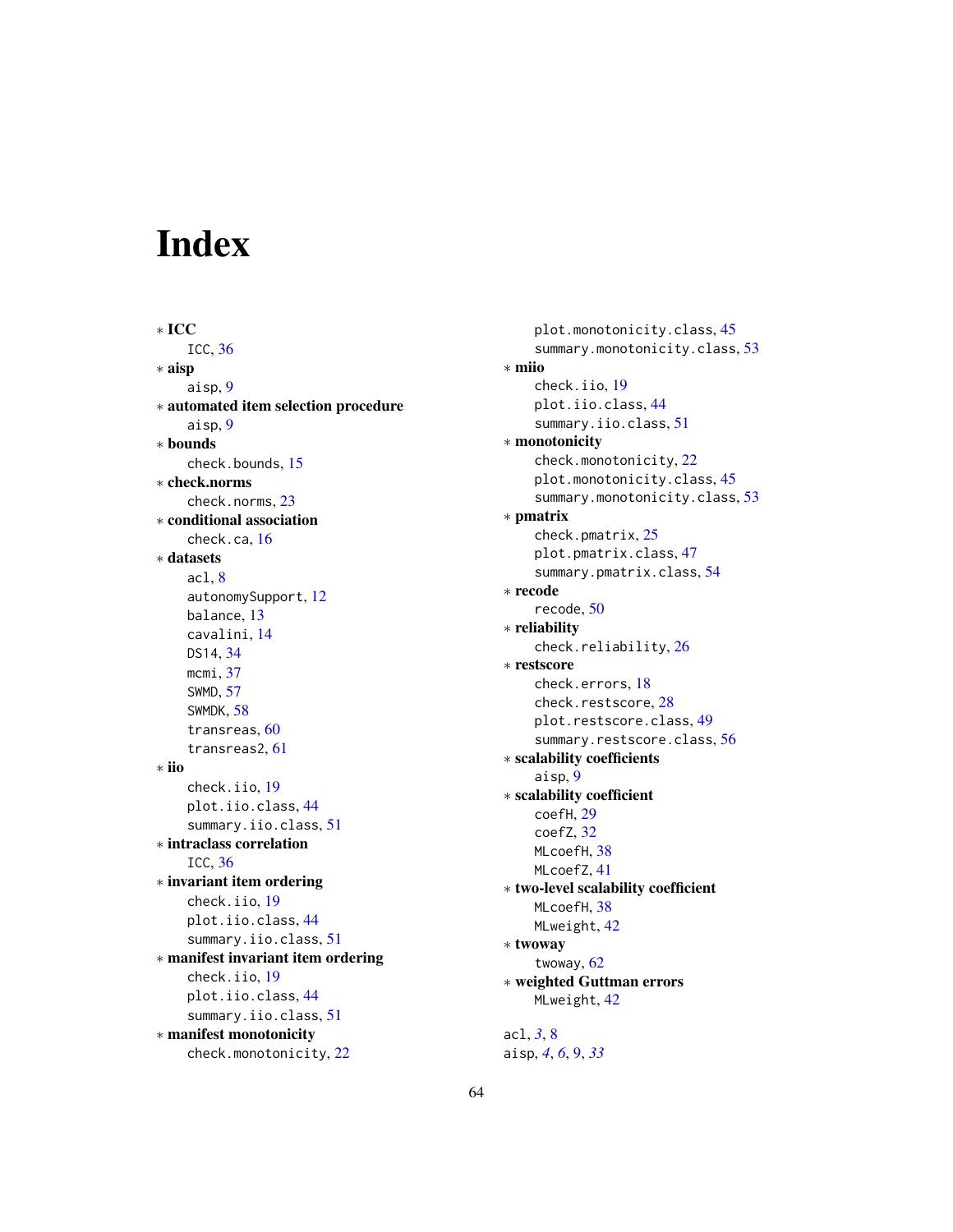# <span id="page-63-0"></span>Index

∗ ICC ICC, [36](#page-35-0) ∗ aisp aisp, [9](#page-8-0) ∗ automated item selection procedure aisp, [9](#page-8-0) ∗ bounds check.bounds, [15](#page-14-0) ∗ check.norms check.norms, [23](#page-22-0) ∗ conditional association check.ca, [16](#page-15-0) ∗ datasets acl, [8](#page-7-0) autonomySupport, [12](#page-11-0) balance, [13](#page-12-0) cavalini, [14](#page-13-0) DS14, [34](#page-33-0) mcmi, [37](#page-36-0) SWMD, [57](#page-56-0) SWMDK, [58](#page-57-0) transreas, [60](#page-59-0) transreas2, [61](#page-60-0) ∗ iio check.iio, [19](#page-18-0) plot.iio.class, [44](#page-43-0) summary.iio.class, [51](#page-50-0) ∗ intraclass correlation ICC, [36](#page-35-0) ∗ invariant item ordering check.iio, [19](#page-18-0) plot.iio.class, [44](#page-43-0) summary.iio.class, [51](#page-50-0) ∗ manifest invariant item ordering check.iio, [19](#page-18-0) plot.iio.class, [44](#page-43-0) summary.iio.class, [51](#page-50-0) ∗ manifest monotonicity check.monotonicity, [22](#page-21-0)

plot.monotonicity.class, [45](#page-44-0) summary.monotonicity.class, [53](#page-52-0) ∗ miio check.iio, [19](#page-18-0) plot.iio.class, [44](#page-43-0) summary.iio.class, [51](#page-50-0) ∗ monotonicity check.monotonicity, [22](#page-21-0) plot.monotonicity.class, [45](#page-44-0) summary.monotonicity.class, [53](#page-52-0) ∗ pmatrix check.pmatrix, [25](#page-24-0) plot.pmatrix.class, [47](#page-46-0) summary.pmatrix.class, [54](#page-53-0) ∗ recode recode, [50](#page-49-0) ∗ reliability check.reliability, [26](#page-25-0) ∗ restscore check.errors, [18](#page-17-0) check.restscore, [28](#page-27-0) plot.restscore.class, [49](#page-48-0) summary.restscore.class, [56](#page-55-0) ∗ scalability coefficients aisp, [9](#page-8-0) ∗ scalability coefficient coefH, [29](#page-28-0) coefZ, [32](#page-31-0) MLcoefH, [38](#page-37-0) MLcoefZ, [41](#page-40-0) ∗ two-level scalability coefficient MLcoefH, [38](#page-37-0) MLweight, [42](#page-41-0) ∗ twoway twoway, [62](#page-61-0) ∗ weighted Guttman errors MLweight, [42](#page-41-0) acl, *[3](#page-2-0)*, [8](#page-7-0)

aisp, *[4](#page-3-0)*, *[6](#page-5-0)*, [9,](#page-8-0) *[33](#page-32-0)*